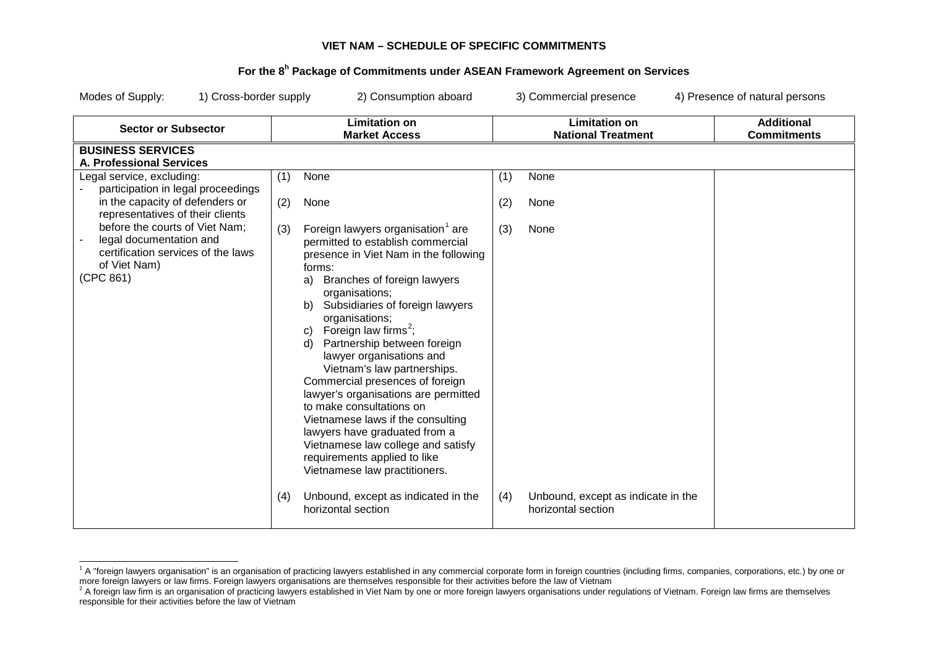<span id="page-0-1"></span><span id="page-0-0"></span>

| Modes of Supply:<br>1) Cross-border supply                                                                                   | 2) Consumption aboard                                                                                                                                                                                                                                                                                                                                                                                                                                                                                                                                                                                                                                                                     | 3) Commercial presence                                          | 4) Presence of natural persons          |
|------------------------------------------------------------------------------------------------------------------------------|-------------------------------------------------------------------------------------------------------------------------------------------------------------------------------------------------------------------------------------------------------------------------------------------------------------------------------------------------------------------------------------------------------------------------------------------------------------------------------------------------------------------------------------------------------------------------------------------------------------------------------------------------------------------------------------------|-----------------------------------------------------------------|-----------------------------------------|
| <b>Sector or Subsector</b>                                                                                                   | <b>Limitation on</b><br><b>Market Access</b>                                                                                                                                                                                                                                                                                                                                                                                                                                                                                                                                                                                                                                              | <b>Limitation on</b><br><b>National Treatment</b>               | <b>Additional</b><br><b>Commitments</b> |
| <b>BUSINESS SERVICES</b><br><b>A. Professional Services</b>                                                                  |                                                                                                                                                                                                                                                                                                                                                                                                                                                                                                                                                                                                                                                                                           |                                                                 |                                         |
| Legal service, excluding:<br>participation in legal proceedings                                                              | None<br>(1)                                                                                                                                                                                                                                                                                                                                                                                                                                                                                                                                                                                                                                                                               | (1)<br>None                                                     |                                         |
| in the capacity of defenders or<br>representatives of their clients                                                          | (2)<br>None                                                                                                                                                                                                                                                                                                                                                                                                                                                                                                                                                                                                                                                                               | None<br>(2)                                                     |                                         |
| before the courts of Viet Nam;<br>legal documentation and<br>certification services of the laws<br>of Viet Nam)<br>(CPC 861) | Foreign lawyers organisation <sup>1</sup> are<br>(3)<br>permitted to establish commercial<br>presence in Viet Nam in the following<br>forms:<br>Branches of foreign lawyers<br>a)<br>organisations;<br>b) Subsidiaries of foreign lawyers<br>organisations;<br>Foreign law firms <sup>2</sup> ;<br>C)<br>Partnership between foreign<br>d)<br>lawyer organisations and<br>Vietnam's law partnerships.<br>Commercial presences of foreign<br>lawyer's organisations are permitted<br>to make consultations on<br>Vietnamese laws if the consulting<br>lawyers have graduated from a<br>Vietnamese law college and satisfy<br>requirements applied to like<br>Vietnamese law practitioners. | (3)<br>None                                                     |                                         |
|                                                                                                                              | Unbound, except as indicated in the<br>(4)<br>horizontal section                                                                                                                                                                                                                                                                                                                                                                                                                                                                                                                                                                                                                          | Unbound, except as indicate in the<br>(4)<br>horizontal section |                                         |

 <sup>1</sup> A "foreign lawyers organisation" is an organisation of practicing lawyers established in any commercial corporate form in foreign countries (including firms, companies, corporations, etc.) by one or

more foreign lawyers or law firms. Foreign lawyers organisations are themselves responsible for their activities before the law of Vietnam<br><sup>2</sup> A foreign law firm is an organisation of practicing lawyers established in Viet responsible for their activities before the law of Vietnam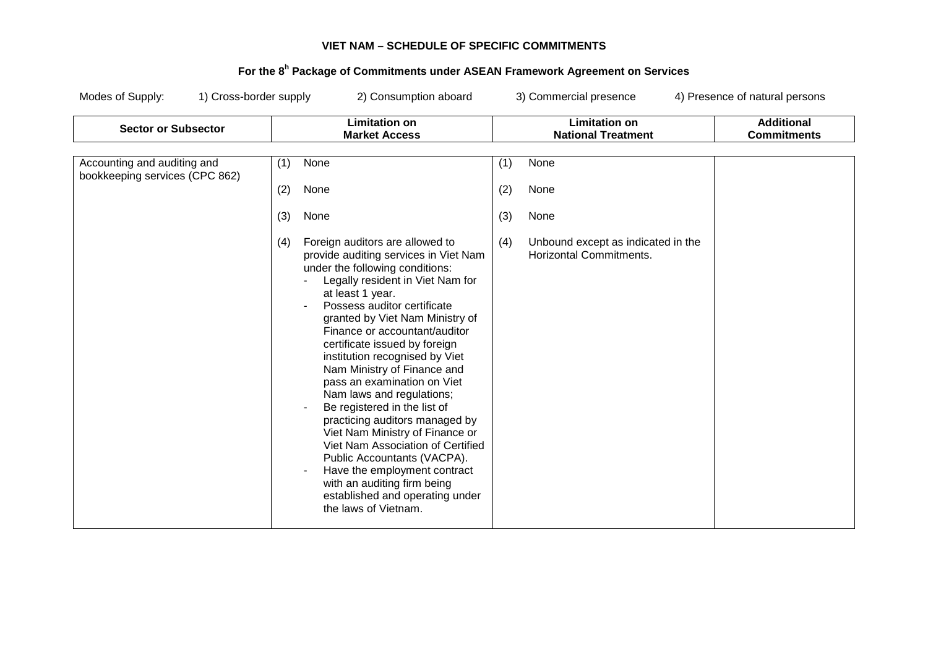| <b>Sector or Subsector</b>                                    | <b>Limitation on</b>                                                                                                                                                                                                                                                                                                                                                                                                                                                                                                                                                                                                                                                                                                                                                | <b>Limitation on</b>                                                                                                     | <b>Additional</b>  |
|---------------------------------------------------------------|---------------------------------------------------------------------------------------------------------------------------------------------------------------------------------------------------------------------------------------------------------------------------------------------------------------------------------------------------------------------------------------------------------------------------------------------------------------------------------------------------------------------------------------------------------------------------------------------------------------------------------------------------------------------------------------------------------------------------------------------------------------------|--------------------------------------------------------------------------------------------------------------------------|--------------------|
|                                                               | <b>Market Access</b>                                                                                                                                                                                                                                                                                                                                                                                                                                                                                                                                                                                                                                                                                                                                                | <b>National Treatment</b>                                                                                                | <b>Commitments</b> |
| Accounting and auditing and<br>bookkeeping services (CPC 862) | (1)<br>None<br>(2)<br>None<br>(3)<br>None<br>Foreign auditors are allowed to<br>(4)<br>provide auditing services in Viet Nam<br>under the following conditions:<br>Legally resident in Viet Nam for<br>at least 1 year.<br>Possess auditor certificate<br>granted by Viet Nam Ministry of<br>Finance or accountant/auditor<br>certificate issued by foreign<br>institution recognised by Viet<br>Nam Ministry of Finance and<br>pass an examination on Viet<br>Nam laws and regulations;<br>Be registered in the list of<br>practicing auditors managed by<br>Viet Nam Ministry of Finance or<br>Viet Nam Association of Certified<br>Public Accountants (VACPA).<br>Have the employment contract<br>with an auditing firm being<br>established and operating under | (1)<br>None<br>(2)<br>None<br>(3)<br>None<br>Unbound except as indicated in the<br>(4)<br><b>Horizontal Commitments.</b> |                    |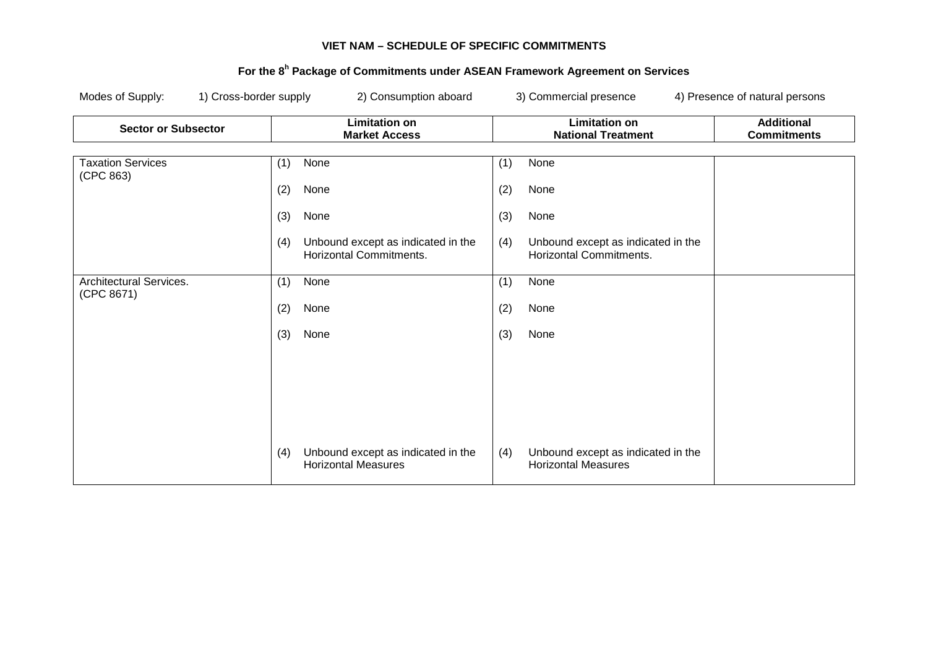| Modes of Supply:                      | 1) Cross-border supply | 2) Consumption aboard                                                |     | 3) Commercial presence                                           | 4) Presence of natural persons          |
|---------------------------------------|------------------------|----------------------------------------------------------------------|-----|------------------------------------------------------------------|-----------------------------------------|
| <b>Sector or Subsector</b>            |                        | <b>Limitation on</b><br><b>Market Access</b>                         |     | <b>Limitation on</b><br><b>National Treatment</b>                | <b>Additional</b><br><b>Commitments</b> |
| <b>Taxation Services</b><br>(CPC 863) | None<br>(1)            |                                                                      | (1) | None                                                             |                                         |
|                                       | (2)<br>None            |                                                                      | (2) | None                                                             |                                         |
|                                       | (3)<br>None            |                                                                      | (3) | None                                                             |                                         |
|                                       | (4)                    | Unbound except as indicated in the<br><b>Horizontal Commitments.</b> | (4) | Unbound except as indicated in the<br>Horizontal Commitments.    |                                         |
| Architectural Services.<br>(CPC 8671) | None<br>(1)            |                                                                      | (1) | None                                                             |                                         |
|                                       | (2)<br>None            |                                                                      | (2) | None                                                             |                                         |
|                                       | (3)<br>None            |                                                                      | (3) | None                                                             |                                         |
|                                       |                        |                                                                      |     |                                                                  |                                         |
|                                       |                        |                                                                      |     |                                                                  |                                         |
|                                       |                        |                                                                      |     |                                                                  |                                         |
|                                       | (4)                    | Unbound except as indicated in the<br><b>Horizontal Measures</b>     | (4) | Unbound except as indicated in the<br><b>Horizontal Measures</b> |                                         |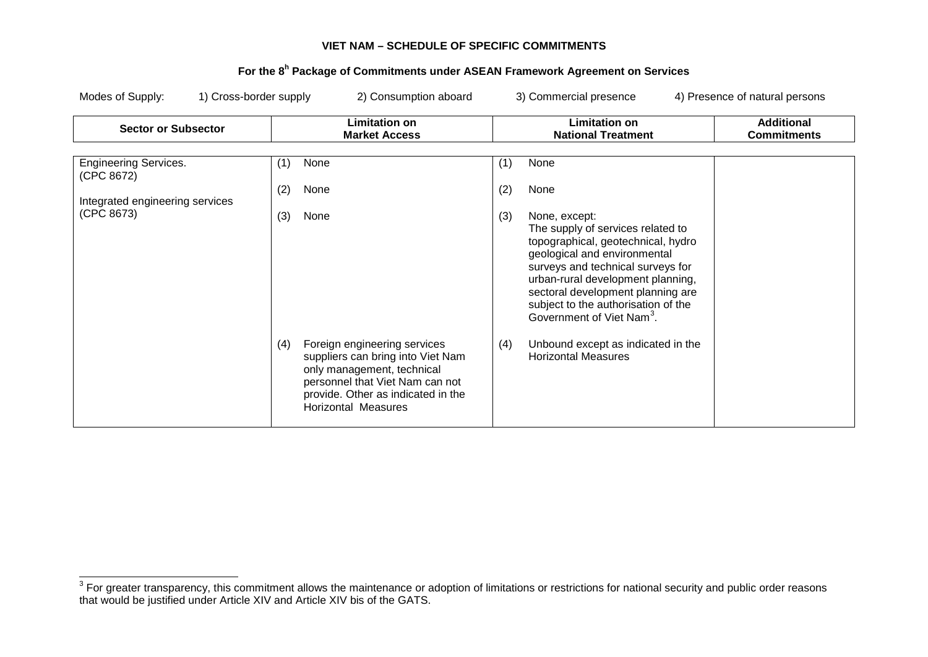<span id="page-3-0"></span>

| Modes of Supply:                                                                            | 1) Cross-border supply<br>2) Consumption aboard                                                                                                                                                               | 3) Commercial presence                                                                                                                                                                                                                                                                                 | 4) Presence of natural persons          |
|---------------------------------------------------------------------------------------------|---------------------------------------------------------------------------------------------------------------------------------------------------------------------------------------------------------------|--------------------------------------------------------------------------------------------------------------------------------------------------------------------------------------------------------------------------------------------------------------------------------------------------------|-----------------------------------------|
| <b>Sector or Subsector</b>                                                                  | <b>Limitation on</b><br><b>Market Access</b>                                                                                                                                                                  | <b>Limitation on</b><br><b>National Treatment</b>                                                                                                                                                                                                                                                      | <b>Additional</b><br><b>Commitments</b> |
| <b>Engineering Services.</b><br>(CPC 8672)<br>Integrated engineering services<br>(CPC 8673) | None<br>(1)<br>(2)<br>None<br>(3)<br>None                                                                                                                                                                     | (1)<br>None<br>(2)<br>None<br>(3)<br>None, except:                                                                                                                                                                                                                                                     |                                         |
|                                                                                             |                                                                                                                                                                                                               | The supply of services related to<br>topographical, geotechnical, hydro<br>geological and environmental<br>surveys and technical surveys for<br>urban-rural development planning,<br>sectoral development planning are<br>subject to the authorisation of the<br>Government of Viet Nam <sup>3</sup> . |                                         |
|                                                                                             | Foreign engineering services<br>(4)<br>suppliers can bring into Viet Nam<br>only management, technical<br>personnel that Viet Nam can not<br>provide. Other as indicated in the<br><b>Horizontal Measures</b> | Unbound except as indicated in the<br>(4)<br><b>Horizontal Measures</b>                                                                                                                                                                                                                                |                                         |

 <sup>3</sup> For greater transparency, this commitment allows the maintenance or adoption of limitations or restrictions for national security and public order reasons that would be justified under Article XIV and Article XIV bis of the GATS.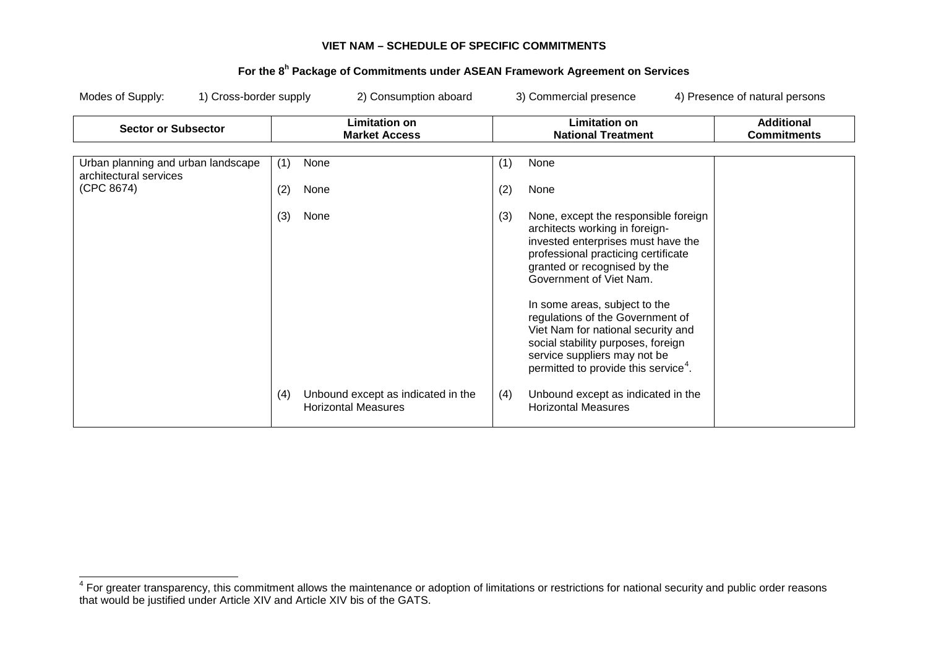<span id="page-4-0"></span>

| Modes of Supply:<br>1) Cross-border supply                                 | 2) Consumption aboard                                                                                                | 3) Commercial presence                                                                                                                                                                                                                                                                                                                                                                                                                                                                                                                                              | 4) Presence of natural persons          |
|----------------------------------------------------------------------------|----------------------------------------------------------------------------------------------------------------------|---------------------------------------------------------------------------------------------------------------------------------------------------------------------------------------------------------------------------------------------------------------------------------------------------------------------------------------------------------------------------------------------------------------------------------------------------------------------------------------------------------------------------------------------------------------------|-----------------------------------------|
| <b>Sector or Subsector</b>                                                 | <b>Limitation on</b><br><b>Market Access</b>                                                                         | <b>Limitation on</b><br><b>National Treatment</b>                                                                                                                                                                                                                                                                                                                                                                                                                                                                                                                   | <b>Additional</b><br><b>Commitments</b> |
| Urban planning and urban landscape<br>architectural services<br>(CPC 8674) | None<br>(1)<br>(2)<br>None<br>(3)<br>None<br>Unbound except as indicated in the<br>(4)<br><b>Horizontal Measures</b> | None<br>(1)<br>(2)<br>None<br>(3)<br>None, except the responsible foreign<br>architects working in foreign-<br>invested enterprises must have the<br>professional practicing certificate<br>granted or recognised by the<br>Government of Viet Nam.<br>In some areas, subject to the<br>regulations of the Government of<br>Viet Nam for national security and<br>social stability purposes, foreign<br>service suppliers may not be<br>permitted to provide this service <sup>4</sup> .<br>Unbound except as indicated in the<br>(4)<br><b>Horizontal Measures</b> |                                         |

<sup>————————————————————&</sup>lt;br><sup>4</sup> For greater transparency, this commitment allows the maintenance or adoption of limitations or restrictions for national security and public order reasons that would be justified under Article XIV and Article XIV bis of the GATS.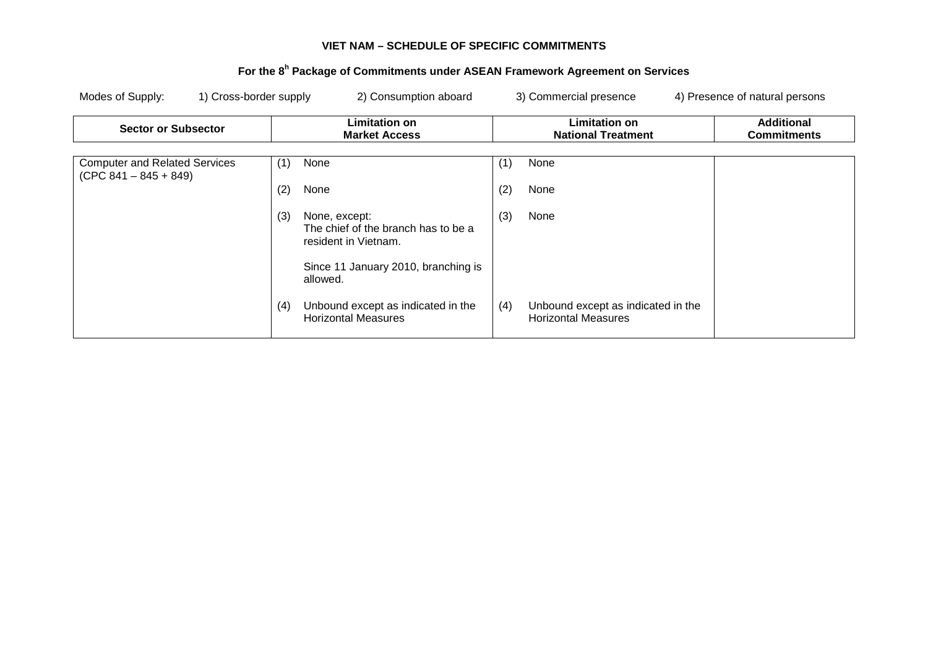| Modes of Supply:                                                | 1) Cross-border supply | 2) Consumption aboard                                                               |            | 3) Commercial presence                                           | 4) Presence of natural persons          |
|-----------------------------------------------------------------|------------------------|-------------------------------------------------------------------------------------|------------|------------------------------------------------------------------|-----------------------------------------|
| <b>Sector or Subsector</b>                                      |                        | Limitation on<br><b>Market Access</b>                                               |            | <b>Limitation on</b><br><b>National Treatment</b>                | <b>Additional</b><br><b>Commitments</b> |
| <b>Computer and Related Services</b><br>$(CPC 841 - 845 + 849)$ |                        | None<br>(1)<br>(2)<br>None                                                          | (1)<br>(2) | None<br>None                                                     |                                         |
|                                                                 |                        | (3)<br>None, except:<br>The chief of the branch has to be a<br>resident in Vietnam. | (3)        | None                                                             |                                         |
|                                                                 |                        | Since 11 January 2010, branching is<br>allowed.                                     |            |                                                                  |                                         |
|                                                                 |                        | (4)<br>Unbound except as indicated in the<br><b>Horizontal Measures</b>             | (4)        | Unbound except as indicated in the<br><b>Horizontal Measures</b> |                                         |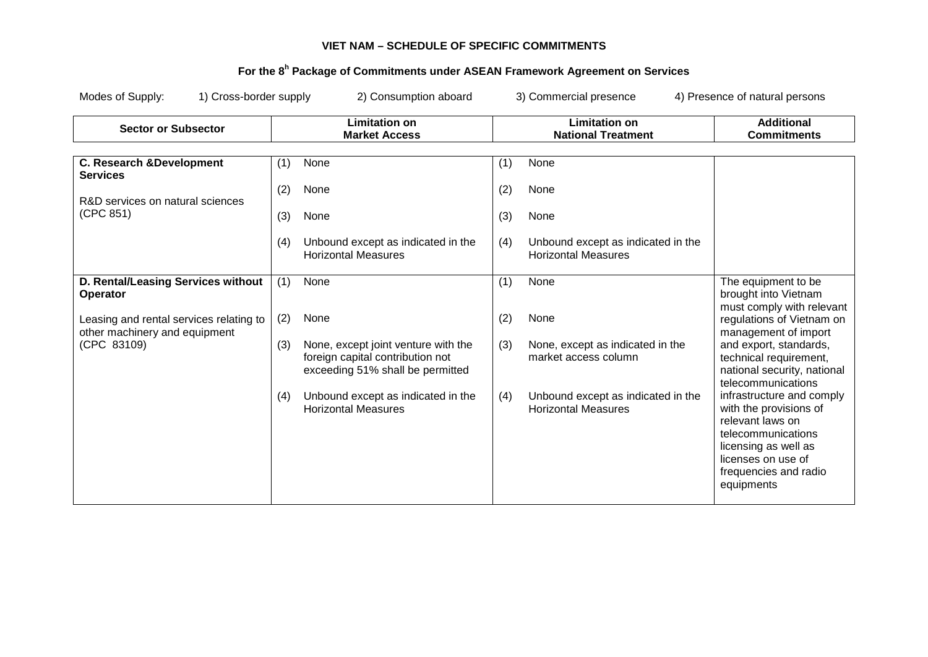| Modes of Supply:<br>1) Cross-border supply                               | 2) Consumption aboard                                                                                              | 3) Commercial presence                                                  | 4) Presence of natural persons                                                                                                                                                     |
|--------------------------------------------------------------------------|--------------------------------------------------------------------------------------------------------------------|-------------------------------------------------------------------------|------------------------------------------------------------------------------------------------------------------------------------------------------------------------------------|
| <b>Sector or Subsector</b>                                               | <b>Limitation on</b><br><b>Market Access</b>                                                                       | <b>Limitation on</b><br><b>National Treatment</b>                       | <b>Additional</b><br><b>Commitments</b>                                                                                                                                            |
| <b>C. Research &amp; Development</b><br><b>Services</b>                  | (1)<br>None                                                                                                        | (1)<br>None                                                             |                                                                                                                                                                                    |
| R&D services on natural sciences<br>(CPC 851)                            | (2)<br>None<br>(3)<br>None                                                                                         | (2)<br>None<br>(3)<br>None                                              |                                                                                                                                                                                    |
|                                                                          | Unbound except as indicated in the<br>(4)<br><b>Horizontal Measures</b>                                            | (4)<br>Unbound except as indicated in the<br><b>Horizontal Measures</b> |                                                                                                                                                                                    |
| D. Rental/Leasing Services without<br>Operator                           | (1)<br>None                                                                                                        | (1)<br>None                                                             | The equipment to be<br>brought into Vietnam<br>must comply with relevant                                                                                                           |
| Leasing and rental services relating to<br>other machinery and equipment | (2)<br>None                                                                                                        | (2)<br>None                                                             | regulations of Vietnam on<br>management of import                                                                                                                                  |
| (CPC 83109)                                                              | None, except joint venture with the<br>(3)<br>foreign capital contribution not<br>exceeding 51% shall be permitted | (3)<br>None, except as indicated in the<br>market access column         | and export, standards,<br>technical requirement,<br>national security, national<br>telecommunications                                                                              |
|                                                                          | Unbound except as indicated in the<br>(4)<br><b>Horizontal Measures</b>                                            | Unbound except as indicated in the<br>(4)<br><b>Horizontal Measures</b> | infrastructure and comply<br>with the provisions of<br>relevant laws on<br>telecommunications<br>licensing as well as<br>licenses on use of<br>frequencies and radio<br>equipments |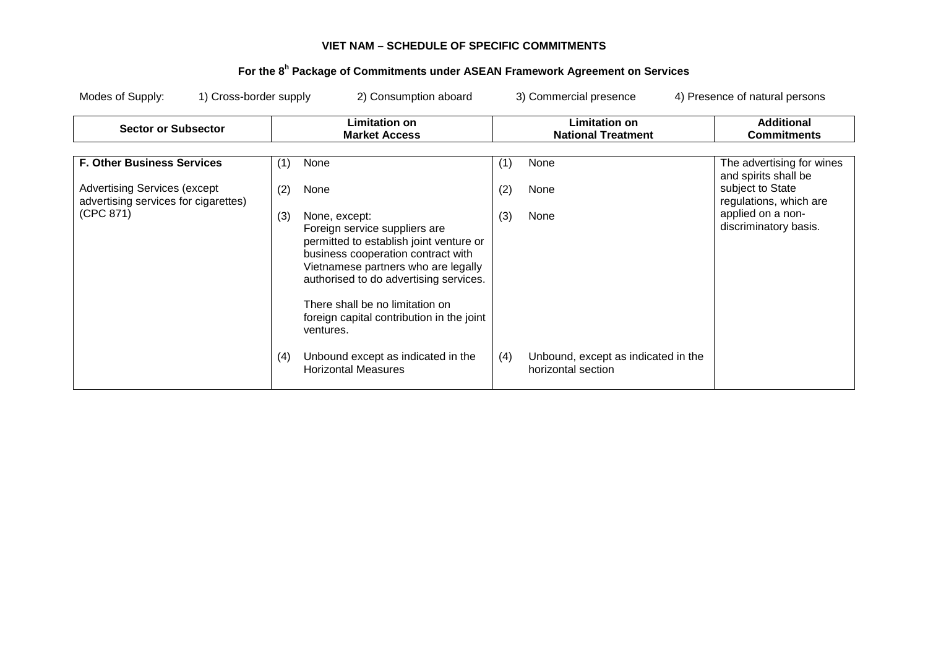| Modes of Supply:<br>1) Cross-border supply | 2) Consumption aboard                                                                                                                                                                                                                                                                                                | 3) Commercial presence                                           | 4) Presence of natural persons             |
|--------------------------------------------|----------------------------------------------------------------------------------------------------------------------------------------------------------------------------------------------------------------------------------------------------------------------------------------------------------------------|------------------------------------------------------------------|--------------------------------------------|
| <b>Sector or Subsector</b>                 | Limitation on                                                                                                                                                                                                                                                                                                        | Limitation on                                                    | <b>Additional</b>                          |
|                                            | <b>Market Access</b>                                                                                                                                                                                                                                                                                                 | <b>National Treatment</b>                                        | <b>Commitments</b>                         |
| <b>F. Other Business Services</b>          | None                                                                                                                                                                                                                                                                                                                 | None                                                             | The advertising for wines                  |
|                                            | (1)                                                                                                                                                                                                                                                                                                                  | (1)                                                              | and spirits shall be                       |
| <b>Advertising Services (except</b>        | (2)                                                                                                                                                                                                                                                                                                                  | None                                                             | subject to State                           |
| advertising services for cigarettes)       | None                                                                                                                                                                                                                                                                                                                 | (2)                                                              | regulations, which are                     |
| (CPC 871)                                  | (3)<br>None, except:<br>Foreign service suppliers are<br>permitted to establish joint venture or<br>business cooperation contract with<br>Vietnamese partners who are legally<br>authorised to do advertising services.<br>There shall be no limitation on<br>foreign capital contribution in the joint<br>ventures. | (3)<br>None                                                      | applied on a non-<br>discriminatory basis. |
|                                            | (4)<br>Unbound except as indicated in the<br><b>Horizontal Measures</b>                                                                                                                                                                                                                                              | (4)<br>Unbound, except as indicated in the<br>horizontal section |                                            |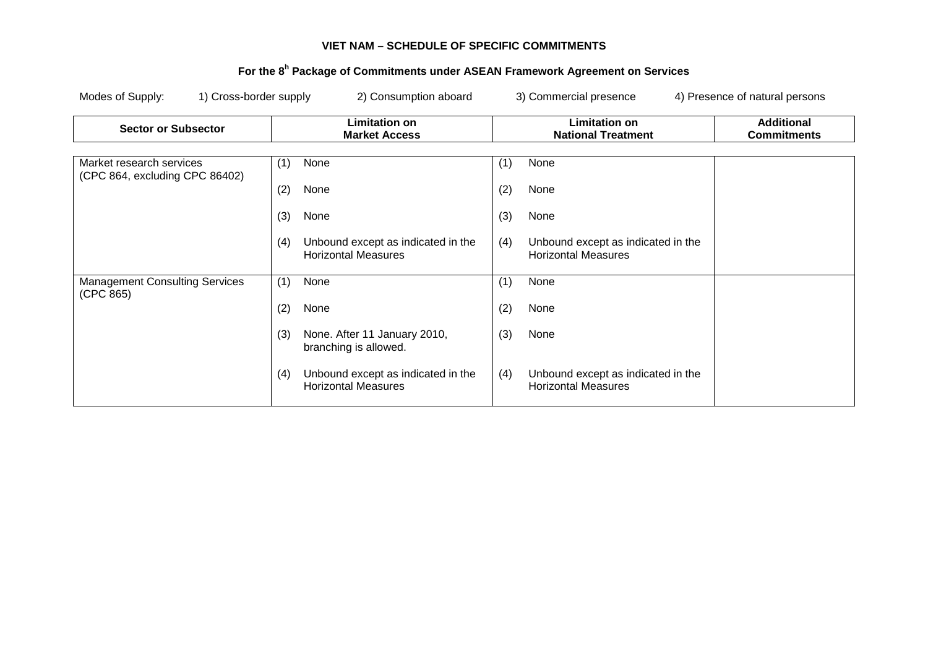| Modes of Supply:<br>1) Cross-border supply                 | 2) Consumption aboard                                                   | 3) Commercial presence                                                  | 4) Presence of natural persons          |
|------------------------------------------------------------|-------------------------------------------------------------------------|-------------------------------------------------------------------------|-----------------------------------------|
| <b>Sector or Subsector</b>                                 | <b>Limitation on</b><br><b>Market Access</b>                            | <b>Limitation on</b><br><b>National Treatment</b>                       | <b>Additional</b><br><b>Commitments</b> |
| Market research services<br>(CPC 864, excluding CPC 86402) | None<br>(1)                                                             | (1)<br>None                                                             |                                         |
|                                                            | (2)<br>None<br>(3)<br>None                                              | (2)<br>None<br>(3)<br>None                                              |                                         |
|                                                            | (4)<br>Unbound except as indicated in the<br><b>Horizontal Measures</b> | (4)<br>Unbound except as indicated in the<br><b>Horizontal Measures</b> |                                         |
| <b>Management Consulting Services</b><br>(CPC 865)         | None<br>(1)                                                             | (1)<br>None                                                             |                                         |
|                                                            | (2)<br>None                                                             | (2)<br>None                                                             |                                         |
|                                                            | (3)<br>None. After 11 January 2010,<br>branching is allowed.            | (3)<br>None                                                             |                                         |
|                                                            | (4)<br>Unbound except as indicated in the<br><b>Horizontal Measures</b> | (4)<br>Unbound except as indicated in the<br><b>Horizontal Measures</b> |                                         |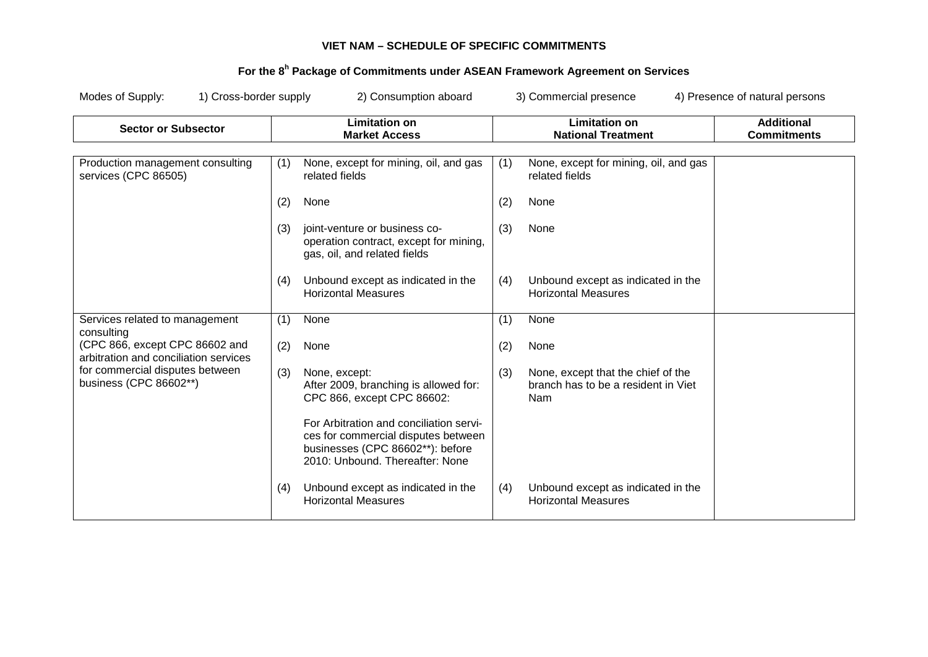| Modes of Supply:<br>1) Cross-border supply                              | 2) Consumption aboard                                                                                                                                 | 3) Commercial presence                                                                  | 4) Presence of natural persons          |
|-------------------------------------------------------------------------|-------------------------------------------------------------------------------------------------------------------------------------------------------|-----------------------------------------------------------------------------------------|-----------------------------------------|
| <b>Sector or Subsector</b>                                              | <b>Limitation on</b><br><b>Market Access</b>                                                                                                          | <b>Limitation on</b><br><b>National Treatment</b>                                       | <b>Additional</b><br><b>Commitments</b> |
| Production management consulting<br>services (CPC 86505)                | None, except for mining, oil, and gas<br>(1)<br>related fields                                                                                        | None, except for mining, oil, and gas<br>(1)<br>related fields                          |                                         |
|                                                                         | (2)<br>None                                                                                                                                           | (2)<br>None                                                                             |                                         |
|                                                                         | joint-venture or business co-<br>(3)<br>operation contract, except for mining,<br>gas, oil, and related fields                                        | (3)<br>None                                                                             |                                         |
|                                                                         | Unbound except as indicated in the<br>(4)<br><b>Horizontal Measures</b>                                                                               | Unbound except as indicated in the<br>(4)<br><b>Horizontal Measures</b>                 |                                         |
| Services related to management<br>consulting                            | None<br>(1)                                                                                                                                           | (1)<br>None                                                                             |                                         |
| (CPC 866, except CPC 86602 and<br>arbitration and conciliation services | (2)<br>None                                                                                                                                           | (2)<br>None                                                                             |                                         |
| for commercial disputes between<br>business (CPC 86602**)               | (3)<br>None, except:<br>After 2009, branching is allowed for:<br>CPC 866, except CPC 86602:                                                           | (3)<br>None, except that the chief of the<br>branch has to be a resident in Viet<br>Nam |                                         |
|                                                                         | For Arbitration and conciliation servi-<br>ces for commercial disputes between<br>businesses (CPC 86602**): before<br>2010: Unbound. Thereafter: None |                                                                                         |                                         |
|                                                                         | Unbound except as indicated in the<br>(4)<br><b>Horizontal Measures</b>                                                                               | (4)<br>Unbound except as indicated in the<br><b>Horizontal Measures</b>                 |                                         |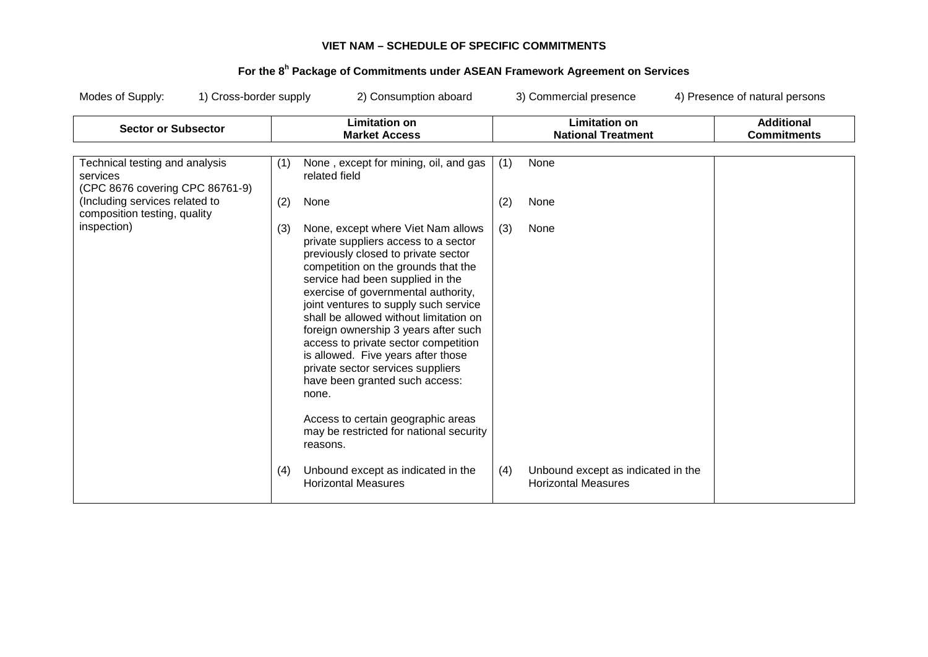| 1) Cross-border supply<br>Modes of Supply:                                    | 2) Consumption aboard                                                                                                                                                                                                                                                                                                                                                                                                                                                                                                                                                                                                            | 3) Commercial presence                                                  | 4) Presence of natural persons          |
|-------------------------------------------------------------------------------|----------------------------------------------------------------------------------------------------------------------------------------------------------------------------------------------------------------------------------------------------------------------------------------------------------------------------------------------------------------------------------------------------------------------------------------------------------------------------------------------------------------------------------------------------------------------------------------------------------------------------------|-------------------------------------------------------------------------|-----------------------------------------|
| <b>Sector or Subsector</b>                                                    | <b>Limitation on</b><br><b>Market Access</b>                                                                                                                                                                                                                                                                                                                                                                                                                                                                                                                                                                                     | <b>Limitation on</b><br><b>National Treatment</b>                       | <b>Additional</b><br><b>Commitments</b> |
| Technical testing and analysis<br>services<br>(CPC 8676 covering CPC 86761-9) | None, except for mining, oil, and gas<br>(1)<br>related field                                                                                                                                                                                                                                                                                                                                                                                                                                                                                                                                                                    | None<br>(1)                                                             |                                         |
| (Including services related to<br>composition testing, quality                | (2)<br>None                                                                                                                                                                                                                                                                                                                                                                                                                                                                                                                                                                                                                      | (2)<br>None                                                             |                                         |
| inspection)                                                                   | (3)<br>None, except where Viet Nam allows<br>private suppliers access to a sector<br>previously closed to private sector<br>competition on the grounds that the<br>service had been supplied in the<br>exercise of governmental authority,<br>joint ventures to supply such service<br>shall be allowed without limitation on<br>foreign ownership 3 years after such<br>access to private sector competition<br>is allowed. Five years after those<br>private sector services suppliers<br>have been granted such access:<br>none.<br>Access to certain geographic areas<br>may be restricted for national security<br>reasons. | (3)<br>None                                                             |                                         |
|                                                                               | Unbound except as indicated in the<br>(4)<br><b>Horizontal Measures</b>                                                                                                                                                                                                                                                                                                                                                                                                                                                                                                                                                          | Unbound except as indicated in the<br>(4)<br><b>Horizontal Measures</b> |                                         |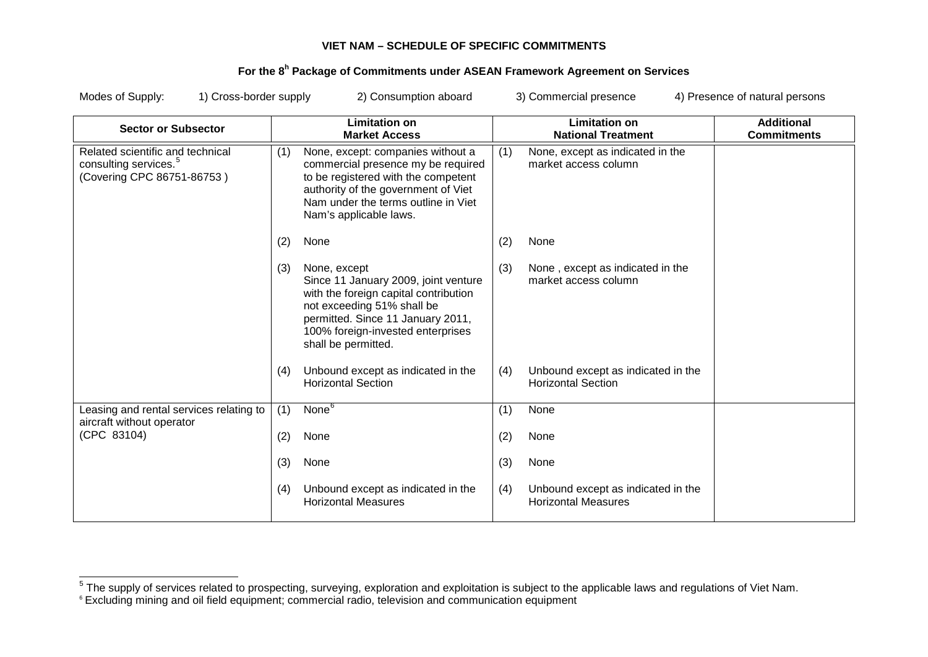<span id="page-11-1"></span><span id="page-11-0"></span>

| Modes of Supply:<br>1) Cross-border supply                                                          | 2) Consumption aboard                                                                                                                                                                                                               | 3) Commercial presence                                                  | 4) Presence of natural persons          |
|-----------------------------------------------------------------------------------------------------|-------------------------------------------------------------------------------------------------------------------------------------------------------------------------------------------------------------------------------------|-------------------------------------------------------------------------|-----------------------------------------|
| <b>Sector or Subsector</b>                                                                          | <b>Limitation on</b><br><b>Market Access</b>                                                                                                                                                                                        | <b>Limitation on</b><br><b>National Treatment</b>                       | <b>Additional</b><br><b>Commitments</b> |
| Related scientific and technical<br>consulting services. <sup>5</sup><br>(Covering CPC 86751-86753) | (1)<br>None, except: companies without a<br>commercial presence my be required<br>to be registered with the competent<br>authority of the government of Viet<br>Nam under the terms outline in Viet<br>Nam's applicable laws.       | (1)<br>None, except as indicated in the<br>market access column         |                                         |
|                                                                                                     | (2)<br>None                                                                                                                                                                                                                         | (2)<br>None                                                             |                                         |
|                                                                                                     | (3)<br>None, except<br>Since 11 January 2009, joint venture<br>with the foreign capital contribution<br>not exceeding 51% shall be<br>permitted. Since 11 January 2011,<br>100% foreign-invested enterprises<br>shall be permitted. | (3)<br>None, except as indicated in the<br>market access column         |                                         |
|                                                                                                     | Unbound except as indicated in the<br>(4)<br><b>Horizontal Section</b>                                                                                                                                                              | Unbound except as indicated in the<br>(4)<br><b>Horizontal Section</b>  |                                         |
| Leasing and rental services relating to<br>aircraft without operator                                | None <sup>6</sup><br>(1)                                                                                                                                                                                                            | (1)<br>None                                                             |                                         |
| (CPC 83104)                                                                                         | (2)<br>None                                                                                                                                                                                                                         | (2)<br>None                                                             |                                         |
|                                                                                                     | (3)<br>None                                                                                                                                                                                                                         | (3)<br>None                                                             |                                         |
|                                                                                                     | (4)<br>Unbound except as indicated in the<br><b>Horizontal Measures</b>                                                                                                                                                             | Unbound except as indicated in the<br>(4)<br><b>Horizontal Measures</b> |                                         |

<sup>&</sup>lt;sup>5</sup> The supply of services related to prospecting, surveying, exploration and exploitation is subject to the applicable laws and regulations of Viet Nam.<br><sup>6</sup> Excluding mining and oil field equipment; commercial radio, tele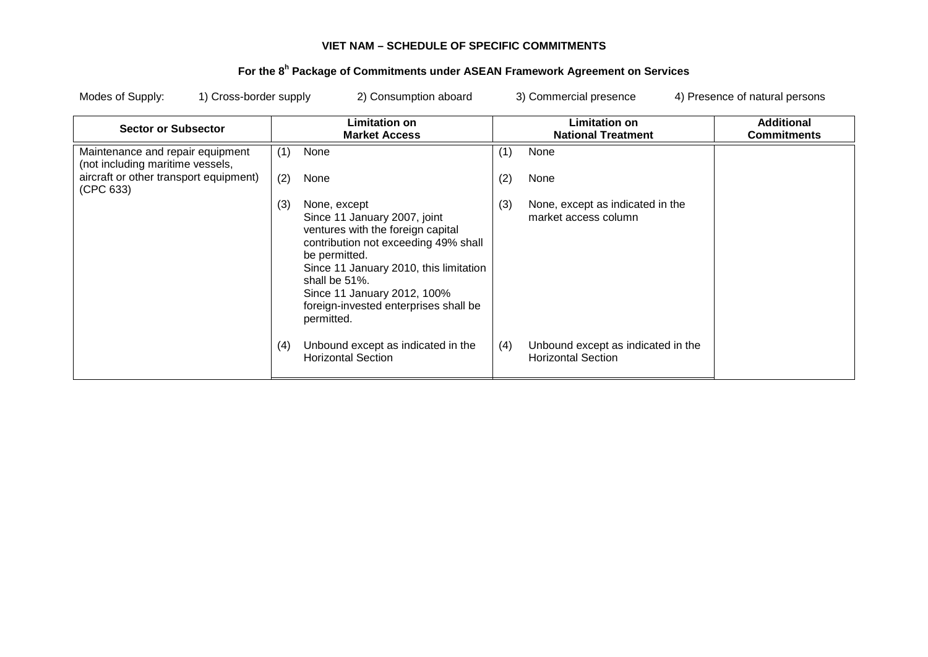| Modes of Supply:<br>1) Cross-border supply                           |                                                                     | 2) Consumption aboard                                                                                                                                                                                                       |     | 3) Commercial presence                                          | 4) Presence of natural persons          |
|----------------------------------------------------------------------|---------------------------------------------------------------------|-----------------------------------------------------------------------------------------------------------------------------------------------------------------------------------------------------------------------------|-----|-----------------------------------------------------------------|-----------------------------------------|
| <b>Sector or Subsector</b>                                           |                                                                     | Limitation on<br><b>Market Access</b>                                                                                                                                                                                       |     | Limitation on<br><b>National Treatment</b>                      | <b>Additional</b><br><b>Commitments</b> |
| Maintenance and repair equipment<br>(not including maritime vessels, | (1)<br>None                                                         |                                                                                                                                                                                                                             | (1) | None                                                            |                                         |
| aircraft or other transport equipment)<br>(CPC 633)                  | (2)<br>None                                                         |                                                                                                                                                                                                                             | (2) | None                                                            |                                         |
|                                                                      | (3)<br>None, except<br>be permitted.<br>shall be 51%.<br>permitted. | Since 11 January 2007, joint<br>ventures with the foreign capital<br>contribution not exceeding 49% shall<br>Since 11 January 2010, this limitation<br>Since 11 January 2012, 100%<br>foreign-invested enterprises shall be | (3) | None, except as indicated in the<br>market access column        |                                         |
|                                                                      | (4)                                                                 | Unbound except as indicated in the<br><b>Horizontal Section</b>                                                                                                                                                             | (4) | Unbound except as indicated in the<br><b>Horizontal Section</b> |                                         |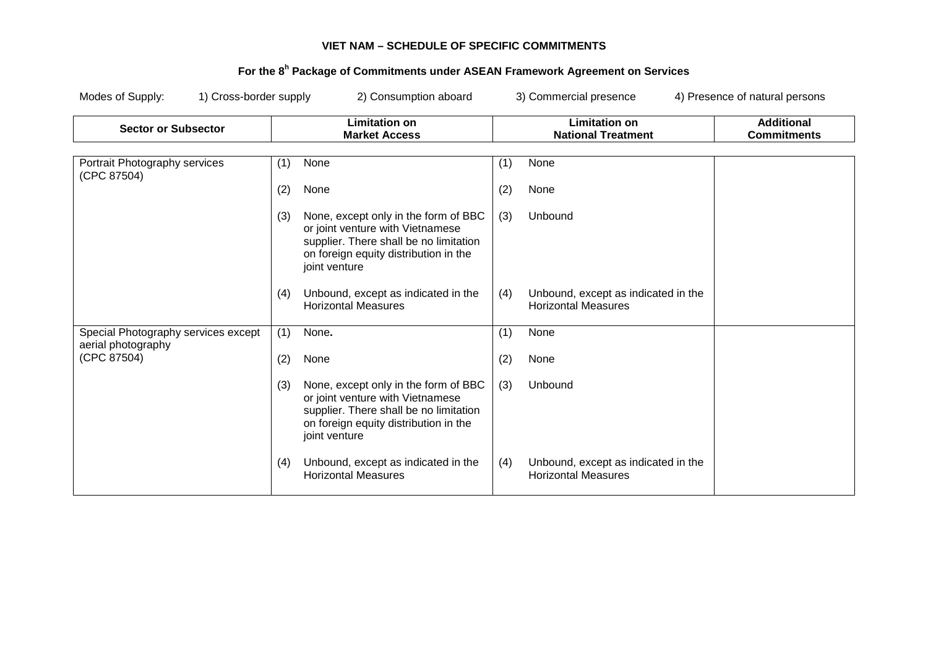| Modes of Supply:<br>1) Cross-border supply                | 2) Consumption aboard                                                                                                                                                               | 3) Commercial presence                                                   | 4) Presence of natural persons          |
|-----------------------------------------------------------|-------------------------------------------------------------------------------------------------------------------------------------------------------------------------------------|--------------------------------------------------------------------------|-----------------------------------------|
| <b>Sector or Subsector</b>                                | <b>Limitation on</b><br><b>Market Access</b>                                                                                                                                        | <b>Limitation on</b><br><b>National Treatment</b>                        | <b>Additional</b><br><b>Commitments</b> |
| Portrait Photography services<br>(CPC 87504)              | None<br>(1)                                                                                                                                                                         | (1)<br>None                                                              |                                         |
|                                                           | (2)<br>None                                                                                                                                                                         | (2)<br>None                                                              |                                         |
|                                                           | None, except only in the form of BBC<br>(3)<br>or joint venture with Vietnamese<br>supplier. There shall be no limitation<br>on foreign equity distribution in the<br>joint venture | Unbound<br>(3)                                                           |                                         |
|                                                           | Unbound, except as indicated in the<br>(4)<br><b>Horizontal Measures</b>                                                                                                            | Unbound, except as indicated in the<br>(4)<br><b>Horizontal Measures</b> |                                         |
| Special Photography services except<br>aerial photography | (1)<br>None.                                                                                                                                                                        | (1)<br>None                                                              |                                         |
| (CPC 87504)                                               | (2)<br>None                                                                                                                                                                         | (2)<br>None                                                              |                                         |
|                                                           | (3)<br>None, except only in the form of BBC<br>or joint venture with Vietnamese<br>supplier. There shall be no limitation<br>on foreign equity distribution in the<br>joint venture | (3)<br>Unbound                                                           |                                         |
|                                                           | Unbound, except as indicated in the<br>(4)<br><b>Horizontal Measures</b>                                                                                                            | Unbound, except as indicated in the<br>(4)<br><b>Horizontal Measures</b> |                                         |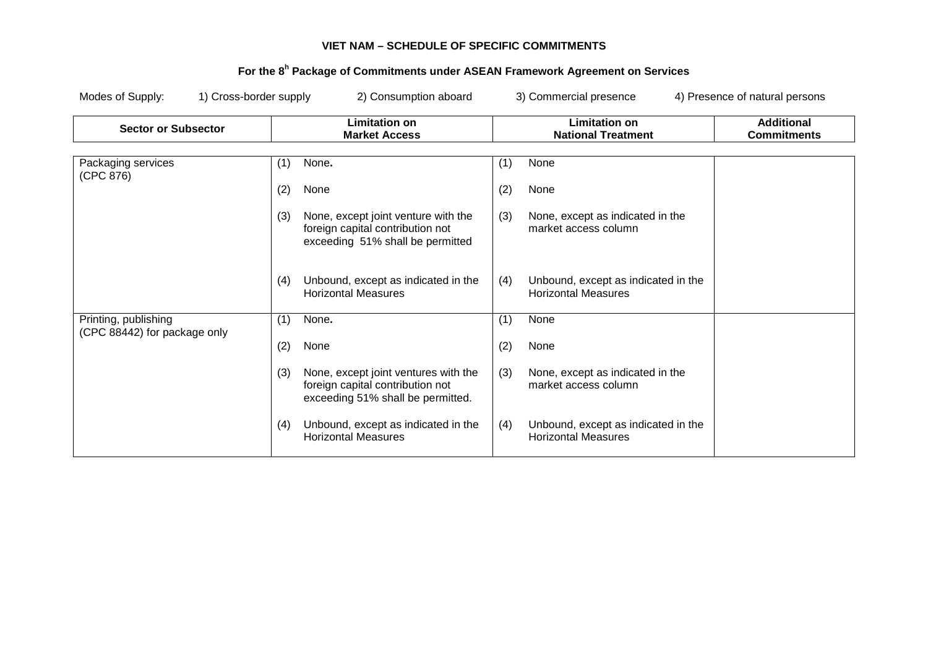| Modes of Supply:<br>1) Cross-border supply           | 2) Consumption aboard                                                                                                | 3) Commercial presence                                                   | 4) Presence of natural persons          |
|------------------------------------------------------|----------------------------------------------------------------------------------------------------------------------|--------------------------------------------------------------------------|-----------------------------------------|
| <b>Sector or Subsector</b>                           | <b>Limitation on</b><br><b>Market Access</b>                                                                         | <b>Limitation on</b><br><b>National Treatment</b>                        | <b>Additional</b><br><b>Commitments</b> |
| Packaging services<br>(CPC 876)                      | None.<br>(1)                                                                                                         | (1)<br>None                                                              |                                         |
|                                                      | (2)<br>None                                                                                                          | (2)<br>None                                                              |                                         |
|                                                      | (3)<br>None, except joint venture with the<br>foreign capital contribution not<br>exceeding 51% shall be permitted   | (3)<br>None, except as indicated in the<br>market access column          |                                         |
|                                                      | Unbound, except as indicated in the<br>(4)<br><b>Horizontal Measures</b>                                             | (4)<br>Unbound, except as indicated in the<br><b>Horizontal Measures</b> |                                         |
| Printing, publishing<br>(CPC 88442) for package only | None.<br>(1)                                                                                                         | (1)<br>None                                                              |                                         |
|                                                      | (2)<br>None                                                                                                          | (2)<br>None                                                              |                                         |
|                                                      | (3)<br>None, except joint ventures with the<br>foreign capital contribution not<br>exceeding 51% shall be permitted. | None, except as indicated in the<br>(3)<br>market access column          |                                         |
|                                                      | Unbound, except as indicated in the<br>(4)<br><b>Horizontal Measures</b>                                             | Unbound, except as indicated in the<br>(4)<br><b>Horizontal Measures</b> |                                         |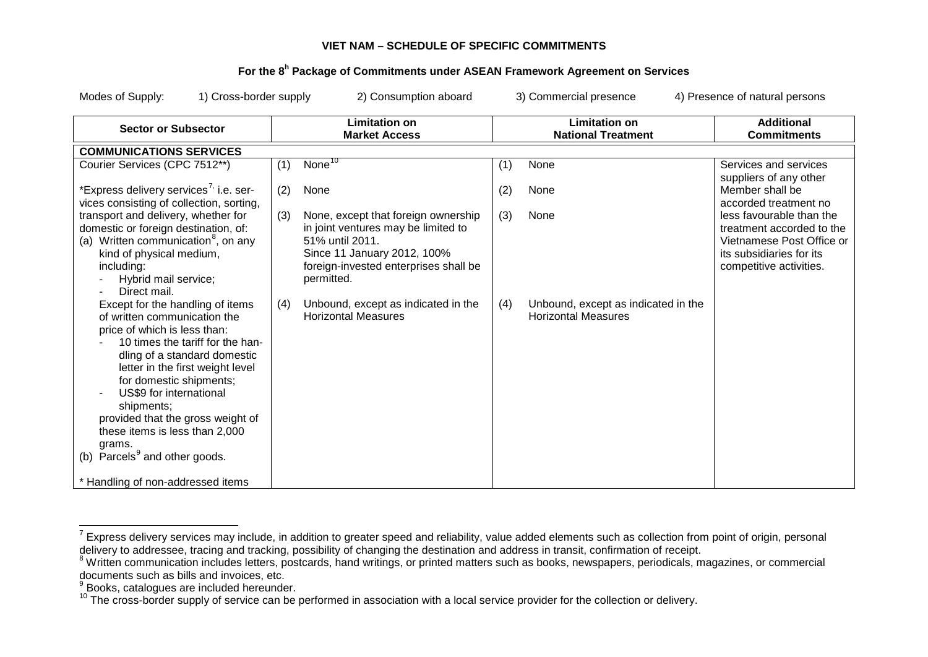<span id="page-15-3"></span><span id="page-15-2"></span><span id="page-15-1"></span><span id="page-15-0"></span>

| Modes of Supply:<br>1) Cross-border supply                                              |     | 2) Consumption aboard                                  |     | 3) Commercial presence                            | 4) Presence of natural persons                         |
|-----------------------------------------------------------------------------------------|-----|--------------------------------------------------------|-----|---------------------------------------------------|--------------------------------------------------------|
| <b>Sector or Subsector</b>                                                              |     | <b>Limitation on</b><br><b>Market Access</b>           |     | <b>Limitation on</b><br><b>National Treatment</b> | <b>Additional</b><br><b>Commitments</b>                |
| <b>COMMUNICATIONS SERVICES</b>                                                          |     |                                                        |     |                                                   |                                                        |
| Courier Services (CPC 7512**)                                                           | (1) | None $\overline{10}$                                   | (1) | None                                              | Services and services                                  |
|                                                                                         |     |                                                        |     |                                                   | suppliers of any other                                 |
| *Express delivery services <sup>7,</sup> i.e. ser-                                      | (2) | None                                                   | (2) | None                                              | Member shall be                                        |
| vices consisting of collection, sorting,                                                |     |                                                        |     |                                                   | accorded treatment no                                  |
| transport and delivery, whether for                                                     | (3) | None, except that foreign ownership                    | (3) | None                                              | less favourable than the                               |
| domestic or foreign destination, of:<br>(a) Written communication <sup>8</sup> , on any |     | in joint ventures may be limited to<br>51% until 2011. |     |                                                   | treatment accorded to the<br>Vietnamese Post Office or |
| kind of physical medium,                                                                |     | Since 11 January 2012, 100%                            |     |                                                   | its subsidiaries for its                               |
| including:                                                                              |     | foreign-invested enterprises shall be                  |     |                                                   | competitive activities.                                |
| Hybrid mail service;                                                                    |     | permitted.                                             |     |                                                   |                                                        |
| Direct mail.                                                                            |     |                                                        |     |                                                   |                                                        |
| Except for the handling of items                                                        | (4) | Unbound, except as indicated in the                    | (4) | Unbound, except as indicated in the               |                                                        |
| of written communication the                                                            |     | <b>Horizontal Measures</b>                             |     | <b>Horizontal Measures</b>                        |                                                        |
| price of which is less than:                                                            |     |                                                        |     |                                                   |                                                        |
| 10 times the tariff for the han-                                                        |     |                                                        |     |                                                   |                                                        |
| dling of a standard domestic                                                            |     |                                                        |     |                                                   |                                                        |
| letter in the first weight level<br>for domestic shipments;                             |     |                                                        |     |                                                   |                                                        |
| US\$9 for international                                                                 |     |                                                        |     |                                                   |                                                        |
| shipments;                                                                              |     |                                                        |     |                                                   |                                                        |
| provided that the gross weight of                                                       |     |                                                        |     |                                                   |                                                        |
| these items is less than 2,000                                                          |     |                                                        |     |                                                   |                                                        |
| grams.                                                                                  |     |                                                        |     |                                                   |                                                        |
| (b) Parcels <sup>9</sup> and other goods.                                               |     |                                                        |     |                                                   |                                                        |
| * Handling of non-addressed items                                                       |     |                                                        |     |                                                   |                                                        |

 $^7$  Express delivery services may include, in addition to greater speed and reliability, value added elements such as collection from point of origin, personal delivery to addressee, tracing and tracking, possibility of

<sup>8</sup> Written communication includes letters, postcards, hand writings, or printed matters such as books, newspapers, periodicals, magazines, or commercial documents such as bills and invoices, etc.

 $<sup>9</sup>$  Books, catalogues are included hereunder.</sup>

<sup>&</sup>lt;sup>10</sup> The cross-border supply of service can be performed in association with a local service provider for the collection or delivery.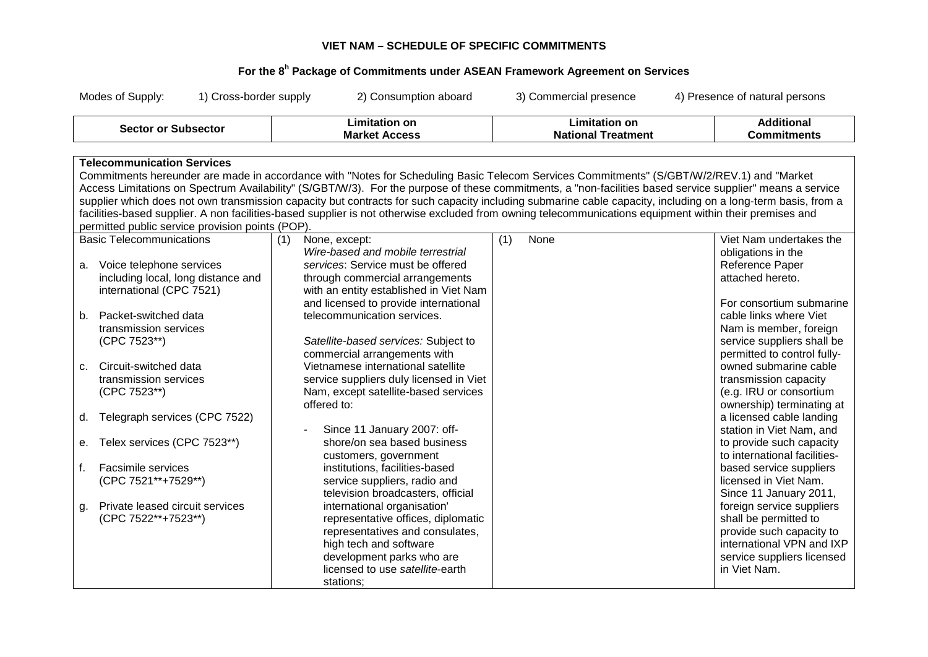| 2) Consumption aboard                                                                                                                                                                                                                                                                                                                                                                                                                                                                                                                                                                                                                                                                                                                                                                        | 3) Commercial presence                                                                                                                                         | 4) Presence of natural persons                                                                                                                                                                                                                                                                                                                                                                                                                                                                                                                                                                                                                                                             |
|----------------------------------------------------------------------------------------------------------------------------------------------------------------------------------------------------------------------------------------------------------------------------------------------------------------------------------------------------------------------------------------------------------------------------------------------------------------------------------------------------------------------------------------------------------------------------------------------------------------------------------------------------------------------------------------------------------------------------------------------------------------------------------------------|----------------------------------------------------------------------------------------------------------------------------------------------------------------|--------------------------------------------------------------------------------------------------------------------------------------------------------------------------------------------------------------------------------------------------------------------------------------------------------------------------------------------------------------------------------------------------------------------------------------------------------------------------------------------------------------------------------------------------------------------------------------------------------------------------------------------------------------------------------------------|
| <b>Limitation on</b><br><b>Market Access</b>                                                                                                                                                                                                                                                                                                                                                                                                                                                                                                                                                                                                                                                                                                                                                 | <b>Limitation on</b><br><b>National Treatment</b>                                                                                                              | <b>Additional</b><br><b>Commitments</b>                                                                                                                                                                                                                                                                                                                                                                                                                                                                                                                                                                                                                                                    |
|                                                                                                                                                                                                                                                                                                                                                                                                                                                                                                                                                                                                                                                                                                                                                                                              |                                                                                                                                                                |                                                                                                                                                                                                                                                                                                                                                                                                                                                                                                                                                                                                                                                                                            |
| None, except:<br>Wire-based and mobile terrestrial<br>services: Service must be offered<br>through commercial arrangements<br>with an entity established in Viet Nam<br>and licensed to provide international<br>telecommunication services.<br>Satellite-based services: Subject to<br>commercial arrangements with<br>Vietnamese international satellite<br>service suppliers duly licensed in Viet<br>Nam, except satellite-based services<br>offered to:<br>Since 11 January 2007: off-<br>shore/on sea based business<br>customers, government<br>institutions, facilities-based<br>service suppliers, radio and<br>television broadcasters, official<br>international organisation'<br>representative offices, diplomatic<br>representatives and consulates,<br>high tech and software | (1)<br>None                                                                                                                                                    | Viet Nam undertakes the<br>obligations in the<br>Reference Paper<br>attached hereto.<br>For consortium submarine<br>cable links where Viet<br>Nam is member, foreign<br>service suppliers shall be<br>permitted to control fully-<br>owned submarine cable<br>transmission capacity<br>(e.g. IRU or consortium<br>ownership) terminating at<br>a licensed cable landing<br>station in Viet Nam, and<br>to provide such capacity<br>to international facilities-<br>based service suppliers<br>licensed in Viet Nam.<br>Since 11 January 2011,<br>foreign service suppliers<br>shall be permitted to<br>provide such capacity to<br>international VPN and IXP<br>service suppliers licensed |
|                                                                                                                                                                                                                                                                                                                                                                                                                                                                                                                                                                                                                                                                                                                                                                                              | 1) Cross-border supply<br>permitted public service provision points (POP).<br>(1)<br>development parks who are<br>licensed to use satellite-earth<br>stations: | Commitments hereunder are made in accordance with "Notes for Scheduling Basic Telecom Services Commitments" (S/GBT/W/2/REV.1) and "Market<br>Access Limitations on Spectrum Availability" (S/GBT/W/3). For the purpose of these commitments, a "non-facilities based service supplier" means a service<br>supplier which does not own transmission capacity but contracts for such capacity including submarine cable capacity, including on a long-term basis, from a<br>facilities-based supplier. A non facilities-based supplier is not otherwise excluded from owning telecommunications equipment within their premises and                                                          |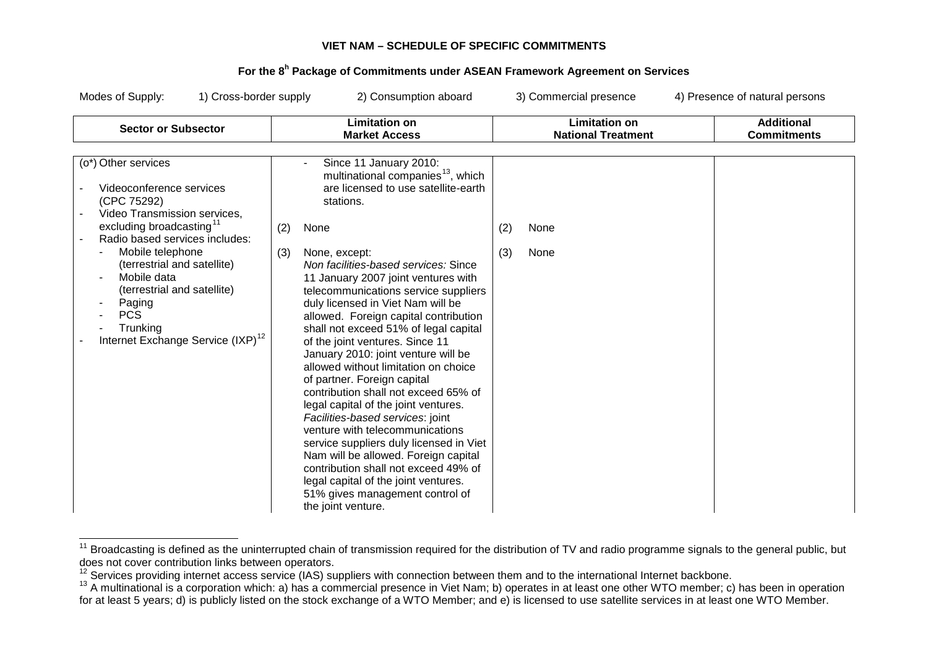<span id="page-17-2"></span><span id="page-17-1"></span><span id="page-17-0"></span>

| Modes of Supply:<br>1) Cross-border supply                                                                                                                                                                                                                                                                                                                     | 2) Consumption aboard                                                                                                                                                                                                                                                                                                                                                                                                                                                                                                                                                                                                                                                                                                                                                                                                                                                                                                                                                  | 3) Commercial presence                            | 4) Presence of natural persons          |
|----------------------------------------------------------------------------------------------------------------------------------------------------------------------------------------------------------------------------------------------------------------------------------------------------------------------------------------------------------------|------------------------------------------------------------------------------------------------------------------------------------------------------------------------------------------------------------------------------------------------------------------------------------------------------------------------------------------------------------------------------------------------------------------------------------------------------------------------------------------------------------------------------------------------------------------------------------------------------------------------------------------------------------------------------------------------------------------------------------------------------------------------------------------------------------------------------------------------------------------------------------------------------------------------------------------------------------------------|---------------------------------------------------|-----------------------------------------|
| <b>Sector or Subsector</b>                                                                                                                                                                                                                                                                                                                                     | <b>Limitation on</b><br><b>Market Access</b>                                                                                                                                                                                                                                                                                                                                                                                                                                                                                                                                                                                                                                                                                                                                                                                                                                                                                                                           | <b>Limitation on</b><br><b>National Treatment</b> | <b>Additional</b><br><b>Commitments</b> |
| (o*) Other services<br>Videoconference services<br>(CPC 75292)<br>Video Transmission services,<br>excluding broadcasting <sup>11</sup><br>Radio based services includes:<br>Mobile telephone<br>(terrestrial and satellite)<br>Mobile data<br>(terrestrial and satellite)<br>Paging<br><b>PCS</b><br>Trunking<br>Internet Exchange Service (IXP) <sup>12</sup> | Since 11 January 2010:<br>$\blacksquare$<br>multinational companies <sup>13</sup> , which<br>are licensed to use satellite-earth<br>stations.<br>None<br>(2)<br>(3)<br>None, except:<br>Non facilities-based services: Since<br>11 January 2007 joint ventures with<br>telecommunications service suppliers<br>duly licensed in Viet Nam will be<br>allowed. Foreign capital contribution<br>shall not exceed 51% of legal capital<br>of the joint ventures. Since 11<br>January 2010: joint venture will be<br>allowed without limitation on choice<br>of partner. Foreign capital<br>contribution shall not exceed 65% of<br>legal capital of the joint ventures.<br>Facilities-based services: joint<br>venture with telecommunications<br>service suppliers duly licensed in Viet<br>Nam will be allowed. Foreign capital<br>contribution shall not exceed 49% of<br>legal capital of the joint ventures.<br>51% gives management control of<br>the joint venture. | (2)<br>None<br>(3)<br>None                        |                                         |

<sup>————————————————————&</sup>lt;br><sup>11</sup> Broadcasting is defined as the uninterrupted chain of transmission required for the distribution of TV and radio programme signals to the general public, but

does not cover contribution links between operators.<br><sup>12</sup> Services providing internet access service (IAS) suppliers with connection between them and to the international Internet backbone.

 $13$  A multinational is a corporation which: a) has a commercial presence in Viet Nam; b) operates in at least one other WTO member; c) has been in operation for at least 5 years; d) is publicly listed on the stock exchange of a WTO Member; and e) is licensed to use satellite services in at least one WTO Member.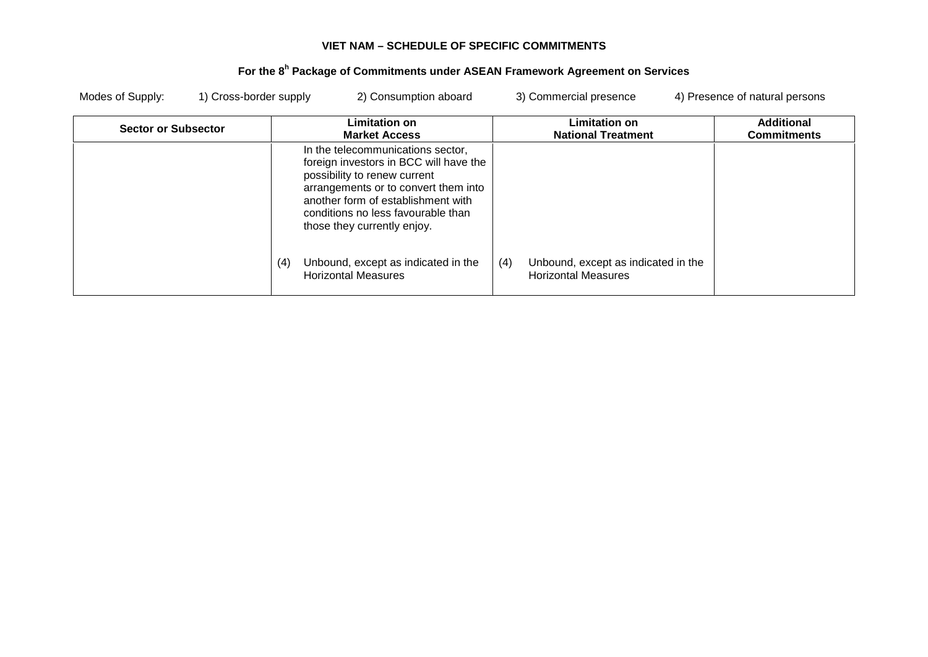| Modes of Supply:           | 1) Cross-border supply | 2) Consumption aboard                                                                                                                                                                                                                                          | 3) Commercial presence                                                   | 4) Presence of natural persons          |
|----------------------------|------------------------|----------------------------------------------------------------------------------------------------------------------------------------------------------------------------------------------------------------------------------------------------------------|--------------------------------------------------------------------------|-----------------------------------------|
| <b>Sector or Subsector</b> |                        | Limitation on<br><b>Market Access</b>                                                                                                                                                                                                                          | Limitation on<br><b>National Treatment</b>                               | <b>Additional</b><br><b>Commitments</b> |
|                            |                        | In the telecommunications sector.<br>foreign investors in BCC will have the<br>possibility to renew current<br>arrangements or to convert them into<br>another form of establishment with<br>conditions no less favourable than<br>those they currently enjoy. |                                                                          |                                         |
|                            |                        | Unbound, except as indicated in the<br>(4)<br><b>Horizontal Measures</b>                                                                                                                                                                                       | (4)<br>Unbound, except as indicated in the<br><b>Horizontal Measures</b> |                                         |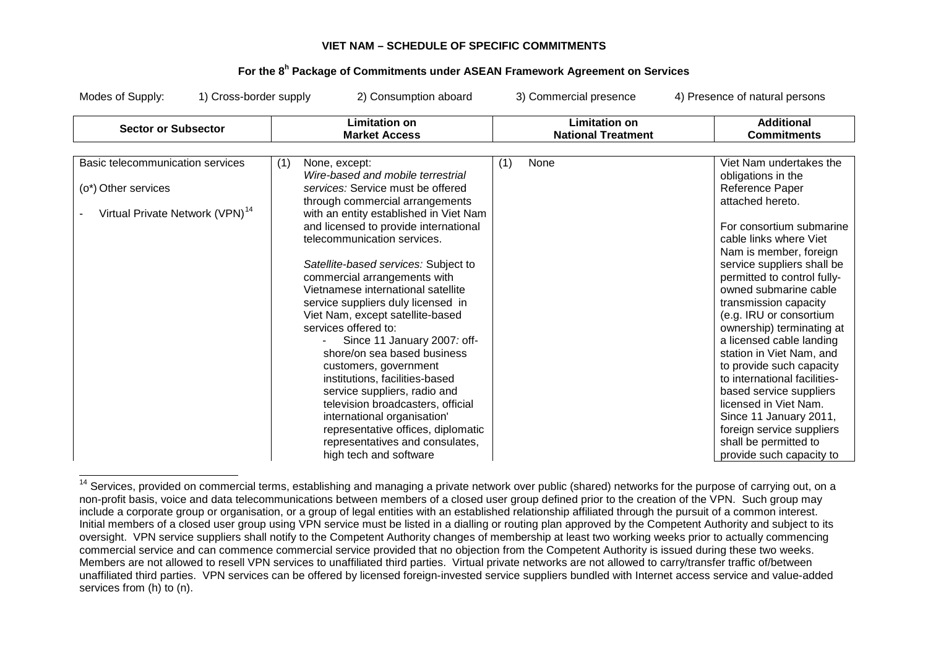<span id="page-19-0"></span>

| Modes of Supply:                                                                                       | 1) Cross-border supply |                                              | 2) Consumption aboard                                                                                                                                                                                                                                                                                                                                                                                                                                                             |     | 3) Commercial presence                            |  | 4) Presence of natural persons                                                                                                                                                                                                                                                                                                                                                                      |
|--------------------------------------------------------------------------------------------------------|------------------------|----------------------------------------------|-----------------------------------------------------------------------------------------------------------------------------------------------------------------------------------------------------------------------------------------------------------------------------------------------------------------------------------------------------------------------------------------------------------------------------------------------------------------------------------|-----|---------------------------------------------------|--|-----------------------------------------------------------------------------------------------------------------------------------------------------------------------------------------------------------------------------------------------------------------------------------------------------------------------------------------------------------------------------------------------------|
| <b>Sector or Subsector</b>                                                                             |                        | <b>Limitation on</b><br><b>Market Access</b> |                                                                                                                                                                                                                                                                                                                                                                                                                                                                                   |     | <b>Limitation on</b><br><b>National Treatment</b> |  | <b>Additional</b><br><b>Commitments</b>                                                                                                                                                                                                                                                                                                                                                             |
| Basic telecommunication services<br>(o*) Other services<br>Virtual Private Network (VPN) <sup>14</sup> |                        | (1)<br>None, except:<br>services offered to: | Wire-based and mobile terrestrial<br>services: Service must be offered<br>through commercial arrangements<br>with an entity established in Viet Nam<br>and licensed to provide international<br>telecommunication services.<br>Satellite-based services: Subject to<br>commercial arrangements with<br>Vietnamese international satellite<br>service suppliers duly licensed in<br>Viet Nam, except satellite-based<br>Since 11 January 2007: off-<br>shore/on sea based business | (1) | None                                              |  | Viet Nam undertakes the<br>obligations in the<br>Reference Paper<br>attached hereto.<br>For consortium submarine<br>cable links where Viet<br>Nam is member, foreign<br>service suppliers shall be<br>permitted to control fully-<br>owned submarine cable<br>transmission capacity<br>(e.g. IRU or consortium<br>ownership) terminating at<br>a licensed cable landing<br>station in Viet Nam, and |
|                                                                                                        |                        |                                              | customers, government<br>institutions, facilities-based<br>service suppliers, radio and<br>television broadcasters, official<br>international organisation'<br>representative offices, diplomatic<br>representatives and consulates,<br>high tech and software                                                                                                                                                                                                                    |     |                                                   |  | to provide such capacity<br>to international facilities-<br>based service suppliers<br>licensed in Viet Nam.<br>Since 11 January 2011,<br>foreign service suppliers<br>shall be permitted to<br>provide such capacity to                                                                                                                                                                            |

<sup>&</sup>lt;sup>14</sup> Services, provided on commercial terms, establishing and managing a private network over public (shared) networks for the purpose of carrying out, on a non-profit basis, voice and data telecommunications between members of a closed user group defined prior to the creation of the VPN. Such group may include a corporate group or organisation, or a group of legal entities with an established relationship affiliated through the pursuit of a common interest. Initial members of a closed user group using VPN service must be listed in a dialling or routing plan approved by the Competent Authority and subject to its oversight. VPN service suppliers shall notify to the Competent Authority changes of membership at least two working weeks prior to actually commencing commercial service and can commence commercial service provided that no objection from the Competent Authority is issued during these two weeks. Members are not allowed to resell VPN services to unaffiliated third parties. Virtual private networks are not allowed to carry/transfer traffic of/between unaffiliated third parties. VPN services can be offered by licensed foreign-invested service suppliers bundled with Internet access service and value-added services from (h) to (n).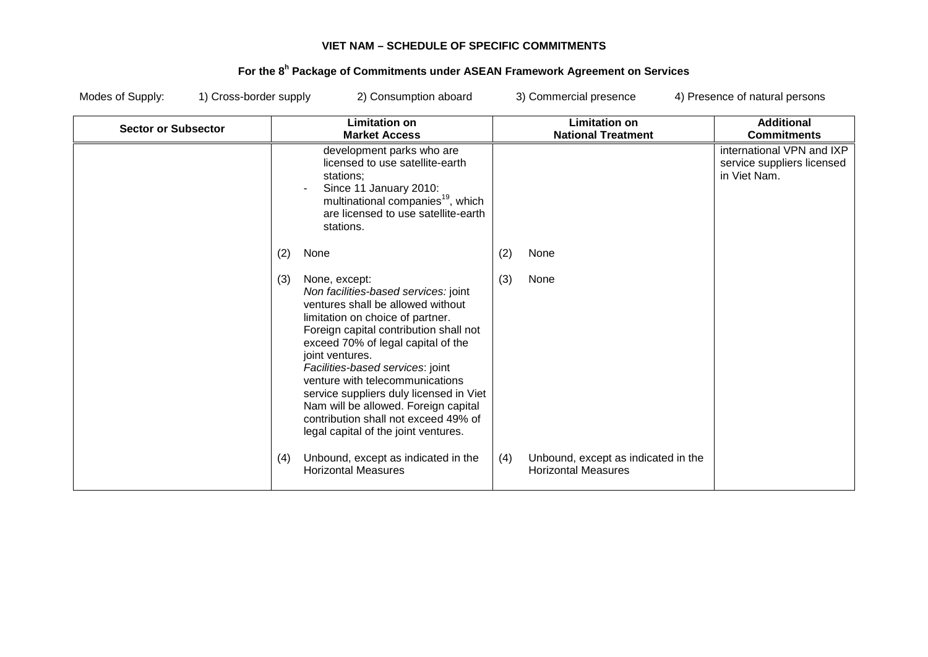| Modes of Supply:           | 1) Cross-border supply | 2) Consumption aboard                                                                                                                                                                                                                                                                                                                                                                                                                                                       |     | 3) Commercial presence                                            | 4) Presence of natural persons                                          |
|----------------------------|------------------------|-----------------------------------------------------------------------------------------------------------------------------------------------------------------------------------------------------------------------------------------------------------------------------------------------------------------------------------------------------------------------------------------------------------------------------------------------------------------------------|-----|-------------------------------------------------------------------|-------------------------------------------------------------------------|
| <b>Sector or Subsector</b> |                        | <b>Limitation on</b><br><b>Market Access</b>                                                                                                                                                                                                                                                                                                                                                                                                                                |     | <b>Limitation on</b><br><b>National Treatment</b>                 | <b>Additional</b><br><b>Commitments</b>                                 |
|                            |                        | development parks who are<br>licensed to use satellite-earth<br>stations;<br>Since 11 January 2010:<br>multinational companies <sup>19</sup> , which<br>are licensed to use satellite-earth<br>stations.                                                                                                                                                                                                                                                                    |     |                                                                   | international VPN and IXP<br>service suppliers licensed<br>in Viet Nam. |
|                            | (2)                    | None                                                                                                                                                                                                                                                                                                                                                                                                                                                                        | (2) | None                                                              |                                                                         |
|                            | (3)                    | None, except:<br>Non facilities-based services: joint<br>ventures shall be allowed without<br>limitation on choice of partner.<br>Foreign capital contribution shall not<br>exceed 70% of legal capital of the<br>joint ventures.<br>Facilities-based services: joint<br>venture with telecommunications<br>service suppliers duly licensed in Viet<br>Nam will be allowed. Foreign capital<br>contribution shall not exceed 49% of<br>legal capital of the joint ventures. | (3) | None                                                              |                                                                         |
|                            | (4)                    | Unbound, except as indicated in the<br><b>Horizontal Measures</b>                                                                                                                                                                                                                                                                                                                                                                                                           | (4) | Unbound, except as indicated in the<br><b>Horizontal Measures</b> |                                                                         |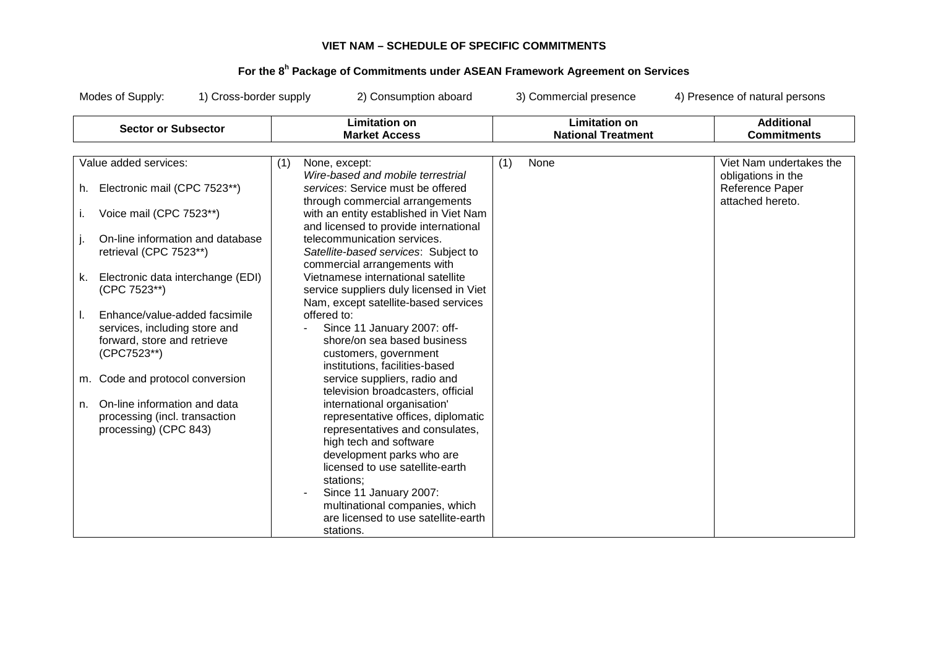| Modes of Supply:                   | 1) Cross-border supply            |     | 2) Consumption aboard                                                |     | 3) Commercial presence                            |  | 4) Presence of natural persons          |
|------------------------------------|-----------------------------------|-----|----------------------------------------------------------------------|-----|---------------------------------------------------|--|-----------------------------------------|
| <b>Sector or Subsector</b>         |                                   |     | <b>Limitation on</b><br><b>Market Access</b>                         |     | <b>Limitation on</b><br><b>National Treatment</b> |  | <b>Additional</b><br><b>Commitments</b> |
| Value added services:              |                                   | (1) | None, except:                                                        | (1) | None                                              |  | Viet Nam undertakes the                 |
|                                    |                                   |     | Wire-based and mobile terrestrial                                    |     |                                                   |  | obligations in the                      |
| Electronic mail (CPC 7523**)<br>h. |                                   |     | services: Service must be offered                                    |     |                                                   |  | Reference Paper                         |
|                                    |                                   |     | through commercial arrangements                                      |     |                                                   |  | attached hereto.                        |
| Voice mail (CPC 7523**)<br>j.      |                                   |     | with an entity established in Viet Nam                               |     |                                                   |  |                                         |
|                                    | On-line information and database  |     | and licensed to provide international<br>telecommunication services. |     |                                                   |  |                                         |
| retrieval (CPC 7523**)             |                                   |     | Satellite-based services: Subject to                                 |     |                                                   |  |                                         |
|                                    |                                   |     | commercial arrangements with                                         |     |                                                   |  |                                         |
| k.                                 | Electronic data interchange (EDI) |     | Vietnamese international satellite                                   |     |                                                   |  |                                         |
| (CPC 7523**)                       |                                   |     | service suppliers duly licensed in Viet                              |     |                                                   |  |                                         |
|                                    |                                   |     | Nam, except satellite-based services                                 |     |                                                   |  |                                         |
| Enhance/value-added facsimile      |                                   |     | offered to:                                                          |     |                                                   |  |                                         |
| services, including store and      |                                   |     | Since 11 January 2007: off-                                          |     |                                                   |  |                                         |
| forward, store and retrieve        |                                   |     | shore/on sea based business                                          |     |                                                   |  |                                         |
| (CPC7523**)                        |                                   |     | customers, government                                                |     |                                                   |  |                                         |
|                                    |                                   |     | institutions, facilities-based                                       |     |                                                   |  |                                         |
| m. Code and protocol conversion    |                                   |     | service suppliers, radio and<br>television broadcasters, official    |     |                                                   |  |                                         |
| On-line information and data<br>n. |                                   |     | international organisation'                                          |     |                                                   |  |                                         |
| processing (incl. transaction      |                                   |     | representative offices, diplomatic                                   |     |                                                   |  |                                         |
| processing) (CPC 843)              |                                   |     | representatives and consulates,                                      |     |                                                   |  |                                         |
|                                    |                                   |     | high tech and software                                               |     |                                                   |  |                                         |
|                                    |                                   |     | development parks who are                                            |     |                                                   |  |                                         |
|                                    |                                   |     | licensed to use satellite-earth                                      |     |                                                   |  |                                         |
|                                    |                                   |     | stations:                                                            |     |                                                   |  |                                         |
|                                    |                                   |     | Since 11 January 2007:                                               |     |                                                   |  |                                         |
|                                    |                                   |     | multinational companies, which                                       |     |                                                   |  |                                         |
|                                    |                                   |     | are licensed to use satellite-earth                                  |     |                                                   |  |                                         |
|                                    |                                   |     | stations.                                                            |     |                                                   |  |                                         |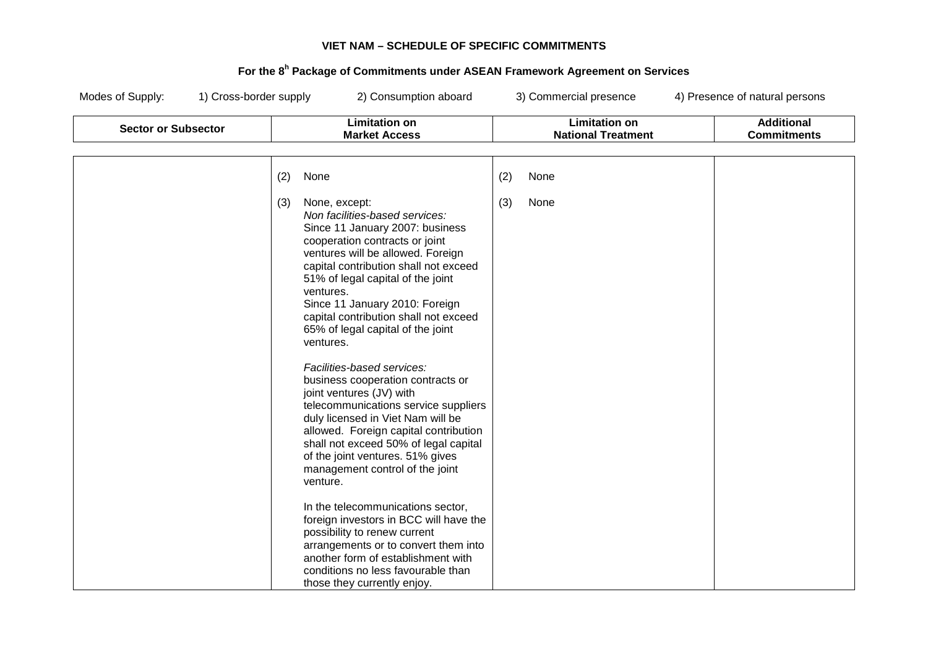| Modes of Supply:           | 1) Cross-border supply<br>2) Consumption aboard                                                                                                                                                                                                                                                                                                                                          | 3) Commercial presence                            | 4) Presence of natural persons          |
|----------------------------|------------------------------------------------------------------------------------------------------------------------------------------------------------------------------------------------------------------------------------------------------------------------------------------------------------------------------------------------------------------------------------------|---------------------------------------------------|-----------------------------------------|
| <b>Sector or Subsector</b> | <b>Limitation on</b><br><b>Market Access</b>                                                                                                                                                                                                                                                                                                                                             | <b>Limitation on</b><br><b>National Treatment</b> | <b>Additional</b><br><b>Commitments</b> |
|                            | None<br>(2)                                                                                                                                                                                                                                                                                                                                                                              | None<br>(2)                                       |                                         |
|                            | (3)<br>None, except:<br>Non facilities-based services:<br>Since 11 January 2007: business<br>cooperation contracts or joint<br>ventures will be allowed. Foreign<br>capital contribution shall not exceed<br>51% of legal capital of the joint<br>ventures.<br>Since 11 January 2010: Foreign<br>capital contribution shall not exceed<br>65% of legal capital of the joint<br>ventures. | (3)<br>None                                       |                                         |
|                            | Facilities-based services:<br>business cooperation contracts or<br>joint ventures (JV) with<br>telecommunications service suppliers<br>duly licensed in Viet Nam will be<br>allowed. Foreign capital contribution<br>shall not exceed 50% of legal capital<br>of the joint ventures. 51% gives<br>management control of the joint<br>venture.                                            |                                                   |                                         |
|                            | In the telecommunications sector,<br>foreign investors in BCC will have the<br>possibility to renew current<br>arrangements or to convert them into<br>another form of establishment with<br>conditions no less favourable than<br>those they currently enjoy.                                                                                                                           |                                                   |                                         |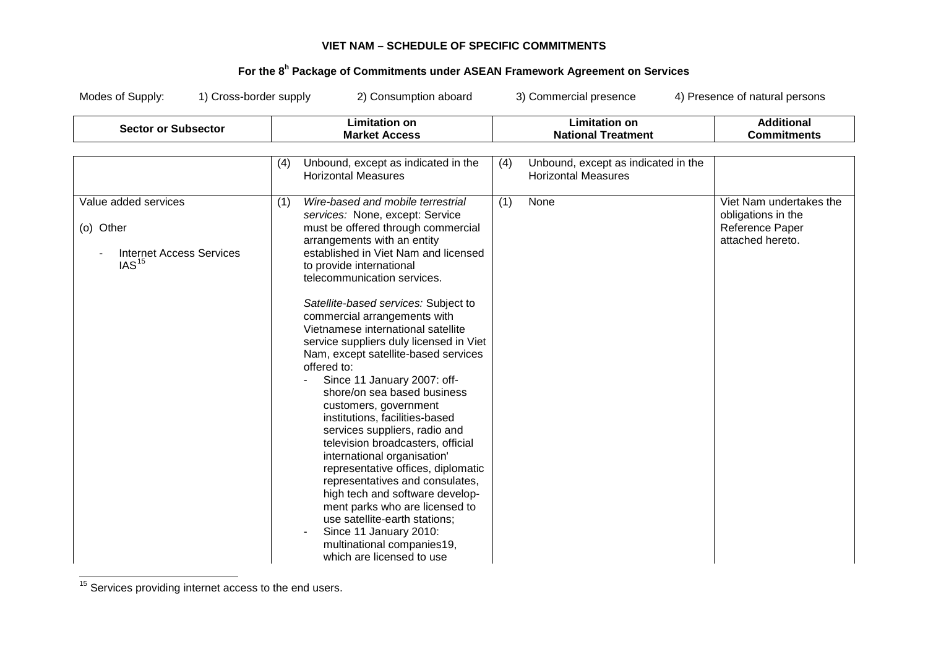<span id="page-23-0"></span>

| 1) Cross-border supply<br>Modes of Supply:                                                | 2) Consumption aboard                                                                                                                                                                                                                                                                                                                                                                                                                                                                                                                                                                                                                                                                                                                                                                                                                                                                                                                                                 | 3) Commercial presence                                                   | 4) Presence of natural persons                                                       |
|-------------------------------------------------------------------------------------------|-----------------------------------------------------------------------------------------------------------------------------------------------------------------------------------------------------------------------------------------------------------------------------------------------------------------------------------------------------------------------------------------------------------------------------------------------------------------------------------------------------------------------------------------------------------------------------------------------------------------------------------------------------------------------------------------------------------------------------------------------------------------------------------------------------------------------------------------------------------------------------------------------------------------------------------------------------------------------|--------------------------------------------------------------------------|--------------------------------------------------------------------------------------|
| <b>Sector or Subsector</b>                                                                | <b>Limitation on</b><br><b>Market Access</b>                                                                                                                                                                                                                                                                                                                                                                                                                                                                                                                                                                                                                                                                                                                                                                                                                                                                                                                          | <b>Limitation on</b><br><b>National Treatment</b>                        | <b>Additional</b><br><b>Commitments</b>                                              |
|                                                                                           | Unbound, except as indicated in the<br>(4)<br><b>Horizontal Measures</b>                                                                                                                                                                                                                                                                                                                                                                                                                                                                                                                                                                                                                                                                                                                                                                                                                                                                                              | Unbound, except as indicated in the<br>(4)<br><b>Horizontal Measures</b> |                                                                                      |
| Value added services<br>(o) Other<br><b>Internet Access Services</b><br>IAS <sup>15</sup> | Wire-based and mobile terrestrial<br>(1)<br>services: None, except: Service<br>must be offered through commercial<br>arrangements with an entity<br>established in Viet Nam and licensed<br>to provide international<br>telecommunication services.<br>Satellite-based services: Subject to<br>commercial arrangements with<br>Vietnamese international satellite<br>service suppliers duly licensed in Viet<br>Nam, except satellite-based services<br>offered to:<br>Since 11 January 2007: off-<br>shore/on sea based business<br>customers, government<br>institutions, facilities-based<br>services suppliers, radio and<br>television broadcasters, official<br>international organisation'<br>representative offices, diplomatic<br>representatives and consulates,<br>high tech and software develop-<br>ment parks who are licensed to<br>use satellite-earth stations;<br>Since 11 January 2010:<br>multinational companies19,<br>which are licensed to use | None<br>(1)                                                              | Viet Nam undertakes the<br>obligations in the<br>Reference Paper<br>attached hereto. |

<sup>&</sup>lt;sup>15</sup> Services providing internet access to the end users.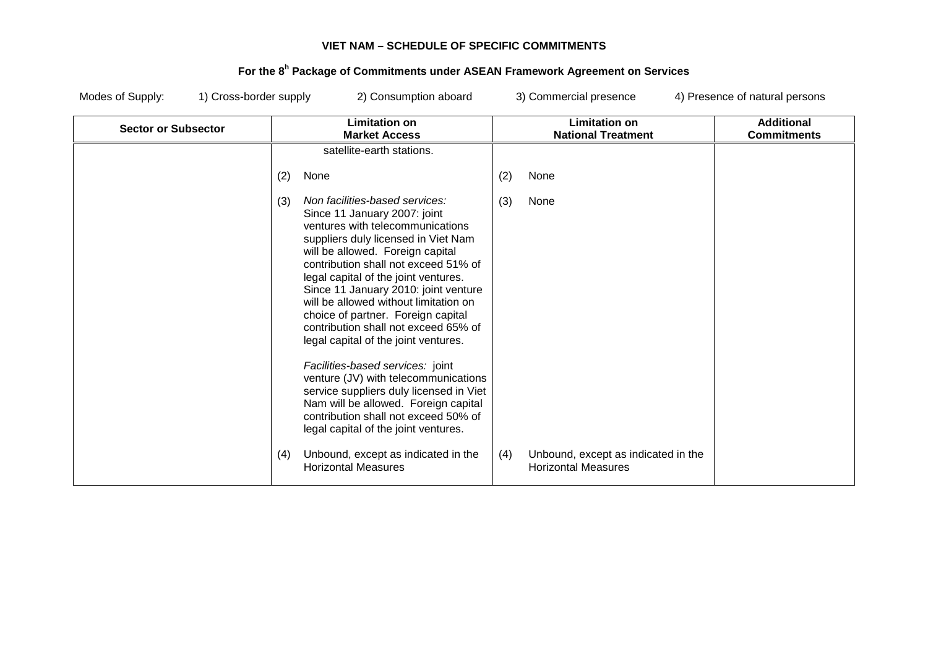| Modes of Supply:           | 1) Cross-border supply | 2) Consumption aboard                                                                                                                                                                                                                                                                                                                                                                                                                                                |     | 3) Commercial presence                                            | 4) Presence of natural persons          |
|----------------------------|------------------------|----------------------------------------------------------------------------------------------------------------------------------------------------------------------------------------------------------------------------------------------------------------------------------------------------------------------------------------------------------------------------------------------------------------------------------------------------------------------|-----|-------------------------------------------------------------------|-----------------------------------------|
| <b>Sector or Subsector</b> |                        | <b>Limitation on</b><br><b>Market Access</b>                                                                                                                                                                                                                                                                                                                                                                                                                         |     | <b>Limitation on</b><br><b>National Treatment</b>                 | <b>Additional</b><br><b>Commitments</b> |
|                            |                        | satellite-earth stations.                                                                                                                                                                                                                                                                                                                                                                                                                                            |     |                                                                   |                                         |
|                            | (2)                    | None                                                                                                                                                                                                                                                                                                                                                                                                                                                                 | (2) | None                                                              |                                         |
|                            | (3)                    | Non facilities-based services:<br>Since 11 January 2007: joint<br>ventures with telecommunications<br>suppliers duly licensed in Viet Nam<br>will be allowed. Foreign capital<br>contribution shall not exceed 51% of<br>legal capital of the joint ventures.<br>Since 11 January 2010: joint venture<br>will be allowed without limitation on<br>choice of partner. Foreign capital<br>contribution shall not exceed 65% of<br>legal capital of the joint ventures. | (3) | None                                                              |                                         |
|                            |                        | Facilities-based services: joint<br>venture (JV) with telecommunications<br>service suppliers duly licensed in Viet<br>Nam will be allowed. Foreign capital<br>contribution shall not exceed 50% of<br>legal capital of the joint ventures.                                                                                                                                                                                                                          |     |                                                                   |                                         |
|                            | (4)                    | Unbound, except as indicated in the<br><b>Horizontal Measures</b>                                                                                                                                                                                                                                                                                                                                                                                                    | (4) | Unbound, except as indicated in the<br><b>Horizontal Measures</b> |                                         |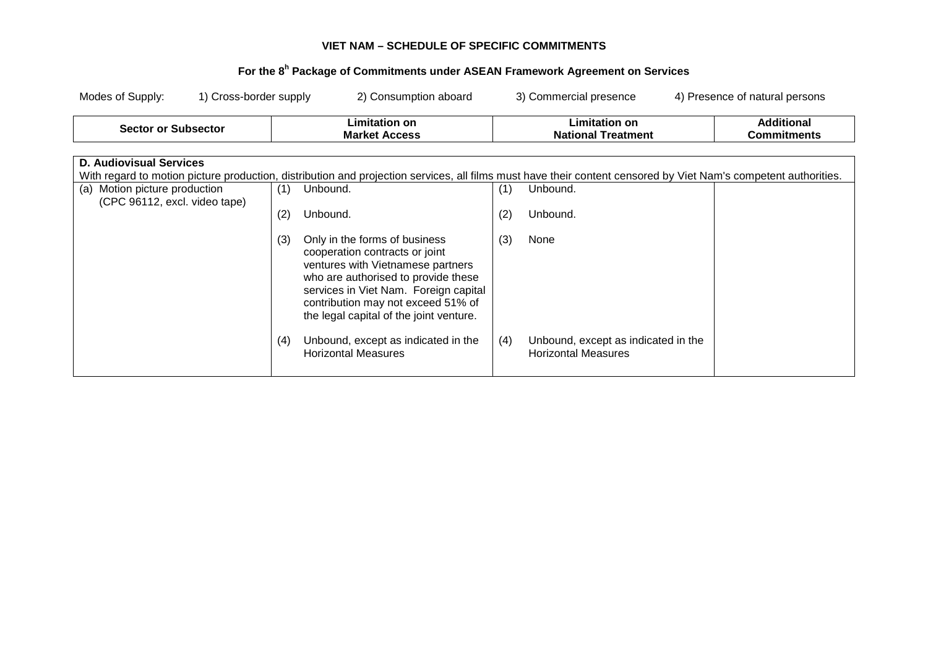| Modes of Supply:                                                  | 1) Cross-border supply |                                       | 2) Consumption aboard                                                                                                                                                                                                                                                 |                                            | 3) Commercial presence                                            |                                         | 4) Presence of natural persons |
|-------------------------------------------------------------------|------------------------|---------------------------------------|-----------------------------------------------------------------------------------------------------------------------------------------------------------------------------------------------------------------------------------------------------------------------|--------------------------------------------|-------------------------------------------------------------------|-----------------------------------------|--------------------------------|
| <b>Sector or Subsector</b>                                        |                        | Limitation on<br><b>Market Access</b> |                                                                                                                                                                                                                                                                       | Limitation on<br><b>National Treatment</b> |                                                                   | <b>Additional</b><br><b>Commitments</b> |                                |
| <b>D. Audiovisual Services</b>                                    |                        |                                       | With regard to motion picture production, distribution and projection services, all films must have their content censored by Viet Nam's competent authorities.                                                                                                       |                                            |                                                                   |                                         |                                |
| Motion picture production<br>(a)<br>(CPC 96112, excl. video tape) |                        | (1)<br>(2)                            | Unbound.<br>Unbound.                                                                                                                                                                                                                                                  | (1)<br>(2)                                 | Unbound.<br>Unbound.                                              |                                         |                                |
|                                                                   |                        | (3)                                   | Only in the forms of business<br>cooperation contracts or joint<br>ventures with Vietnamese partners<br>who are authorised to provide these<br>services in Viet Nam. Foreign capital<br>contribution may not exceed 51% of<br>the legal capital of the joint venture. | (3)                                        | None                                                              |                                         |                                |
|                                                                   |                        | (4)                                   | Unbound, except as indicated in the<br><b>Horizontal Measures</b>                                                                                                                                                                                                     | (4)                                        | Unbound, except as indicated in the<br><b>Horizontal Measures</b> |                                         |                                |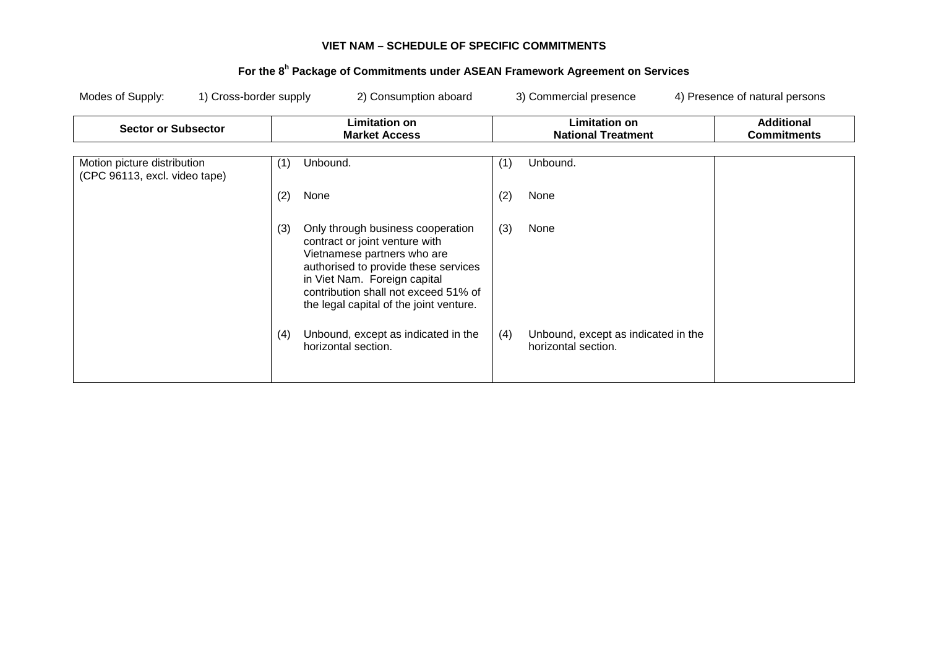| Modes of Supply:<br>1) Cross-border supply                   | 2) Consumption aboard                                                                                                                                                                                                                                                | 3) Commercial presence                                            | 4) Presence of natural persons          |
|--------------------------------------------------------------|----------------------------------------------------------------------------------------------------------------------------------------------------------------------------------------------------------------------------------------------------------------------|-------------------------------------------------------------------|-----------------------------------------|
| <b>Sector or Subsector</b>                                   | <b>Limitation on</b><br><b>Market Access</b>                                                                                                                                                                                                                         | <b>Limitation on</b><br><b>National Treatment</b>                 | <b>Additional</b><br><b>Commitments</b> |
| Motion picture distribution<br>(CPC 96113, excl. video tape) | (1)<br>Unbound.                                                                                                                                                                                                                                                      | Unbound.<br>(1)                                                   |                                         |
|                                                              | (2)<br>None                                                                                                                                                                                                                                                          | (2)<br>None                                                       |                                         |
|                                                              | (3)<br>Only through business cooperation<br>contract or joint venture with<br>Vietnamese partners who are<br>authorised to provide these services<br>in Viet Nam. Foreign capital<br>contribution shall not exceed 51% of<br>the legal capital of the joint venture. | (3)<br>None                                                       |                                         |
|                                                              | (4)<br>Unbound, except as indicated in the<br>horizontal section.                                                                                                                                                                                                    | (4)<br>Unbound, except as indicated in the<br>horizontal section. |                                         |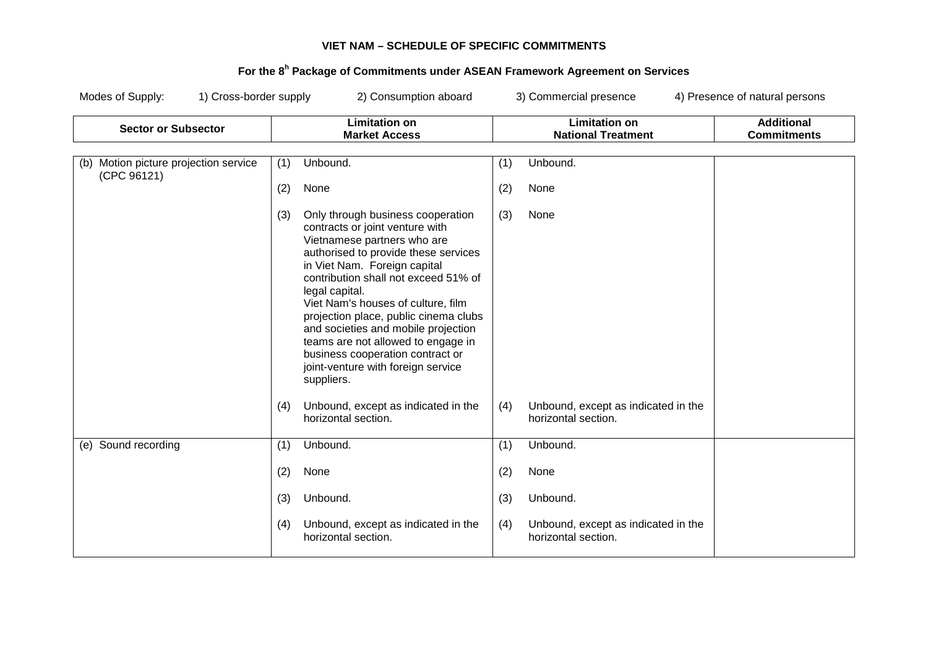| Modes of Supply:<br>1) Cross-border supply              | 2) Consumption aboard                                                                                                                                                                                                                                                                                                                                                                                                                                                                            | 3) Commercial presence                                            | 4) Presence of natural persons          |
|---------------------------------------------------------|--------------------------------------------------------------------------------------------------------------------------------------------------------------------------------------------------------------------------------------------------------------------------------------------------------------------------------------------------------------------------------------------------------------------------------------------------------------------------------------------------|-------------------------------------------------------------------|-----------------------------------------|
| <b>Sector or Subsector</b>                              | <b>Limitation on</b><br><b>Market Access</b>                                                                                                                                                                                                                                                                                                                                                                                                                                                     | <b>Limitation on</b><br><b>National Treatment</b>                 | <b>Additional</b><br><b>Commitments</b> |
| Motion picture projection service<br>(b)<br>(CPC 96121) | Unbound.<br>(1)                                                                                                                                                                                                                                                                                                                                                                                                                                                                                  | Unbound.<br>(1)                                                   |                                         |
|                                                         | (2)<br>None                                                                                                                                                                                                                                                                                                                                                                                                                                                                                      | (2)<br>None                                                       |                                         |
|                                                         | Only through business cooperation<br>(3)<br>contracts or joint venture with<br>Vietnamese partners who are<br>authorised to provide these services<br>in Viet Nam. Foreign capital<br>contribution shall not exceed 51% of<br>legal capital.<br>Viet Nam's houses of culture, film<br>projection place, public cinema clubs<br>and societies and mobile projection<br>teams are not allowed to engage in<br>business cooperation contract or<br>joint-venture with foreign service<br>suppliers. | (3)<br>None                                                       |                                         |
|                                                         | Unbound, except as indicated in the<br>(4)<br>horizontal section.                                                                                                                                                                                                                                                                                                                                                                                                                                | (4)<br>Unbound, except as indicated in the<br>horizontal section. |                                         |
| (e) Sound recording                                     | Unbound.<br>(1)                                                                                                                                                                                                                                                                                                                                                                                                                                                                                  | Unbound.<br>(1)                                                   |                                         |
|                                                         | (2)<br>None                                                                                                                                                                                                                                                                                                                                                                                                                                                                                      | (2)<br>None                                                       |                                         |
|                                                         | Unbound.<br>(3)                                                                                                                                                                                                                                                                                                                                                                                                                                                                                  | Unbound.<br>(3)                                                   |                                         |
|                                                         | Unbound, except as indicated in the<br>(4)<br>horizontal section.                                                                                                                                                                                                                                                                                                                                                                                                                                | (4)<br>Unbound, except as indicated in the<br>horizontal section. |                                         |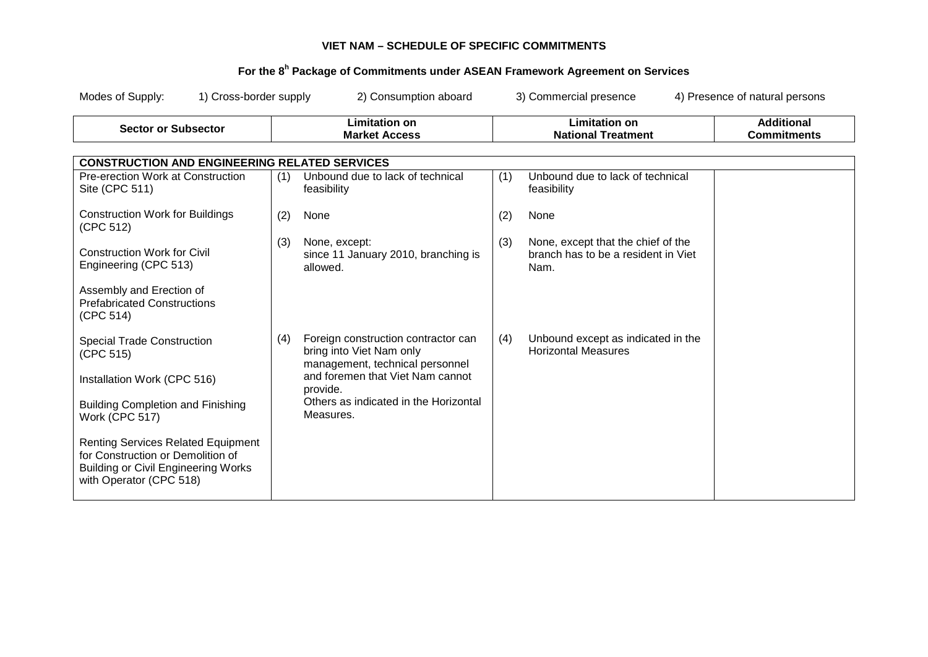| Modes of Supply:<br>1) Cross-border supply                                                                                                              | 2) Consumption aboard                                                                                     | 3) Commercial presence                                                                   | 4) Presence of natural persons          |  |  |  |  |  |
|---------------------------------------------------------------------------------------------------------------------------------------------------------|-----------------------------------------------------------------------------------------------------------|------------------------------------------------------------------------------------------|-----------------------------------------|--|--|--|--|--|
| <b>Sector or Subsector</b>                                                                                                                              | <b>Limitation on</b><br><b>Market Access</b>                                                              | <b>Limitation on</b><br><b>National Treatment</b>                                        | <b>Additional</b><br><b>Commitments</b> |  |  |  |  |  |
| <b>CONSTRUCTION AND ENGINEERING RELATED SERVICES</b>                                                                                                    |                                                                                                           |                                                                                          |                                         |  |  |  |  |  |
| Pre-erection Work at Construction<br>Site (CPC 511)                                                                                                     | Unbound due to lack of technical<br>(1)<br>feasibility                                                    | Unbound due to lack of technical<br>(1)<br>feasibility                                   |                                         |  |  |  |  |  |
| <b>Construction Work for Buildings</b><br>(CPC 512)                                                                                                     | (2)<br>None                                                                                               | None<br>(2)                                                                              |                                         |  |  |  |  |  |
| <b>Construction Work for Civil</b><br>Engineering (CPC 513)                                                                                             | (3)<br>None, except:<br>since 11 January 2010, branching is<br>allowed.                                   | (3)<br>None, except that the chief of the<br>branch has to be a resident in Viet<br>Nam. |                                         |  |  |  |  |  |
| Assembly and Erection of<br><b>Prefabricated Constructions</b><br>(CPC 514)                                                                             |                                                                                                           |                                                                                          |                                         |  |  |  |  |  |
| <b>Special Trade Construction</b><br>(CPC 515)                                                                                                          | (4)<br>Foreign construction contractor can<br>bring into Viet Nam only<br>management, technical personnel | Unbound except as indicated in the<br>(4)<br><b>Horizontal Measures</b>                  |                                         |  |  |  |  |  |
| Installation Work (CPC 516)                                                                                                                             | and foremen that Viet Nam cannot<br>provide.                                                              |                                                                                          |                                         |  |  |  |  |  |
| <b>Building Completion and Finishing</b><br><b>Work (CPC 517)</b>                                                                                       | Others as indicated in the Horizontal<br>Measures.                                                        |                                                                                          |                                         |  |  |  |  |  |
| <b>Renting Services Related Equipment</b><br>for Construction or Demolition of<br><b>Building or Civil Engineering Works</b><br>with Operator (CPC 518) |                                                                                                           |                                                                                          |                                         |  |  |  |  |  |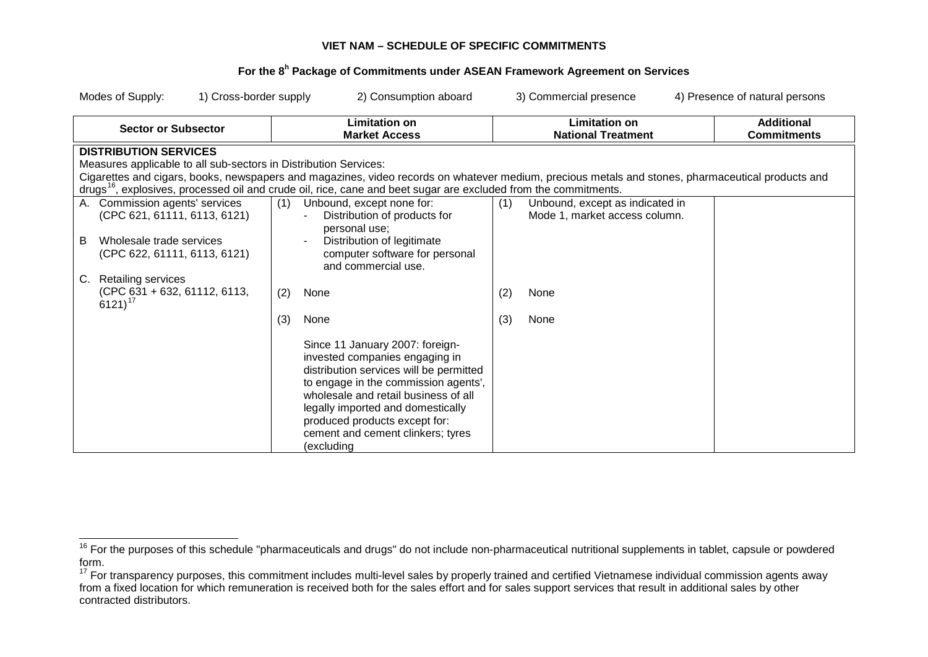<span id="page-29-1"></span><span id="page-29-0"></span>

|    | Modes of Supply:<br>1) Cross-border supply                       | 2) Consumption aboard                                                                                                       | 3) Commercial presence<br>4) Presence of natural persons                                                                                          |  |  |  |  |  |  |
|----|------------------------------------------------------------------|-----------------------------------------------------------------------------------------------------------------------------|---------------------------------------------------------------------------------------------------------------------------------------------------|--|--|--|--|--|--|
|    | <b>Sector or Subsector</b>                                       | <b>Limitation on</b><br><b>Market Access</b>                                                                                | <b>Limitation on</b><br><b>Additional</b><br><b>National Treatment</b><br><b>Commitments</b>                                                      |  |  |  |  |  |  |
|    | <b>DISTRIBUTION SERVICES</b>                                     |                                                                                                                             |                                                                                                                                                   |  |  |  |  |  |  |
|    | Measures applicable to all sub-sectors in Distribution Services: |                                                                                                                             |                                                                                                                                                   |  |  |  |  |  |  |
|    |                                                                  |                                                                                                                             | Cigarettes and cigars, books, newspapers and magazines, video records on whatever medium, precious metals and stones, pharmaceutical products and |  |  |  |  |  |  |
|    |                                                                  | drugs <sup>16</sup> , explosives, processed oil and crude oil, rice, cane and beet sugar are excluded from the commitments. |                                                                                                                                                   |  |  |  |  |  |  |
|    | A. Commission agents' services                                   | (1)<br>Unbound, except none for:                                                                                            | (1)<br>Unbound, except as indicated in                                                                                                            |  |  |  |  |  |  |
|    | (CPC 621, 61111, 6113, 6121)                                     | Distribution of products for<br>personal use;                                                                               | Mode 1, market access column.                                                                                                                     |  |  |  |  |  |  |
| B  | Wholesale trade services                                         | Distribution of legitimate                                                                                                  |                                                                                                                                                   |  |  |  |  |  |  |
|    | (CPC 622, 61111, 6113, 6121)                                     | computer software for personal<br>and commercial use.                                                                       |                                                                                                                                                   |  |  |  |  |  |  |
| C. | Retailing services                                               |                                                                                                                             |                                                                                                                                                   |  |  |  |  |  |  |
|    | (CPC 631 + 632, 61112, 6113,<br>$6121)^{17}$                     | (2)<br>None                                                                                                                 | (2)<br>None                                                                                                                                       |  |  |  |  |  |  |
|    |                                                                  | (3)<br>None                                                                                                                 | (3)<br>None                                                                                                                                       |  |  |  |  |  |  |
|    |                                                                  | Since 11 January 2007: foreign-<br>invested companies engaging in<br>distribution services will be permitted                |                                                                                                                                                   |  |  |  |  |  |  |
|    |                                                                  | to engage in the commission agents',<br>wholesale and retail business of all<br>legally imported and domestically           |                                                                                                                                                   |  |  |  |  |  |  |
|    |                                                                  | produced products except for:<br>cement and cement clinkers; tyres<br>(excluding                                            |                                                                                                                                                   |  |  |  |  |  |  |

<sup>&</sup>lt;sup>16</sup> For the purposes of this schedule "pharmaceuticals and drugs" do not include non-pharmaceutical nutritional supplements in tablet, capsule or powdered form.

 $\frac{17}{17}$  For transparency purposes, this commitment includes multi-level sales by properly trained and certified Vietnamese individual commission agents away from a fixed location for which remuneration is received both for the sales effort and for sales support services that result in additional sales by other contracted distributors.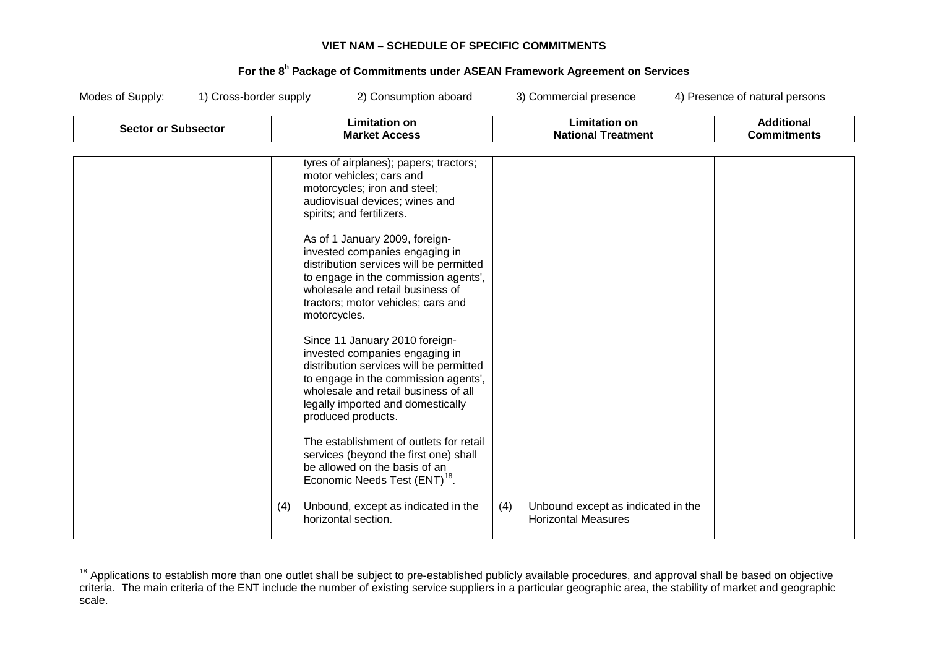<span id="page-30-0"></span>

| Modes of Supply:           | 1) Cross-border supply |     | 2) Consumption aboard                                                                                                                                                                                                                                                                                                                                                                                              |     | 3) Commercial presence                                           | 4) Presence of natural persons          |
|----------------------------|------------------------|-----|--------------------------------------------------------------------------------------------------------------------------------------------------------------------------------------------------------------------------------------------------------------------------------------------------------------------------------------------------------------------------------------------------------------------|-----|------------------------------------------------------------------|-----------------------------------------|
| <b>Sector or Subsector</b> |                        |     | <b>Limitation on</b><br><b>Market Access</b>                                                                                                                                                                                                                                                                                                                                                                       |     | <b>Limitation on</b><br><b>National Treatment</b>                | <b>Additional</b><br><b>Commitments</b> |
|                            |                        |     | tyres of airplanes); papers; tractors;<br>motor vehicles; cars and<br>motorcycles; iron and steel;<br>audiovisual devices; wines and<br>spirits; and fertilizers.<br>As of 1 January 2009, foreign-<br>invested companies engaging in<br>distribution services will be permitted<br>to engage in the commission agents',<br>wholesale and retail business of<br>tractors; motor vehicles; cars and<br>motorcycles. |     |                                                                  |                                         |
|                            |                        |     | Since 11 January 2010 foreign-<br>invested companies engaging in<br>distribution services will be permitted<br>to engage in the commission agents',<br>wholesale and retail business of all<br>legally imported and domestically<br>produced products.                                                                                                                                                             |     |                                                                  |                                         |
|                            |                        |     | The establishment of outlets for retail<br>services (beyond the first one) shall<br>be allowed on the basis of an<br>Economic Needs Test (ENT) <sup>18</sup> .                                                                                                                                                                                                                                                     |     |                                                                  |                                         |
|                            |                        | (4) | Unbound, except as indicated in the<br>horizontal section.                                                                                                                                                                                                                                                                                                                                                         | (4) | Unbound except as indicated in the<br><b>Horizontal Measures</b> |                                         |

<sup>&</sup>lt;sup>18</sup> Applications to establish more than one outlet shall be subject to pre-established publicly available procedures, and approval shall be based on objective criteria. The main criteria of the ENT include the number of existing service suppliers in a particular geographic area, the stability of market and geographic scale.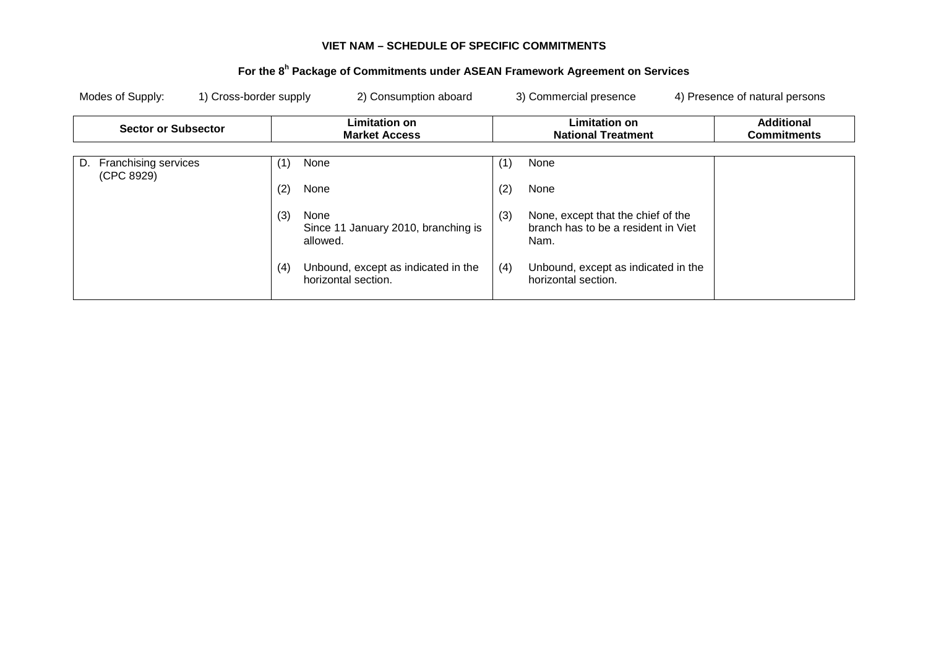| Modes of Supply:                                | 1) Cross-border supply |                            | 2) Consumption aboard                                      |            | 3) Commercial presence                                                            | 4) Presence of natural persons          |
|-------------------------------------------------|------------------------|----------------------------|------------------------------------------------------------|------------|-----------------------------------------------------------------------------------|-----------------------------------------|
| <b>Sector or Subsector</b>                      |                        |                            | Limitation on<br><b>Market Access</b>                      |            | Limitation on<br><b>National Treatment</b>                                        | <b>Additional</b><br><b>Commitments</b> |
| <b>Franchising services</b><br>D.<br>(CPC 8929) |                        | (1)<br>None<br>(2)<br>None |                                                            | (1)<br>(2) | None<br>None                                                                      |                                         |
|                                                 |                        | (3)<br>None<br>allowed.    | Since 11 January 2010, branching is                        | (3)        | None, except that the chief of the<br>branch has to be a resident in Viet<br>Nam. |                                         |
|                                                 |                        | (4)                        | Unbound, except as indicated in the<br>horizontal section. | (4)        | Unbound, except as indicated in the<br>horizontal section.                        |                                         |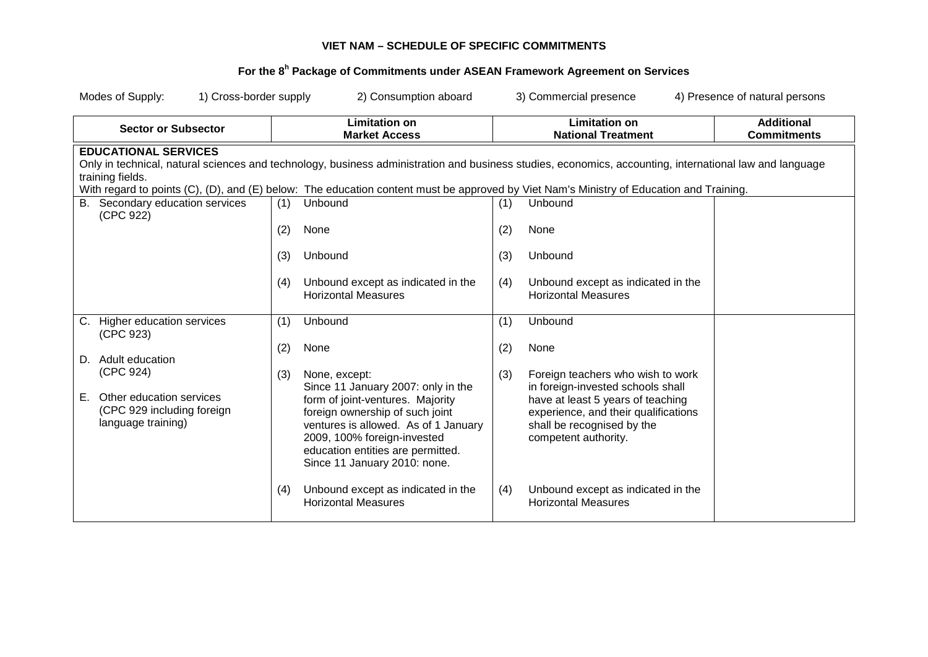| Modes of Supply:<br>1) Cross-border supply                                         | 2) Consumption aboard                                                                                                                                                                                                                                                                              | 3) Commercial presence                                                                                                          | 4) Presence of natural persons          |
|------------------------------------------------------------------------------------|----------------------------------------------------------------------------------------------------------------------------------------------------------------------------------------------------------------------------------------------------------------------------------------------------|---------------------------------------------------------------------------------------------------------------------------------|-----------------------------------------|
| <b>Sector or Subsector</b>                                                         | <b>Limitation on</b><br><b>Market Access</b>                                                                                                                                                                                                                                                       | <b>Limitation on</b><br><b>National Treatment</b>                                                                               | <b>Additional</b><br><b>Commitments</b> |
| <b>EDUCATIONAL SERVICES</b><br>training fields.                                    | Only in technical, natural sciences and technology, business administration and business studies, economics, accounting, international law and language<br>With regard to points (C), (D), and (E) below: The education content must be approved by Viet Nam's Ministry of Education and Training. |                                                                                                                                 |                                         |
| B. Secondary education services<br>(CPC 922)                                       | Unbound<br>(1)                                                                                                                                                                                                                                                                                     | Unbound<br>(1)                                                                                                                  |                                         |
|                                                                                    | (2)<br>None<br>Unbound<br>(3)                                                                                                                                                                                                                                                                      | (2)<br>None<br>Unbound<br>(3)                                                                                                   |                                         |
|                                                                                    | (4)<br>Unbound except as indicated in the<br><b>Horizontal Measures</b>                                                                                                                                                                                                                            | Unbound except as indicated in the<br>(4)<br><b>Horizontal Measures</b>                                                         |                                         |
| C. Higher education services<br>(CPC 923)                                          | Unbound<br>(1)<br>None                                                                                                                                                                                                                                                                             | Unbound<br>(1)<br>None                                                                                                          |                                         |
| Adult education<br>D.<br>(CPC 924)                                                 | (2)<br>(3)<br>None, except:<br>Since 11 January 2007: only in the                                                                                                                                                                                                                                  | (2)<br>(3)<br>Foreign teachers who wish to work<br>in foreign-invested schools shall                                            |                                         |
| Other education services<br>Е.<br>(CPC 929 including foreign<br>language training) | form of joint-ventures. Majority<br>foreign ownership of such joint<br>ventures is allowed. As of 1 January<br>2009, 100% foreign-invested<br>education entities are permitted.<br>Since 11 January 2010: none.                                                                                    | have at least 5 years of teaching<br>experience, and their qualifications<br>shall be recognised by the<br>competent authority. |                                         |
|                                                                                    | Unbound except as indicated in the<br>(4)<br><b>Horizontal Measures</b>                                                                                                                                                                                                                            | Unbound except as indicated in the<br>(4)<br><b>Horizontal Measures</b>                                                         |                                         |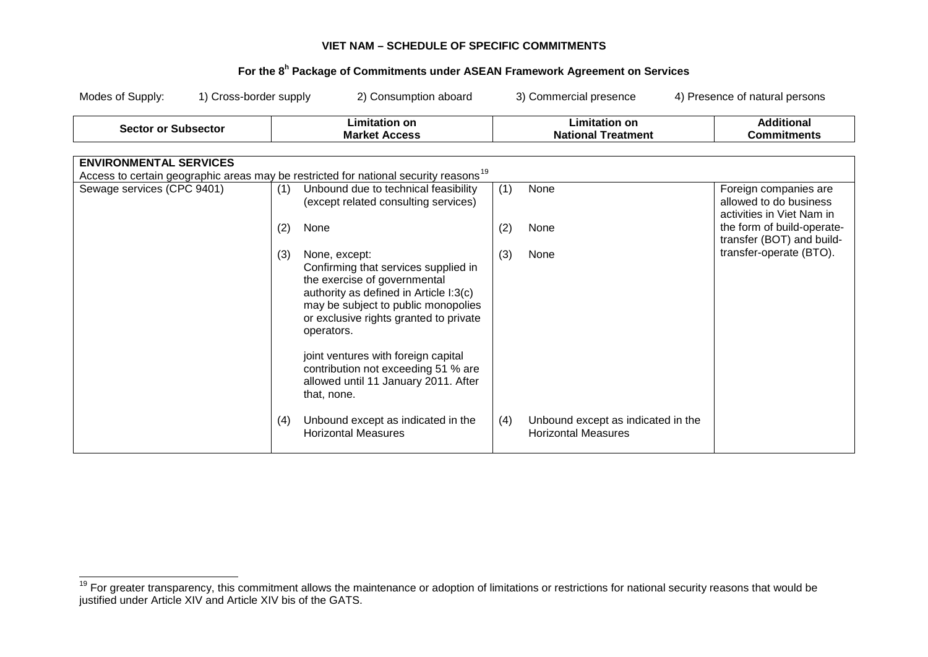<span id="page-33-0"></span>

| Modes of Supply:<br>1) Cross-border supply | 2) Consumption aboard                                                                                                                                                                                                                                                                                                                                                      | 3) Commercial presence                                                  | 4) Presence of natural persons                                               |
|--------------------------------------------|----------------------------------------------------------------------------------------------------------------------------------------------------------------------------------------------------------------------------------------------------------------------------------------------------------------------------------------------------------------------------|-------------------------------------------------------------------------|------------------------------------------------------------------------------|
| <b>Sector or Subsector</b>                 | <b>Limitation on</b><br><b>Market Access</b>                                                                                                                                                                                                                                                                                                                               | <b>Limitation on</b><br><b>National Treatment</b>                       | <b>Additional</b><br><b>Commitments</b>                                      |
| <b>ENVIRONMENTAL SERVICES</b>              |                                                                                                                                                                                                                                                                                                                                                                            |                                                                         |                                                                              |
|                                            | Access to certain geographic areas may be restricted for national security reasons <sup>19</sup>                                                                                                                                                                                                                                                                           |                                                                         |                                                                              |
| Sewage services (CPC 9401)                 | (1)<br>Unbound due to technical feasibility<br>(except related consulting services)                                                                                                                                                                                                                                                                                        | (1)<br>None                                                             | Foreign companies are<br>allowed to do business<br>activities in Viet Nam in |
|                                            | (2)<br>None                                                                                                                                                                                                                                                                                                                                                                | (2)<br>None                                                             | the form of build-operate-<br>transfer (BOT) and build-                      |
|                                            | (3)<br>None, except:<br>Confirming that services supplied in<br>the exercise of governmental<br>authority as defined in Article I:3(c)<br>may be subject to public monopolies<br>or exclusive rights granted to private<br>operators.<br>joint ventures with foreign capital<br>contribution not exceeding 51 % are<br>allowed until 11 January 2011. After<br>that, none. | (3)<br>None                                                             | transfer-operate (BTO).                                                      |
|                                            | (4)<br>Unbound except as indicated in the<br><b>Horizontal Measures</b>                                                                                                                                                                                                                                                                                                    | (4)<br>Unbound except as indicated in the<br><b>Horizontal Measures</b> |                                                                              |

<sup>————————————————————&</sup>lt;br><sup>19</sup> For greater transparency, this commitment allows the maintenance or adoption of limitations or restrictions for national security reasons that would be justified under Article XIV and Article XIV bis of the GATS.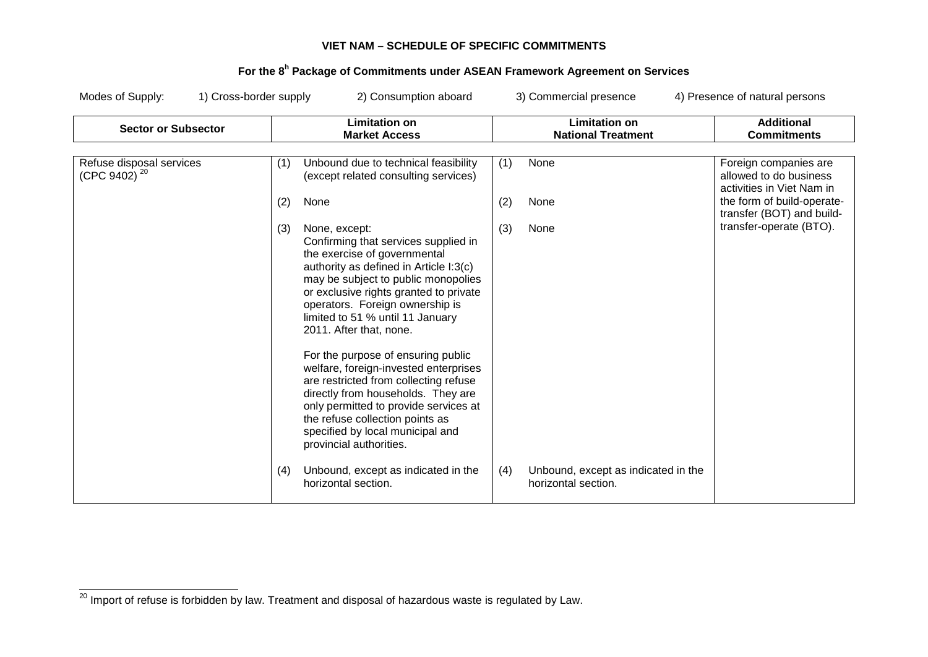<span id="page-34-0"></span>

| Modes of Supply:<br>1) Cross-border supply           | 2) Consumption aboard                                                                                                                                                                                                                                                                                                     | 3) Commercial presence                                            | 4) Presence of natural persons                                               |
|------------------------------------------------------|---------------------------------------------------------------------------------------------------------------------------------------------------------------------------------------------------------------------------------------------------------------------------------------------------------------------------|-------------------------------------------------------------------|------------------------------------------------------------------------------|
| <b>Sector or Subsector</b>                           | <b>Limitation on</b><br><b>Market Access</b>                                                                                                                                                                                                                                                                              | <b>Limitation on</b><br><b>National Treatment</b>                 | <b>Additional</b><br><b>Commitments</b>                                      |
| Refuse disposal services<br>(CPC 9402) <sup>20</sup> | Unbound due to technical feasibility<br>(1)<br>(except related consulting services)                                                                                                                                                                                                                                       | (1)<br>None                                                       | Foreign companies are<br>allowed to do business<br>activities in Viet Nam in |
|                                                      | (2)<br>None                                                                                                                                                                                                                                                                                                               | (2)<br>None                                                       | the form of build-operate-<br>transfer (BOT) and build-                      |
|                                                      | (3)<br>None, except:<br>Confirming that services supplied in<br>the exercise of governmental<br>authority as defined in Article I:3(c)<br>may be subject to public monopolies<br>or exclusive rights granted to private<br>operators. Foreign ownership is<br>limited to 51 % until 11 January<br>2011. After that, none. | (3)<br>None                                                       | transfer-operate (BTO).                                                      |
|                                                      | For the purpose of ensuring public<br>welfare, foreign-invested enterprises<br>are restricted from collecting refuse<br>directly from households. They are<br>only permitted to provide services at<br>the refuse collection points as<br>specified by local municipal and<br>provincial authorities.                     |                                                                   |                                                                              |
|                                                      | Unbound, except as indicated in the<br>(4)<br>horizontal section.                                                                                                                                                                                                                                                         | (4)<br>Unbound, except as indicated in the<br>horizontal section. |                                                                              |

 $20$  Import of refuse is forbidden by law. Treatment and disposal of hazardous waste is regulated by Law.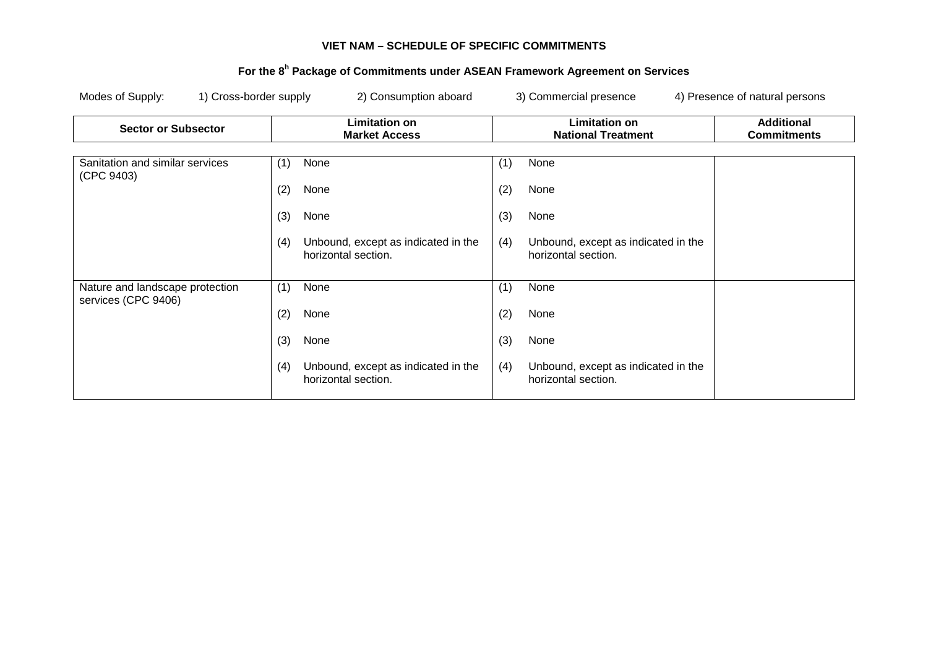| Modes of Supply:                                       | 1) Cross-border supply |                                                  | 2) Consumption aboard                                      |                          | 3) Commercial presence                                      | 4) Presence of natural persons          |
|--------------------------------------------------------|------------------------|--------------------------------------------------|------------------------------------------------------------|--------------------------|-------------------------------------------------------------|-----------------------------------------|
| <b>Sector or Subsector</b>                             |                        |                                                  | <b>Limitation on</b><br><b>Market Access</b>               |                          | <b>Limitation on</b><br><b>National Treatment</b>           | <b>Additional</b><br><b>Commitments</b> |
| Sanitation and similar services<br>(CPC 9403)          |                        | None<br>(1)<br>(2)<br>None<br>(3)<br>None<br>(4) | Unbound, except as indicated in the                        | (1)<br>(2)<br>(3)<br>(4) | None<br>None<br>None<br>Unbound, except as indicated in the |                                         |
| Nature and landscape protection<br>services (CPC 9406) |                        | None<br>(1)<br>(2)<br>None<br>(3)<br>None        | horizontal section.                                        | (1)<br>(2)<br>(3)        | horizontal section.<br>None<br>None<br>None                 |                                         |
|                                                        |                        | (4)                                              | Unbound, except as indicated in the<br>horizontal section. | (4)                      | Unbound, except as indicated in the<br>horizontal section.  |                                         |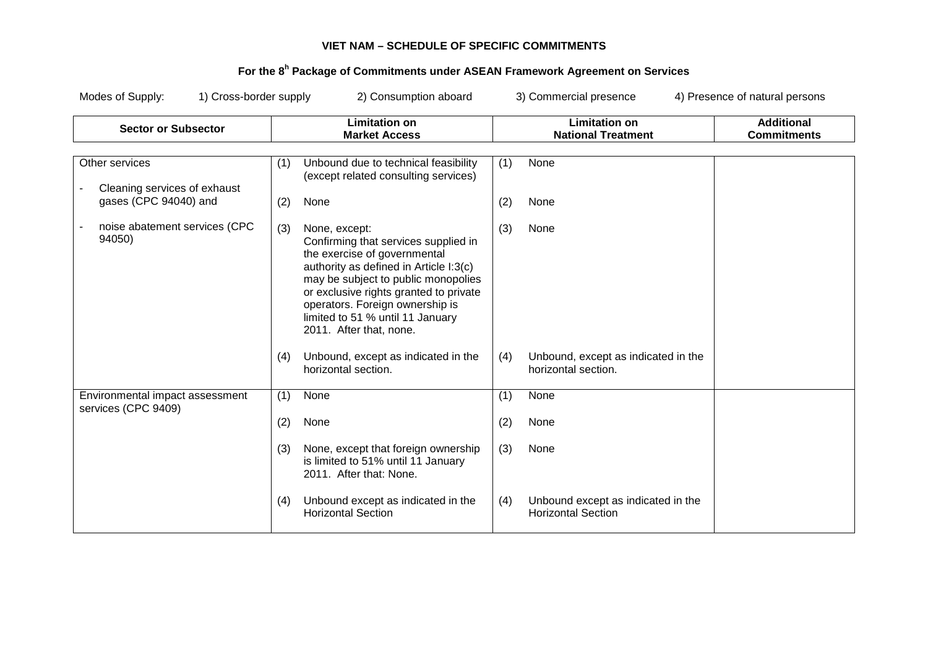| <b>Sector or Subsector</b>                             | <b>Limitation on</b>                                                                                                                                                                                                                                                                                                      | <b>Limitation on</b>                                                   | <b>Additional</b>  |
|--------------------------------------------------------|---------------------------------------------------------------------------------------------------------------------------------------------------------------------------------------------------------------------------------------------------------------------------------------------------------------------------|------------------------------------------------------------------------|--------------------|
|                                                        | <b>Market Access</b>                                                                                                                                                                                                                                                                                                      | <b>National Treatment</b>                                              | <b>Commitments</b> |
| Other services                                         | Unbound due to technical feasibility<br>(1)<br>(except related consulting services)                                                                                                                                                                                                                                       | (1)<br>None                                                            |                    |
| Cleaning services of exhaust<br>gases (CPC 94040) and  | (2)<br>None                                                                                                                                                                                                                                                                                                               | (2)<br>None                                                            |                    |
| noise abatement services (CPC<br>94050)                | None, except:<br>(3)<br>Confirming that services supplied in<br>the exercise of governmental<br>authority as defined in Article I:3(c)<br>may be subject to public monopolies<br>or exclusive rights granted to private<br>operators. Foreign ownership is<br>limited to 51 % until 11 January<br>2011. After that, none. | None<br>(3)                                                            |                    |
|                                                        | Unbound, except as indicated in the<br>(4)<br>horizontal section.                                                                                                                                                                                                                                                         | Unbound, except as indicated in the<br>(4)<br>horizontal section.      |                    |
| Environmental impact assessment<br>services (CPC 9409) | (1)<br>None                                                                                                                                                                                                                                                                                                               | (1)<br>None                                                            |                    |
|                                                        | (2)<br>None                                                                                                                                                                                                                                                                                                               | (2)<br>None                                                            |                    |
|                                                        | None, except that foreign ownership<br>(3)<br>is limited to 51% until 11 January<br>2011. After that: None.                                                                                                                                                                                                               | (3)<br>None                                                            |                    |
|                                                        | Unbound except as indicated in the<br>(4)<br><b>Horizontal Section</b>                                                                                                                                                                                                                                                    | Unbound except as indicated in the<br>(4)<br><b>Horizontal Section</b> |                    |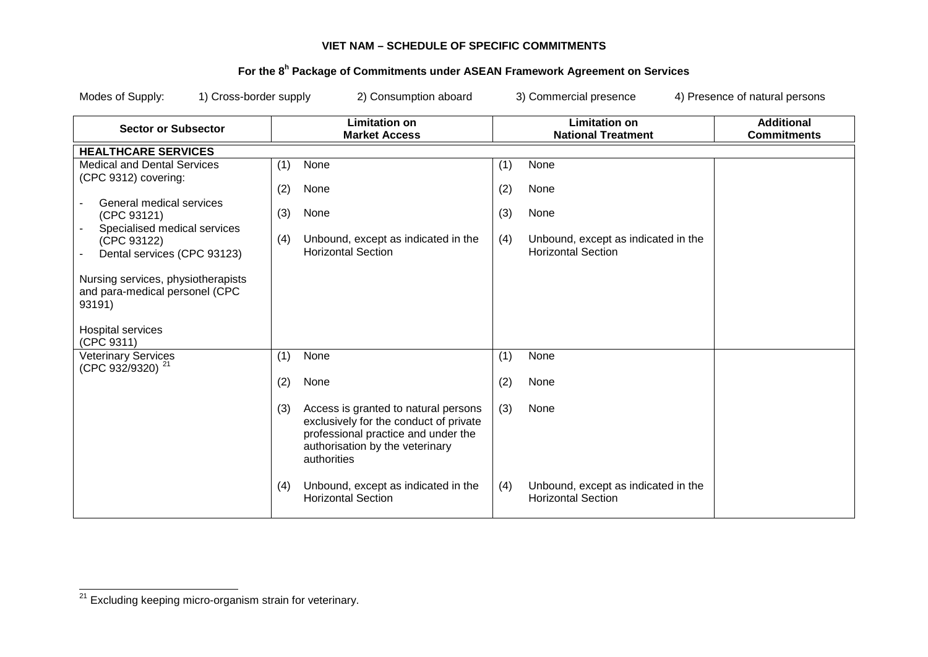<span id="page-37-0"></span>

| Modes of Supply:<br>1) Cross-border supply                                     | 2) Consumption aboard                                                                                                                                                          | 3) Commercial presence                                                  | 4) Presence of natural persons          |
|--------------------------------------------------------------------------------|--------------------------------------------------------------------------------------------------------------------------------------------------------------------------------|-------------------------------------------------------------------------|-----------------------------------------|
| <b>Sector or Subsector</b>                                                     | <b>Limitation on</b><br><b>Market Access</b>                                                                                                                                   | <b>Limitation on</b><br><b>National Treatment</b>                       | <b>Additional</b><br><b>Commitments</b> |
| <b>HEALTHCARE SERVICES</b>                                                     |                                                                                                                                                                                |                                                                         |                                         |
| <b>Medical and Dental Services</b>                                             | None<br>(1)                                                                                                                                                                    | (1)<br>None                                                             |                                         |
| (CPC 9312) covering:                                                           | (2)<br>None                                                                                                                                                                    | (2)<br>None                                                             |                                         |
| General medical services                                                       |                                                                                                                                                                                |                                                                         |                                         |
| (CPC 93121)<br>Specialised medical services                                    | (3)<br>None                                                                                                                                                                    | (3)<br>None                                                             |                                         |
| (CPC 93122)<br>Dental services (CPC 93123)                                     | (4)<br>Unbound, except as indicated in the<br><b>Horizontal Section</b>                                                                                                        | Unbound, except as indicated in the<br>(4)<br><b>Horizontal Section</b> |                                         |
| Nursing services, physiotherapists<br>and para-medical personel (CPC<br>93191) |                                                                                                                                                                                |                                                                         |                                         |
| <b>Hospital services</b><br>(CPC 9311)                                         |                                                                                                                                                                                |                                                                         |                                         |
| <b>Veterinary Services</b><br>(CPC 932/9320) <sup>21</sup>                     | (1)<br>None                                                                                                                                                                    | (1)<br>None                                                             |                                         |
|                                                                                | (2)<br>None                                                                                                                                                                    | (2)<br>None                                                             |                                         |
|                                                                                | Access is granted to natural persons<br>(3)<br>exclusively for the conduct of private<br>professional practice and under the<br>authorisation by the veterinary<br>authorities | (3)<br>None                                                             |                                         |
|                                                                                | Unbound, except as indicated in the<br>(4)<br><b>Horizontal Section</b>                                                                                                        | Unbound, except as indicated in the<br>(4)<br><b>Horizontal Section</b> |                                         |

<sup>&</sup>lt;sup>21</sup> Excluding keeping micro-organism strain for veterinary.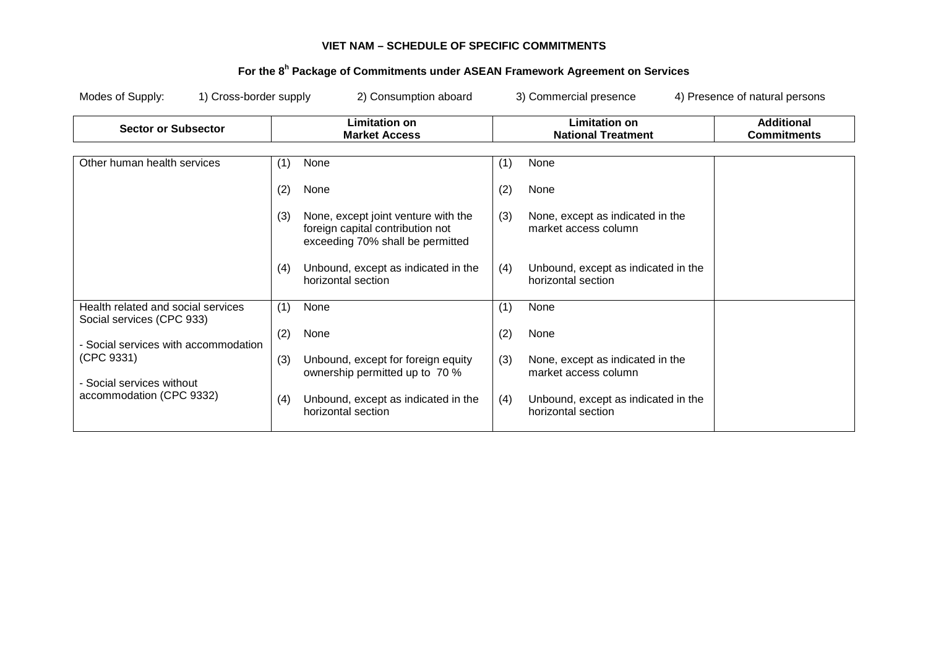| Modes of Supply:<br>1) Cross-border supply                      | 2) Consumption aboard                                                                                              | 3) Commercial presence                                           | 4) Presence of natural persons          |
|-----------------------------------------------------------------|--------------------------------------------------------------------------------------------------------------------|------------------------------------------------------------------|-----------------------------------------|
| <b>Sector or Subsector</b>                                      | <b>Limitation on</b><br><b>Market Access</b>                                                                       | <b>Limitation on</b><br><b>National Treatment</b>                | <b>Additional</b><br><b>Commitments</b> |
| Other human health services                                     | None<br>(1)<br>(2)<br>None                                                                                         | None<br>(1)<br>(2)<br>None                                       |                                         |
|                                                                 | (3)<br>None, except joint venture with the<br>foreign capital contribution not<br>exceeding 70% shall be permitted | None, except as indicated in the<br>(3)<br>market access column  |                                         |
|                                                                 | (4)<br>Unbound, except as indicated in the<br>horizontal section                                                   | Unbound, except as indicated in the<br>(4)<br>horizontal section |                                         |
| Health related and social services<br>Social services (CPC 933) | (1)<br>None                                                                                                        | (1)<br>None                                                      |                                         |
| - Social services with accommodation                            | (2)<br>None                                                                                                        | (2)<br>None                                                      |                                         |
| (CPC 9331)<br>- Social services without                         | (3)<br>Unbound, except for foreign equity<br>ownership permitted up to 70 %                                        | None, except as indicated in the<br>(3)<br>market access column  |                                         |
| accommodation (CPC 9332)                                        | (4)<br>Unbound, except as indicated in the<br>horizontal section                                                   | Unbound, except as indicated in the<br>(4)<br>horizontal section |                                         |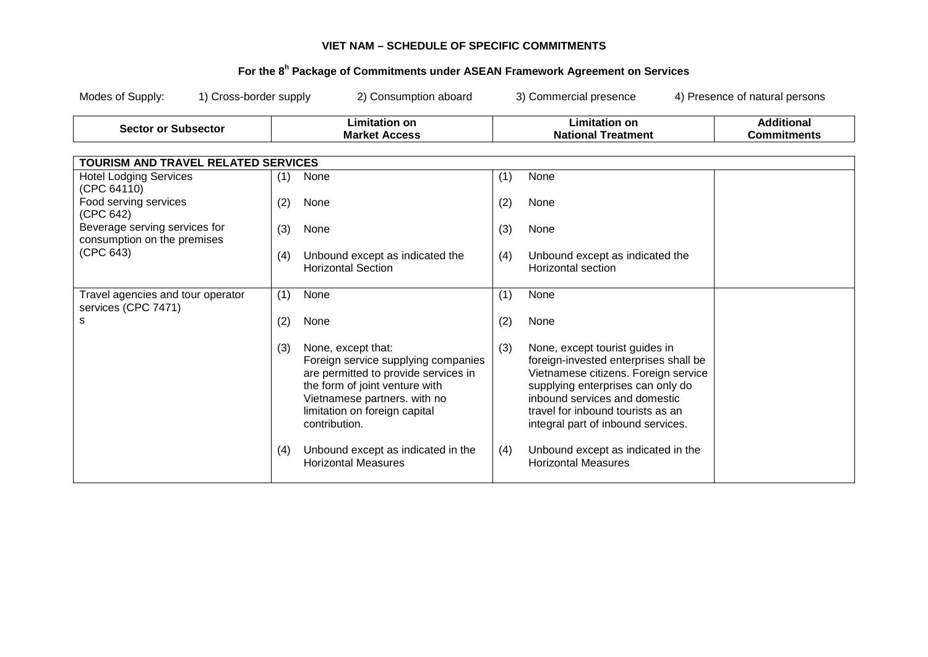| 1) Cross-border supply<br>Modes of Supply:                   | 2) Consumption aboard                                                                                                                                                                                                        | 3) Commercial presence                                                                                                                                                                                                                                                  | 4) Presence of natural persons          |
|--------------------------------------------------------------|------------------------------------------------------------------------------------------------------------------------------------------------------------------------------------------------------------------------------|-------------------------------------------------------------------------------------------------------------------------------------------------------------------------------------------------------------------------------------------------------------------------|-----------------------------------------|
| <b>Sector or Subsector</b>                                   | <b>Limitation on</b><br><b>Market Access</b>                                                                                                                                                                                 | <b>Limitation on</b><br><b>National Treatment</b>                                                                                                                                                                                                                       | <b>Additional</b><br><b>Commitments</b> |
| TOURISM AND TRAVEL RELATED SERVICES                          |                                                                                                                                                                                                                              |                                                                                                                                                                                                                                                                         |                                         |
| <b>Hotel Lodging Services</b><br>(CPC 64110)                 | (1)<br>None                                                                                                                                                                                                                  | (1)<br>None                                                                                                                                                                                                                                                             |                                         |
| Food serving services<br>(CPC 642)                           | (2)<br>None                                                                                                                                                                                                                  | (2)<br>None                                                                                                                                                                                                                                                             |                                         |
| Beverage serving services for<br>consumption on the premises | (3)<br>None                                                                                                                                                                                                                  | (3)<br>None                                                                                                                                                                                                                                                             |                                         |
| (CPC 643)                                                    | Unbound except as indicated the<br>(4)<br><b>Horizontal Section</b>                                                                                                                                                          | Unbound except as indicated the<br>(4)<br>Horizontal section                                                                                                                                                                                                            |                                         |
| Travel agencies and tour operator<br>services (CPC 7471)     | None<br>(1)                                                                                                                                                                                                                  | (1)<br>None                                                                                                                                                                                                                                                             |                                         |
| s                                                            | (2)<br>None                                                                                                                                                                                                                  | (2)<br>None                                                                                                                                                                                                                                                             |                                         |
|                                                              | None, except that:<br>(3)<br>Foreign service supplying companies<br>are permitted to provide services in<br>the form of joint venture with<br>Vietnamese partners. with no<br>limitation on foreign capital<br>contribution. | None, except tourist guides in<br>(3)<br>foreign-invested enterprises shall be<br>Vietnamese citizens. Foreign service<br>supplying enterprises can only do<br>inbound services and domestic<br>travel for inbound tourists as an<br>integral part of inbound services. |                                         |
|                                                              | (4)<br>Unbound except as indicated in the<br><b>Horizontal Measures</b>                                                                                                                                                      | (4)<br>Unbound except as indicated in the<br><b>Horizontal Measures</b>                                                                                                                                                                                                 |                                         |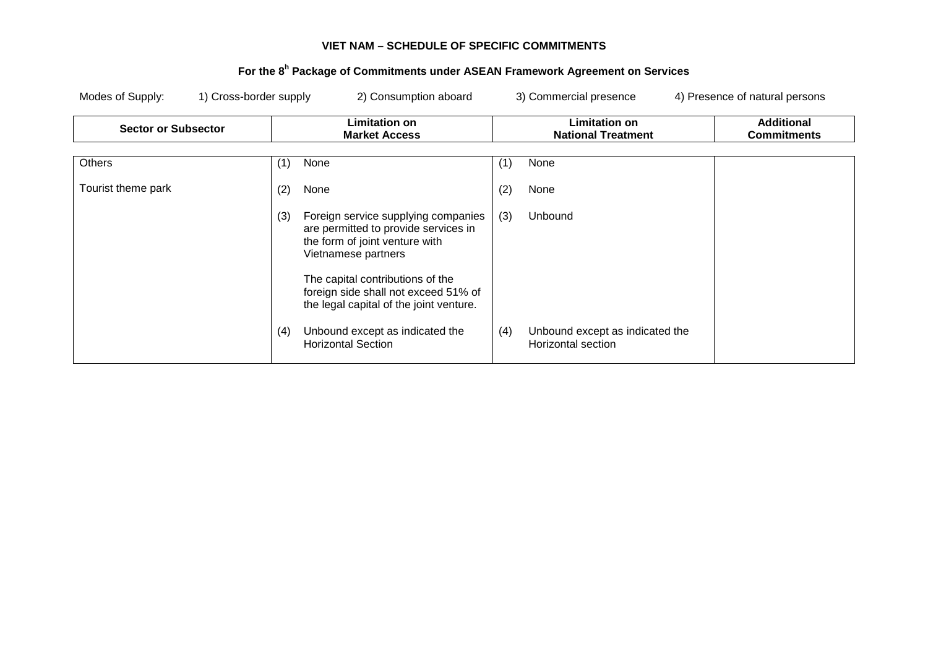| Modes of Supply:           | 1) Cross-border supply |                                              | 2) Consumption aboard                                                                                                                |                                                   | 3) Commercial presence                                | 4) Presence of natural persons          |
|----------------------------|------------------------|----------------------------------------------|--------------------------------------------------------------------------------------------------------------------------------------|---------------------------------------------------|-------------------------------------------------------|-----------------------------------------|
| <b>Sector or Subsector</b> |                        | <b>Limitation on</b><br><b>Market Access</b> |                                                                                                                                      | <b>Limitation on</b><br><b>National Treatment</b> |                                                       | <b>Additional</b><br><b>Commitments</b> |
| <b>Others</b>              |                        | (1)                                          | None                                                                                                                                 | (1)                                               | None                                                  |                                         |
| Tourist theme park         |                        | (2)                                          | None                                                                                                                                 | (2)                                               | None                                                  |                                         |
|                            |                        | (3)                                          | Foreign service supplying companies<br>are permitted to provide services in<br>the form of joint venture with<br>Vietnamese partners | (3)                                               | Unbound                                               |                                         |
|                            |                        |                                              | The capital contributions of the<br>foreign side shall not exceed 51% of<br>the legal capital of the joint venture.                  |                                                   |                                                       |                                         |
|                            |                        | (4)                                          | Unbound except as indicated the<br><b>Horizontal Section</b>                                                                         | (4)                                               | Unbound except as indicated the<br>Horizontal section |                                         |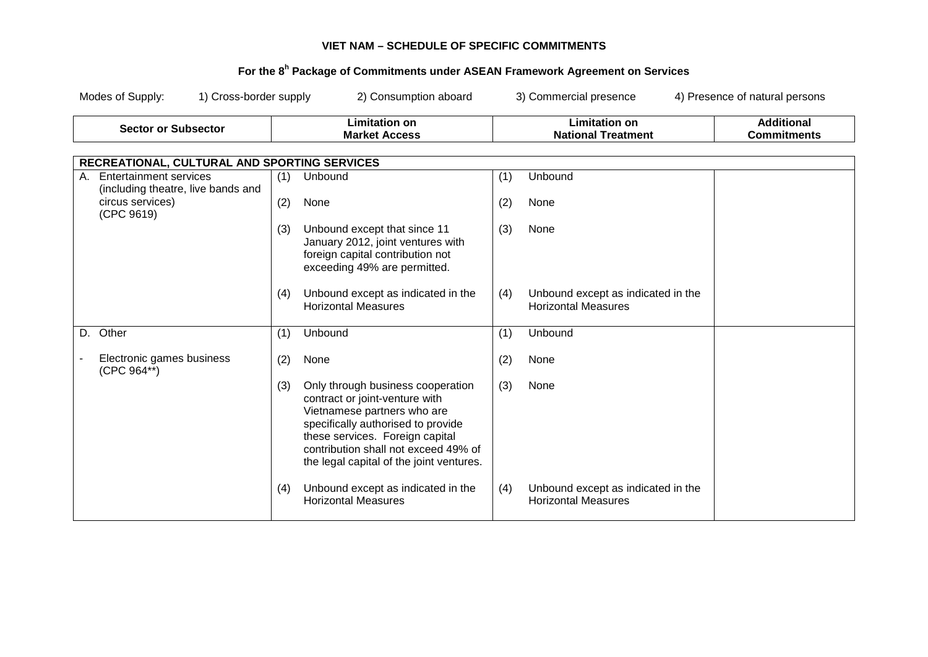| <b>Sector or Subsector</b>                   | <b>Limitation on</b>                                                                                                                                                                                                                                                   | <b>Limitation on</b>                                                    | <b>Additional</b>  |
|----------------------------------------------|------------------------------------------------------------------------------------------------------------------------------------------------------------------------------------------------------------------------------------------------------------------------|-------------------------------------------------------------------------|--------------------|
|                                              | <b>Market Access</b>                                                                                                                                                                                                                                                   | <b>National Treatment</b>                                               | <b>Commitments</b> |
| RECREATIONAL, CULTURAL AND SPORTING SERVICES |                                                                                                                                                                                                                                                                        |                                                                         |                    |
| <b>Entertainment services</b>                | (1)                                                                                                                                                                                                                                                                    | Unbound                                                                 |                    |
| (including theatre, live bands and           | Unbound                                                                                                                                                                                                                                                                | (1)                                                                     |                    |
| circus services)                             | (2)                                                                                                                                                                                                                                                                    | None                                                                    |                    |
| (CPC 9619)                                   | None                                                                                                                                                                                                                                                                   | (2)                                                                     |                    |
|                                              | Unbound except that since 11<br>(3)<br>January 2012, joint ventures with<br>foreign capital contribution not<br>exceeding 49% are permitted.                                                                                                                           | None<br>(3)                                                             |                    |
|                                              | Unbound except as indicated in the<br>(4)<br><b>Horizontal Measures</b>                                                                                                                                                                                                | Unbound except as indicated in the<br>(4)<br><b>Horizontal Measures</b> |                    |
| Other                                        | Unbound                                                                                                                                                                                                                                                                | Unbound                                                                 |                    |
| D.                                           | (1)                                                                                                                                                                                                                                                                    | (1)                                                                     |                    |
| Electronic games business                    | (2)                                                                                                                                                                                                                                                                    | None                                                                    |                    |
| (CPC 964**)                                  | None                                                                                                                                                                                                                                                                   | (2)                                                                     |                    |
|                                              | (3)<br>Only through business cooperation<br>contract or joint-venture with<br>Vietnamese partners who are<br>specifically authorised to provide<br>these services. Foreign capital<br>contribution shall not exceed 49% of<br>the legal capital of the joint ventures. | None<br>(3)                                                             |                    |
|                                              | Unbound except as indicated in the<br>(4)<br><b>Horizontal Measures</b>                                                                                                                                                                                                | (4)<br>Unbound except as indicated in the<br><b>Horizontal Measures</b> |                    |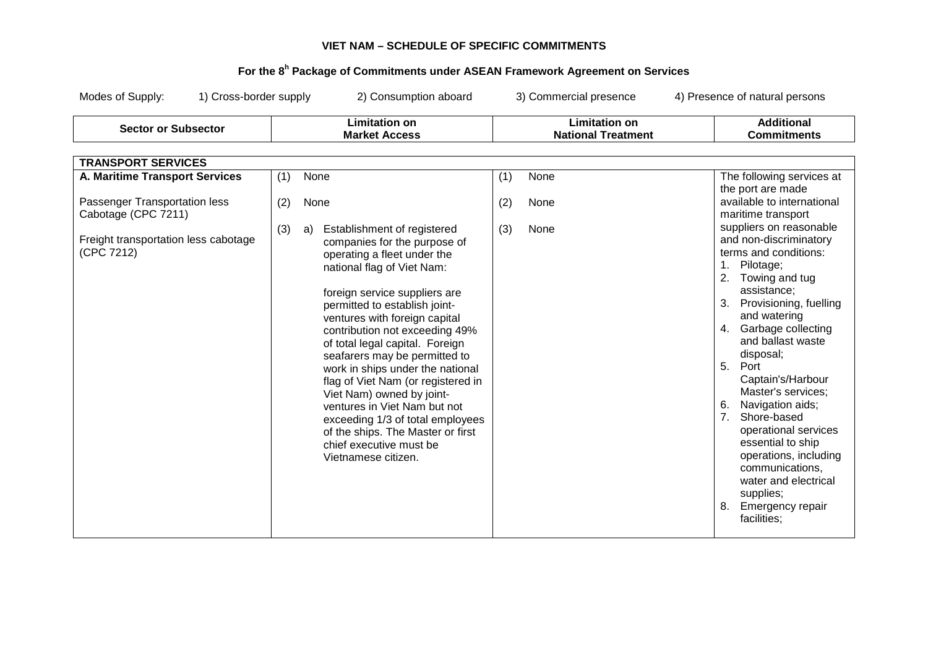| <b>Sector or Subsector</b>                         | <b>Limitation on</b>                                                                                                                                                                                                                                                                                                                                                                                                                                                                                                                                                                                             | <b>Limitation on</b>      | <b>Additional</b>                                                                                                                                                                                                                                                                                                                                                                                                                                                                                                                             |
|----------------------------------------------------|------------------------------------------------------------------------------------------------------------------------------------------------------------------------------------------------------------------------------------------------------------------------------------------------------------------------------------------------------------------------------------------------------------------------------------------------------------------------------------------------------------------------------------------------------------------------------------------------------------------|---------------------------|-----------------------------------------------------------------------------------------------------------------------------------------------------------------------------------------------------------------------------------------------------------------------------------------------------------------------------------------------------------------------------------------------------------------------------------------------------------------------------------------------------------------------------------------------|
|                                                    | <b>Market Access</b>                                                                                                                                                                                                                                                                                                                                                                                                                                                                                                                                                                                             | <b>National Treatment</b> | <b>Commitments</b>                                                                                                                                                                                                                                                                                                                                                                                                                                                                                                                            |
| <b>TRANSPORT SERVICES</b>                          |                                                                                                                                                                                                                                                                                                                                                                                                                                                                                                                                                                                                                  |                           |                                                                                                                                                                                                                                                                                                                                                                                                                                                                                                                                               |
| A. Maritime Transport Services                     | None                                                                                                                                                                                                                                                                                                                                                                                                                                                                                                                                                                                                             | (1)                       | The following services at                                                                                                                                                                                                                                                                                                                                                                                                                                                                                                                     |
|                                                    | (1)                                                                                                                                                                                                                                                                                                                                                                                                                                                                                                                                                                                                              | None                      | the port are made                                                                                                                                                                                                                                                                                                                                                                                                                                                                                                                             |
| Passenger Transportation less                      | (2)                                                                                                                                                                                                                                                                                                                                                                                                                                                                                                                                                                                                              | (2)                       | available to international                                                                                                                                                                                                                                                                                                                                                                                                                                                                                                                    |
| Cabotage (CPC 7211)                                | None                                                                                                                                                                                                                                                                                                                                                                                                                                                                                                                                                                                                             | None                      | maritime transport                                                                                                                                                                                                                                                                                                                                                                                                                                                                                                                            |
| Freight transportation less cabotage<br>(CPC 7212) | (3)<br>Establishment of registered<br>a)<br>companies for the purpose of<br>operating a fleet under the<br>national flag of Viet Nam:<br>foreign service suppliers are<br>permitted to establish joint-<br>ventures with foreign capital<br>contribution not exceeding 49%<br>of total legal capital. Foreign<br>seafarers may be permitted to<br>work in ships under the national<br>flag of Viet Nam (or registered in<br>Viet Nam) owned by joint-<br>ventures in Viet Nam but not<br>exceeding 1/3 of total employees<br>of the ships. The Master or first<br>chief executive must be<br>Vietnamese citizen. | (3)<br>None               | suppliers on reasonable<br>and non-discriminatory<br>terms and conditions:<br>Pilotage;<br>1.<br>2.<br>Towing and tug<br>assistance;<br>3.<br>Provisioning, fuelling<br>and watering<br>Garbage collecting<br>4.<br>and ballast waste<br>disposal;<br>5.<br>Port<br>Captain's/Harbour<br>Master's services;<br>Navigation aids;<br>6.<br>Shore-based<br>7 <sub>1</sub><br>operational services<br>essential to ship<br>operations, including<br>communications,<br>water and electrical<br>supplies;<br>8.<br>Emergency repair<br>facilities; |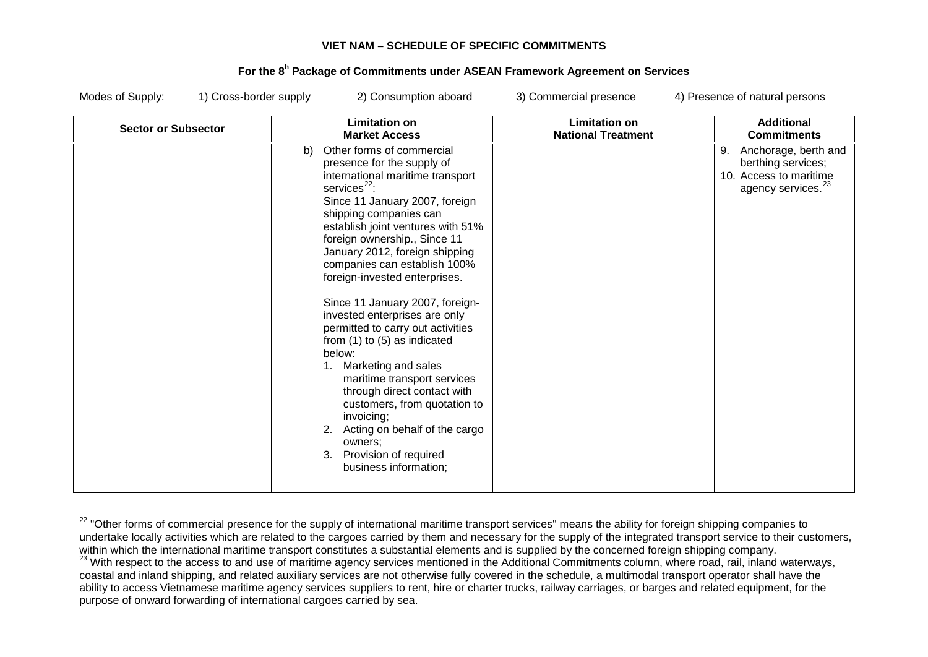<span id="page-43-1"></span><span id="page-43-0"></span>

| Modes of Supply:           | 1) Cross-border supply | 2) Consumption aboard                                                                                                                                                                                                                                                                                                                                                                                                                                                                                                                                                                                                                                                                                                                                           | 3) Commercial presence                            | 4) Presence of natural persons                                                                               |
|----------------------------|------------------------|-----------------------------------------------------------------------------------------------------------------------------------------------------------------------------------------------------------------------------------------------------------------------------------------------------------------------------------------------------------------------------------------------------------------------------------------------------------------------------------------------------------------------------------------------------------------------------------------------------------------------------------------------------------------------------------------------------------------------------------------------------------------|---------------------------------------------------|--------------------------------------------------------------------------------------------------------------|
| <b>Sector or Subsector</b> |                        | <b>Limitation on</b><br><b>Market Access</b>                                                                                                                                                                                                                                                                                                                                                                                                                                                                                                                                                                                                                                                                                                                    | <b>Limitation on</b><br><b>National Treatment</b> | <b>Additional</b><br><b>Commitments</b>                                                                      |
|                            |                        | Other forms of commercial<br>b)<br>presence for the supply of<br>international maritime transport<br>services $^{22}$ :<br>Since 11 January 2007, foreign<br>shipping companies can<br>establish joint ventures with 51%<br>foreign ownership., Since 11<br>January 2012, foreign shipping<br>companies can establish 100%<br>foreign-invested enterprises.<br>Since 11 January 2007, foreign-<br>invested enterprises are only<br>permitted to carry out activities<br>from $(1)$ to $(5)$ as indicated<br>below:<br>1. Marketing and sales<br>maritime transport services<br>through direct contact with<br>customers, from quotation to<br>invoicing;<br>Acting on behalf of the cargo<br>2.<br>owners;<br>3. Provision of required<br>business information; |                                                   | Anchorage, berth and<br>9.<br>berthing services;<br>10. Access to maritime<br>agency services. <sup>23</sup> |

<sup>&</sup>lt;sup>22</sup> "Other forms of commercial presence for the supply of international maritime transport services" means the ability for foreign shipping companies to undertake locally activities which are related to the cargoes carried by them and necessary for the supply of the integrated transport service to their customers, within which the international maritime transport constitut

<sup>&</sup>lt;sup>23</sup> With respect to the access to and use of maritime agency services mentioned in the Additional Commitments column, where road, rail, inland waterways, coastal and inland shipping, and related auxiliary services are not otherwise fully covered in the schedule, a multimodal transport operator shall have the ability to access Vietnamese maritime agency services suppliers to rent, hire or charter trucks, railway carriages, or barges and related equipment, for the purpose of onward forwarding of international cargoes carried by sea.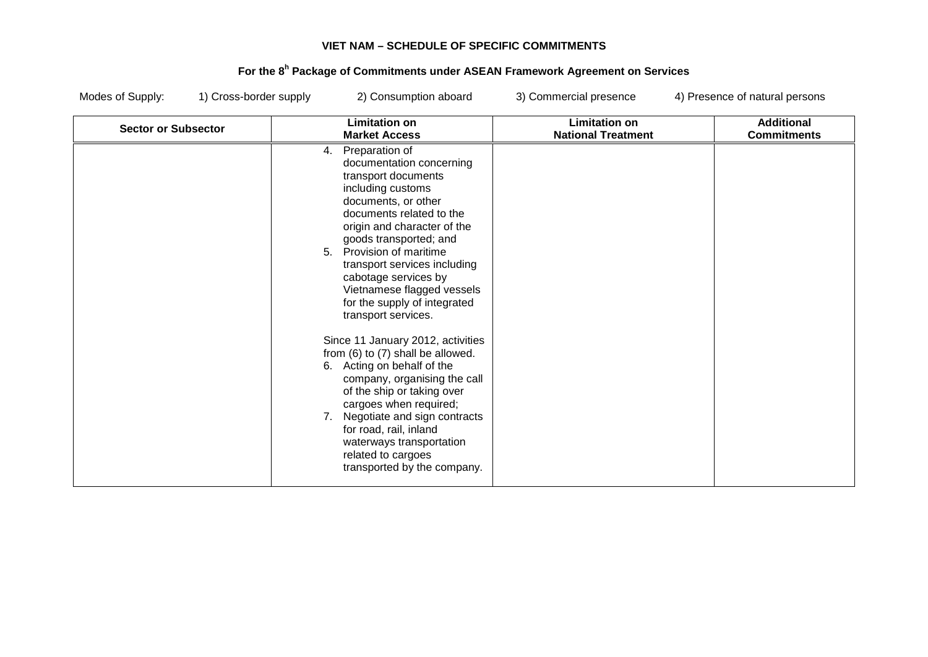| Modes of Supply:           | 1) Cross-border supply | 2) Consumption aboard                                                                                                                                                                                                                                                                                                                                                                                                                                                                                                                                                                                                                                                                                                           | 3) Commercial presence                            | 4) Presence of natural persons          |
|----------------------------|------------------------|---------------------------------------------------------------------------------------------------------------------------------------------------------------------------------------------------------------------------------------------------------------------------------------------------------------------------------------------------------------------------------------------------------------------------------------------------------------------------------------------------------------------------------------------------------------------------------------------------------------------------------------------------------------------------------------------------------------------------------|---------------------------------------------------|-----------------------------------------|
| <b>Sector or Subsector</b> |                        | <b>Limitation on</b><br><b>Market Access</b>                                                                                                                                                                                                                                                                                                                                                                                                                                                                                                                                                                                                                                                                                    | <b>Limitation on</b><br><b>National Treatment</b> | <b>Additional</b><br><b>Commitments</b> |
|                            |                        | Preparation of<br>4.<br>documentation concerning<br>transport documents<br>including customs<br>documents, or other<br>documents related to the<br>origin and character of the<br>goods transported; and<br>5. Provision of maritime<br>transport services including<br>cabotage services by<br>Vietnamese flagged vessels<br>for the supply of integrated<br>transport services.<br>Since 11 January 2012, activities<br>from (6) to (7) shall be allowed.<br>6. Acting on behalf of the<br>company, organising the call<br>of the ship or taking over<br>cargoes when required;<br>7. Negotiate and sign contracts<br>for road, rail, inland<br>waterways transportation<br>related to cargoes<br>transported by the company. |                                                   |                                         |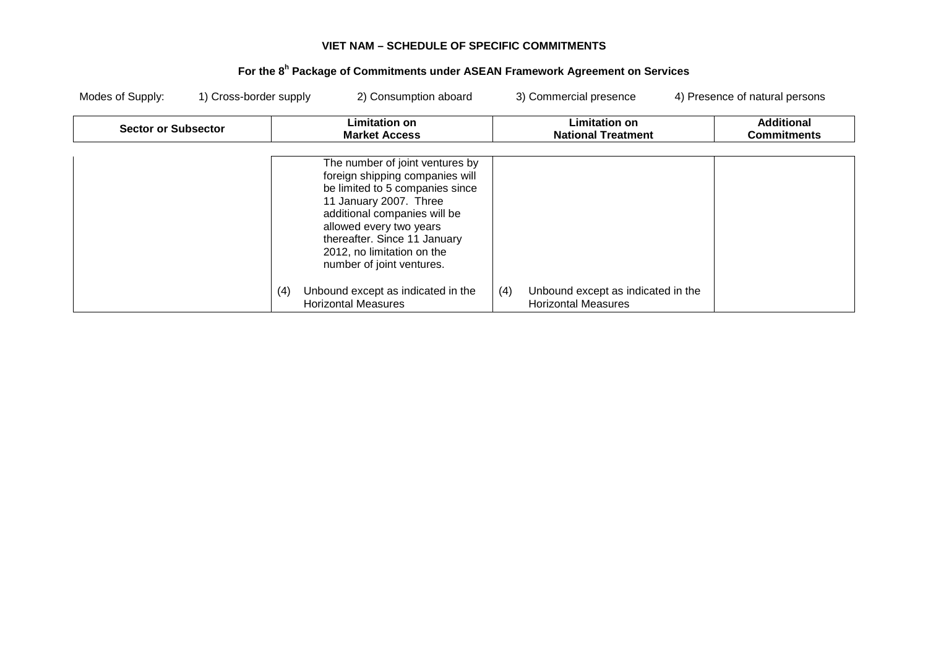| Modes of Supply:           | 1) Cross-border supply | 2) Consumption aboard                                                                                                                                                                                                                                                                 | 3) Commercial presence                                                  | 4) Presence of natural persons          |
|----------------------------|------------------------|---------------------------------------------------------------------------------------------------------------------------------------------------------------------------------------------------------------------------------------------------------------------------------------|-------------------------------------------------------------------------|-----------------------------------------|
| <b>Sector or Subsector</b> |                        | <b>Limitation on</b><br><b>Market Access</b>                                                                                                                                                                                                                                          | Limitation on<br><b>National Treatment</b>                              | <b>Additional</b><br><b>Commitments</b> |
|                            |                        | The number of joint ventures by<br>foreign shipping companies will<br>be limited to 5 companies since<br>11 January 2007. Three<br>additional companies will be<br>allowed every two years<br>thereafter. Since 11 January<br>2012, no limitation on the<br>number of joint ventures. |                                                                         |                                         |
|                            | (4)                    | Unbound except as indicated in the<br><b>Horizontal Measures</b>                                                                                                                                                                                                                      | (4)<br>Unbound except as indicated in the<br><b>Horizontal Measures</b> |                                         |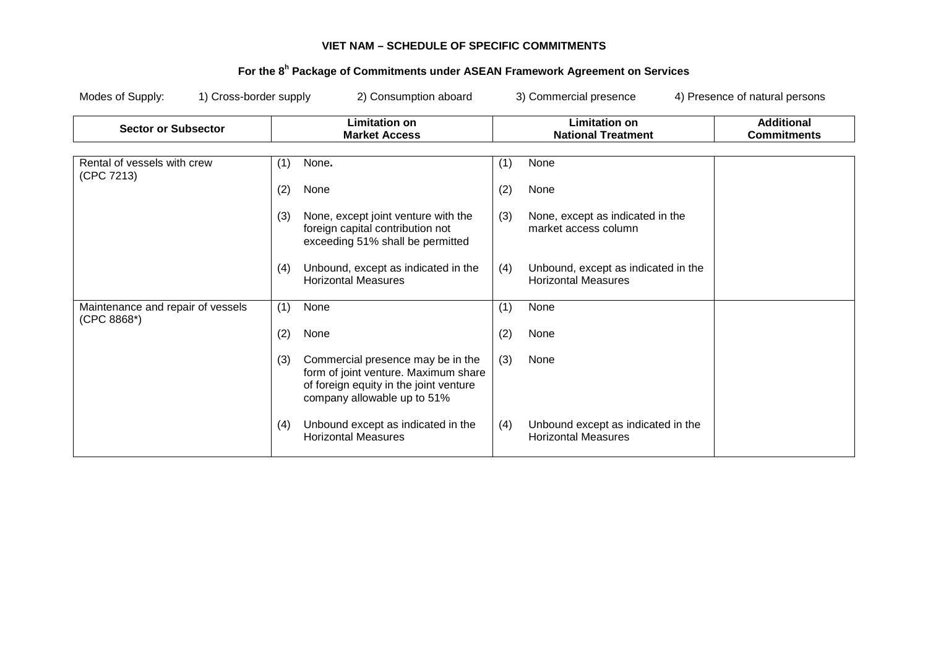| Modes of Supply:                                 | 1) Cross-border supply<br>2) Consumption aboard                                                                                                           | 3) Commercial presence                                                   | 4) Presence of natural persons          |
|--------------------------------------------------|-----------------------------------------------------------------------------------------------------------------------------------------------------------|--------------------------------------------------------------------------|-----------------------------------------|
| <b>Sector or Subsector</b>                       | <b>Limitation on</b><br><b>Market Access</b>                                                                                                              | <b>Limitation on</b><br><b>National Treatment</b>                        | <b>Additional</b><br><b>Commitments</b> |
| Rental of vessels with crew<br>(CPC 7213)        | None.<br>(1)                                                                                                                                              | (1)<br>None                                                              |                                         |
|                                                  | (2)<br>None                                                                                                                                               | (2)<br>None                                                              |                                         |
|                                                  | (3)<br>None, except joint venture with the<br>foreign capital contribution not<br>exceeding 51% shall be permitted                                        | (3)<br>None, except as indicated in the<br>market access column          |                                         |
|                                                  | Unbound, except as indicated in the<br>(4)<br><b>Horizontal Measures</b>                                                                                  | Unbound, except as indicated in the<br>(4)<br><b>Horizontal Measures</b> |                                         |
| Maintenance and repair of vessels<br>(CPC 8868*) | (1)<br>None                                                                                                                                               | (1)<br>None                                                              |                                         |
|                                                  | (2)<br>None                                                                                                                                               | (2)<br>None                                                              |                                         |
|                                                  | (3)<br>Commercial presence may be in the<br>form of joint venture. Maximum share<br>of foreign equity in the joint venture<br>company allowable up to 51% | (3)<br>None                                                              |                                         |
|                                                  | (4)<br>Unbound except as indicated in the<br><b>Horizontal Measures</b>                                                                                   | (4)<br>Unbound except as indicated in the<br><b>Horizontal Measures</b>  |                                         |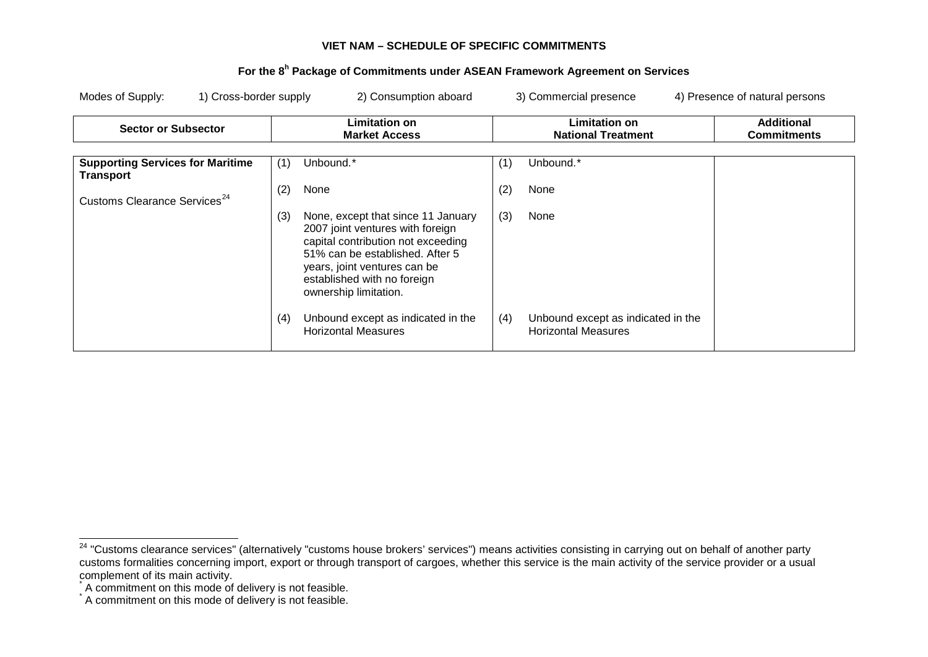<span id="page-47-2"></span><span id="page-47-1"></span><span id="page-47-0"></span>

| Modes of Supply:                                     | 1) Cross-border supply |                                              | 2) Consumption aboard                                                                                                                                                                                                                   |                                            | 3) Commercial presence                                           |  | 4) Presence of natural persons          |
|------------------------------------------------------|------------------------|----------------------------------------------|-----------------------------------------------------------------------------------------------------------------------------------------------------------------------------------------------------------------------------------------|--------------------------------------------|------------------------------------------------------------------|--|-----------------------------------------|
| <b>Sector or Subsector</b>                           |                        | <b>Limitation on</b><br><b>Market Access</b> |                                                                                                                                                                                                                                         | Limitation on<br><b>National Treatment</b> |                                                                  |  | <b>Additional</b><br><b>Commitments</b> |
| <b>Supporting Services for Maritime</b><br>Transport |                        | (1)                                          | Unbound.*                                                                                                                                                                                                                               | (1)                                        | Unbound.*                                                        |  |                                         |
| Customs Clearance Services <sup>24</sup>             |                        | (2)                                          | None                                                                                                                                                                                                                                    | (2)                                        | None                                                             |  |                                         |
|                                                      |                        | (3)                                          | None, except that since 11 January<br>2007 joint ventures with foreign<br>capital contribution not exceeding<br>51% can be established. After 5<br>years, joint ventures can be<br>established with no foreign<br>ownership limitation. | (3)                                        | None                                                             |  |                                         |
|                                                      |                        | (4)                                          | Unbound except as indicated in the<br><b>Horizontal Measures</b>                                                                                                                                                                        | (4)                                        | Unbound except as indicated in the<br><b>Horizontal Measures</b> |  |                                         |

 <sup>24</sup> "Customs clearance services" (alternatively "customs house brokers' services") means activities consisting in carrying out on behalf of another party customs formalities concerning import, export or through transport of cargoes, whether this service is the main activity of the service provider or a usual complement of its main activity.<br>
<sup>\*</sup> A commitment on this mode of delivery is not feasible.<br>
<sup>\*</sup> A commitment on this mode of delivery is not feasible.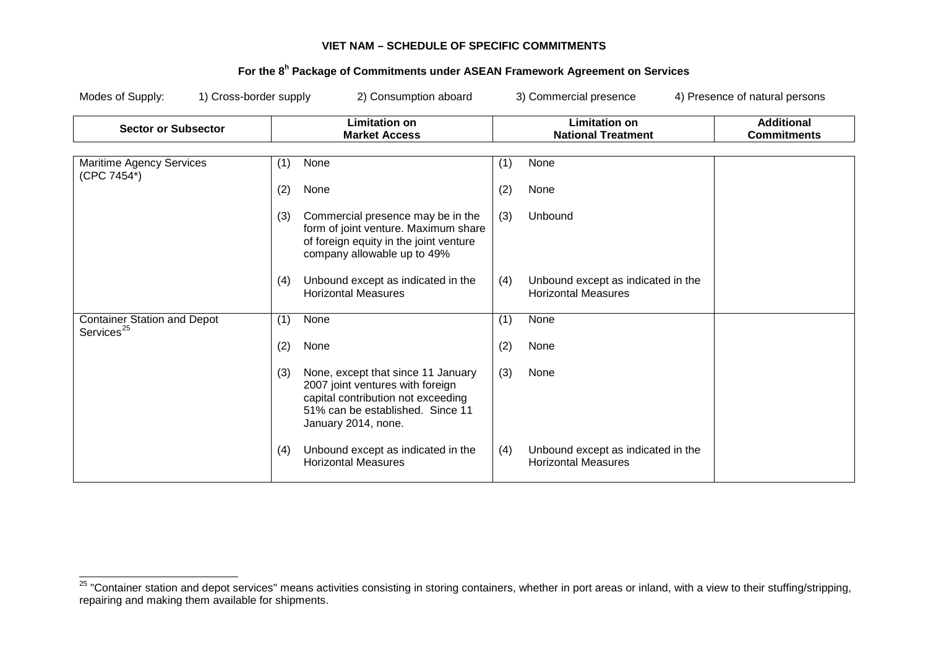<span id="page-48-0"></span>

| Modes of Supply:                                             | 1) Cross-border supply | 2) Consumption aboard                                                                                                                                                   |     | 3) Commercial presence                                           | 4) Presence of natural persons          |
|--------------------------------------------------------------|------------------------|-------------------------------------------------------------------------------------------------------------------------------------------------------------------------|-----|------------------------------------------------------------------|-----------------------------------------|
| <b>Sector or Subsector</b>                                   |                        | <b>Limitation on</b><br><b>Market Access</b>                                                                                                                            |     | <b>Limitation on</b><br><b>National Treatment</b>                | <b>Additional</b><br><b>Commitments</b> |
| <b>Maritime Agency Services</b><br>(CPC 7454*)               | None<br>(1)            |                                                                                                                                                                         | (1) | None                                                             |                                         |
|                                                              | (2)<br>None            |                                                                                                                                                                         | (2) | None                                                             |                                         |
|                                                              | (3)                    | Commercial presence may be in the<br>form of joint venture. Maximum share<br>of foreign equity in the joint venture<br>company allowable up to 49%                      | (3) | Unbound                                                          |                                         |
|                                                              | (4)                    | Unbound except as indicated in the<br><b>Horizontal Measures</b>                                                                                                        | (4) | Unbound except as indicated in the<br><b>Horizontal Measures</b> |                                         |
| <b>Container Station and Depot</b><br>Services <sup>25</sup> | None<br>(1)            |                                                                                                                                                                         | (1) | None                                                             |                                         |
|                                                              | (2)<br>None            |                                                                                                                                                                         | (2) | None                                                             |                                         |
|                                                              | (3)                    | None, except that since 11 January<br>2007 joint ventures with foreign<br>capital contribution not exceeding<br>51% can be established. Since 11<br>January 2014, none. | (3) | None                                                             |                                         |
|                                                              | (4)                    | Unbound except as indicated in the<br><b>Horizontal Measures</b>                                                                                                        | (4) | Unbound except as indicated in the<br><b>Horizontal Measures</b> |                                         |

 <sup>25</sup> "Container station and depot services" means activities consisting in storing containers, whether in port areas or inland, with a view to their stuffing/stripping, repairing and making them available for shipments.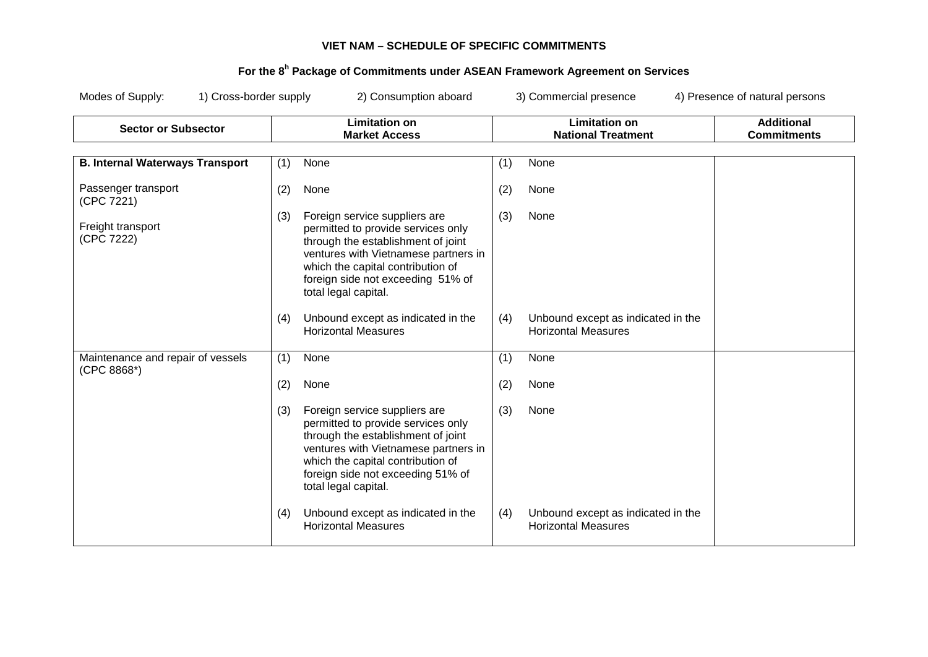| Modes of Supply:<br>1) Cross-border supply       | 2) Consumption aboard                                                                                                                                                                                                                                      | 3) Commercial presence                                                  | 4) Presence of natural persons          |
|--------------------------------------------------|------------------------------------------------------------------------------------------------------------------------------------------------------------------------------------------------------------------------------------------------------------|-------------------------------------------------------------------------|-----------------------------------------|
| <b>Sector or Subsector</b>                       | <b>Limitation on</b><br><b>Market Access</b>                                                                                                                                                                                                               | <b>Limitation on</b><br><b>National Treatment</b>                       | <b>Additional</b><br><b>Commitments</b> |
| <b>B. Internal Waterways Transport</b>           | None<br>(1)                                                                                                                                                                                                                                                | (1)<br>None                                                             |                                         |
| Passenger transport<br>(CPC 7221)                | None<br>(2)                                                                                                                                                                                                                                                | None<br>(2)                                                             |                                         |
| Freight transport<br>(CPC 7222)                  | (3)<br>Foreign service suppliers are<br>permitted to provide services only<br>through the establishment of joint<br>ventures with Vietnamese partners in<br>which the capital contribution of<br>foreign side not exceeding 51% of<br>total legal capital. | (3)<br>None                                                             |                                         |
|                                                  | Unbound except as indicated in the<br>(4)<br><b>Horizontal Measures</b>                                                                                                                                                                                    | Unbound except as indicated in the<br>(4)<br><b>Horizontal Measures</b> |                                         |
| Maintenance and repair of vessels<br>(CPC 8868*) | (1)<br>None                                                                                                                                                                                                                                                | (1)<br>None                                                             |                                         |
|                                                  | (2)<br>None                                                                                                                                                                                                                                                | (2)<br>None                                                             |                                         |
|                                                  | (3)<br>Foreign service suppliers are<br>permitted to provide services only<br>through the establishment of joint<br>ventures with Vietnamese partners in<br>which the capital contribution of<br>foreign side not exceeding 51% of<br>total legal capital. | (3)<br>None                                                             |                                         |
|                                                  | Unbound except as indicated in the<br>(4)<br><b>Horizontal Measures</b>                                                                                                                                                                                    | Unbound except as indicated in the<br>(4)<br><b>Horizontal Measures</b> |                                         |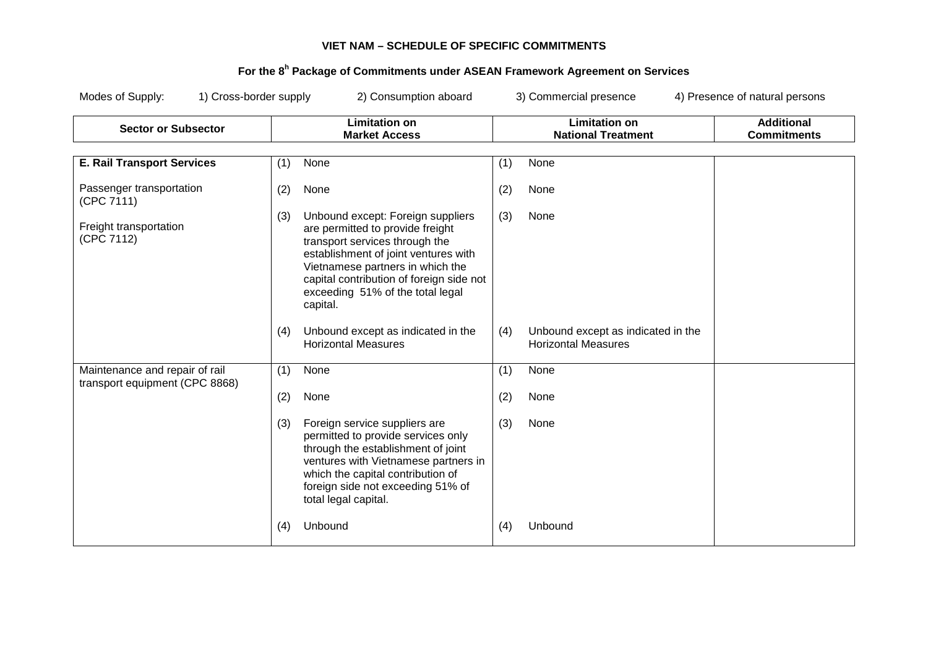| Modes of Supply:<br>1) Cross-border supply                       | 2) Consumption aboard                                                                                                                                                                                                                                                                  | 3) Commercial presence                                                  | 4) Presence of natural persons          |
|------------------------------------------------------------------|----------------------------------------------------------------------------------------------------------------------------------------------------------------------------------------------------------------------------------------------------------------------------------------|-------------------------------------------------------------------------|-----------------------------------------|
| <b>Sector or Subsector</b>                                       | <b>Limitation on</b><br><b>Market Access</b>                                                                                                                                                                                                                                           | <b>Limitation on</b><br><b>National Treatment</b>                       | <b>Additional</b><br><b>Commitments</b> |
| <b>E. Rail Transport Services</b>                                | None<br>(1)                                                                                                                                                                                                                                                                            | (1)<br>None                                                             |                                         |
| Passenger transportation<br>(CPC 7111)                           | (2)<br>None                                                                                                                                                                                                                                                                            | None<br>(2)                                                             |                                         |
| Freight transportation<br>(CPC 7112)                             | (3)<br>Unbound except: Foreign suppliers<br>are permitted to provide freight<br>transport services through the<br>establishment of joint ventures with<br>Vietnamese partners in which the<br>capital contribution of foreign side not<br>exceeding 51% of the total legal<br>capital. | (3)<br>None                                                             |                                         |
|                                                                  | Unbound except as indicated in the<br>(4)<br><b>Horizontal Measures</b>                                                                                                                                                                                                                | Unbound except as indicated in the<br>(4)<br><b>Horizontal Measures</b> |                                         |
| Maintenance and repair of rail<br>transport equipment (CPC 8868) | None<br>(1)                                                                                                                                                                                                                                                                            | (1)<br>None                                                             |                                         |
|                                                                  | (2)<br>None                                                                                                                                                                                                                                                                            | (2)<br>None                                                             |                                         |
|                                                                  | (3)<br>Foreign service suppliers are<br>permitted to provide services only<br>through the establishment of joint<br>ventures with Vietnamese partners in<br>which the capital contribution of<br>foreign side not exceeding 51% of<br>total legal capital.                             | (3)<br>None                                                             |                                         |
|                                                                  | Unbound<br>(4)                                                                                                                                                                                                                                                                         | Unbound<br>(4)                                                          |                                         |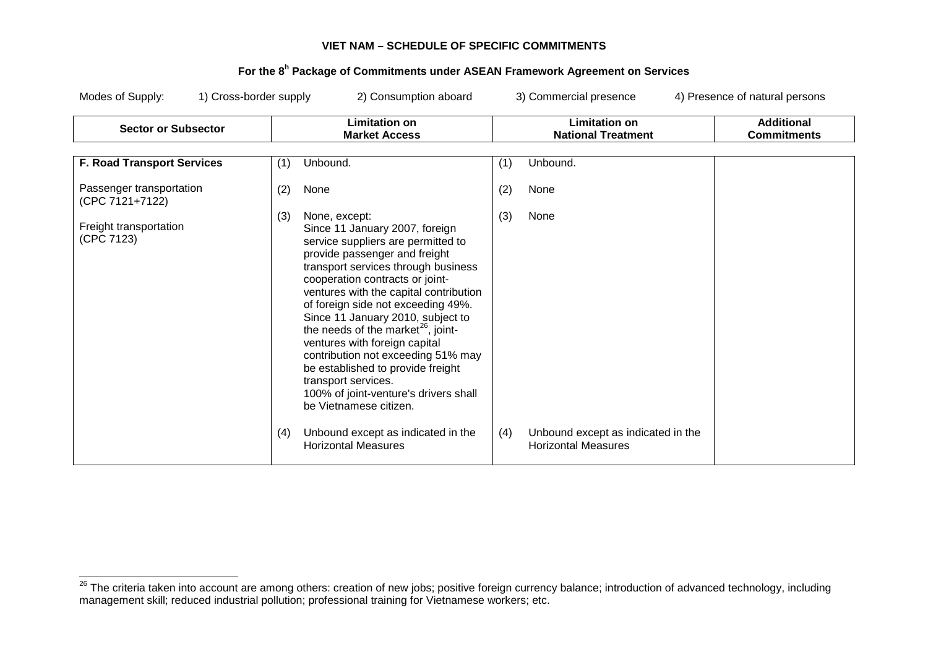<span id="page-51-0"></span>

| Modes of Supply:                            | 1) Cross-border supply<br>2) Consumption aboard                                                                                                                                                                                                                                                                                                                                                                                                                                                                                                                                      | 3) Commercial presence                                                  | 4) Presence of natural persons          |
|---------------------------------------------|--------------------------------------------------------------------------------------------------------------------------------------------------------------------------------------------------------------------------------------------------------------------------------------------------------------------------------------------------------------------------------------------------------------------------------------------------------------------------------------------------------------------------------------------------------------------------------------|-------------------------------------------------------------------------|-----------------------------------------|
| <b>Sector or Subsector</b>                  | <b>Limitation on</b><br><b>Market Access</b>                                                                                                                                                                                                                                                                                                                                                                                                                                                                                                                                         | <b>Limitation on</b><br><b>National Treatment</b>                       | <b>Additional</b><br><b>Commitments</b> |
| <b>F. Road Transport Services</b>           | Unbound.<br>(1)                                                                                                                                                                                                                                                                                                                                                                                                                                                                                                                                                                      | Unbound.<br>(1)                                                         |                                         |
| Passenger transportation<br>(CPC 7121+7122) | (2)<br>None                                                                                                                                                                                                                                                                                                                                                                                                                                                                                                                                                                          | (2)<br>None                                                             |                                         |
| Freight transportation<br>(CPC 7123)        | (3)<br>None, except:<br>Since 11 January 2007, foreign<br>service suppliers are permitted to<br>provide passenger and freight<br>transport services through business<br>cooperation contracts or joint-<br>ventures with the capital contribution<br>of foreign side not exceeding 49%.<br>Since 11 January 2010, subject to<br>the needs of the market <sup>26</sup> , joint-<br>ventures with foreign capital<br>contribution not exceeding 51% may<br>be established to provide freight<br>transport services.<br>100% of joint-venture's drivers shall<br>be Vietnamese citizen. | (3)<br>None                                                             |                                         |
|                                             | (4)<br>Unbound except as indicated in the<br><b>Horizontal Measures</b>                                                                                                                                                                                                                                                                                                                                                                                                                                                                                                              | Unbound except as indicated in the<br>(4)<br><b>Horizontal Measures</b> |                                         |

 <sup>26</sup> The criteria taken into account are among others: creation of new jobs; positive foreign currency balance; introduction of advanced technology, including management skill; reduced industrial pollution; professional training for Vietnamese workers; etc.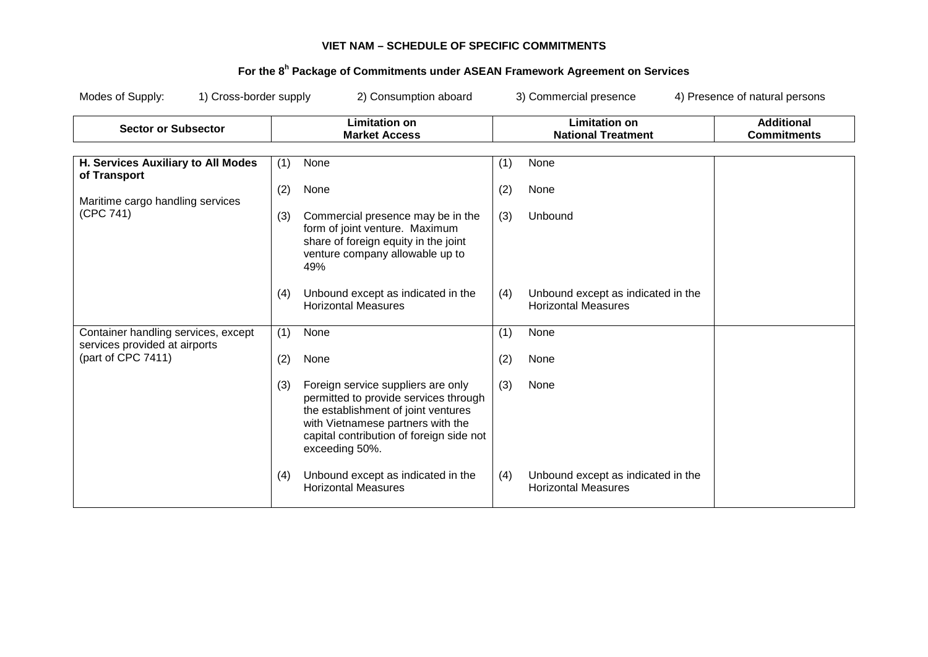| Modes of Supply:<br>1) Cross-border supply                           | 2) Consumption aboard                                                                                                                                                                                                        | 3) Commercial presence                                                  | 4) Presence of natural persons          |
|----------------------------------------------------------------------|------------------------------------------------------------------------------------------------------------------------------------------------------------------------------------------------------------------------------|-------------------------------------------------------------------------|-----------------------------------------|
| <b>Sector or Subsector</b>                                           | <b>Limitation on</b><br><b>Market Access</b>                                                                                                                                                                                 | <b>Limitation on</b><br><b>National Treatment</b>                       | <b>Additional</b><br><b>Commitments</b> |
| H. Services Auxiliary to All Modes<br>of Transport                   | None<br>(1)                                                                                                                                                                                                                  | None<br>(1)                                                             |                                         |
| Maritime cargo handling services                                     | (2)<br>None                                                                                                                                                                                                                  | (2)<br>None                                                             |                                         |
| (CPC 741)                                                            | Commercial presence may be in the<br>(3)<br>form of joint venture. Maximum<br>share of foreign equity in the joint<br>venture company allowable up to<br>49%                                                                 | Unbound<br>(3)                                                          |                                         |
|                                                                      | (4)<br>Unbound except as indicated in the<br><b>Horizontal Measures</b>                                                                                                                                                      | (4)<br>Unbound except as indicated in the<br><b>Horizontal Measures</b> |                                         |
| Container handling services, except<br>services provided at airports | (1)<br>None                                                                                                                                                                                                                  | (1)<br>None                                                             |                                         |
| (part of CPC 7411)                                                   | (2)<br>None                                                                                                                                                                                                                  | (2)<br>None                                                             |                                         |
|                                                                      | Foreign service suppliers are only<br>(3)<br>permitted to provide services through<br>the establishment of joint ventures<br>with Vietnamese partners with the<br>capital contribution of foreign side not<br>exceeding 50%. | (3)<br>None                                                             |                                         |
|                                                                      | Unbound except as indicated in the<br>(4)<br><b>Horizontal Measures</b>                                                                                                                                                      | Unbound except as indicated in the<br>(4)<br><b>Horizontal Measures</b> |                                         |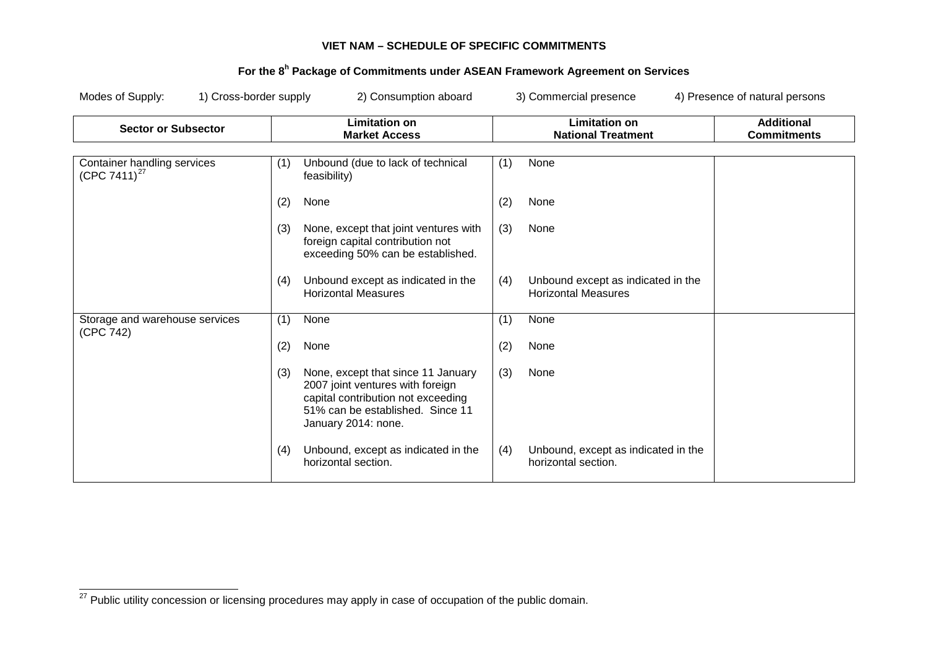<span id="page-53-0"></span>

| Modes of Supply:<br>1) Cross-border supply       | 2) Consumption aboard                                                                                                                                                          | 3) Commercial presence                                                  | 4) Presence of natural persons          |
|--------------------------------------------------|--------------------------------------------------------------------------------------------------------------------------------------------------------------------------------|-------------------------------------------------------------------------|-----------------------------------------|
| <b>Sector or Subsector</b>                       | <b>Limitation on</b><br><b>Market Access</b>                                                                                                                                   | <b>Limitation on</b><br><b>National Treatment</b>                       | <b>Additional</b><br><b>Commitments</b> |
| Container handling services<br>$(CPC 7411)^{27}$ | Unbound (due to lack of technical<br>(1)<br>feasibility)                                                                                                                       | (1)<br>None                                                             |                                         |
|                                                  | None<br>(2)                                                                                                                                                                    | (2)<br>None                                                             |                                         |
|                                                  | None, except that joint ventures with<br>(3)<br>foreign capital contribution not<br>exceeding 50% can be established.                                                          | (3)<br>None                                                             |                                         |
|                                                  | Unbound except as indicated in the<br>(4)<br><b>Horizontal Measures</b>                                                                                                        | Unbound except as indicated in the<br>(4)<br><b>Horizontal Measures</b> |                                         |
| Storage and warehouse services<br>(CPC 742)      | None<br>(1)                                                                                                                                                                    | (1)<br>None                                                             |                                         |
|                                                  | (2)<br>None                                                                                                                                                                    | (2)<br>None                                                             |                                         |
|                                                  | (3)<br>None, except that since 11 January<br>2007 joint ventures with foreign<br>capital contribution not exceeding<br>51% can be established. Since 11<br>January 2014: none. | (3)<br>None                                                             |                                         |
|                                                  | (4)<br>Unbound, except as indicated in the<br>horizontal section.                                                                                                              | (4)<br>Unbound, except as indicated in the<br>horizontal section.       |                                         |

 $\overline{a^2}$  Public utility concession or licensing procedures may apply in case of occupation of the public domain.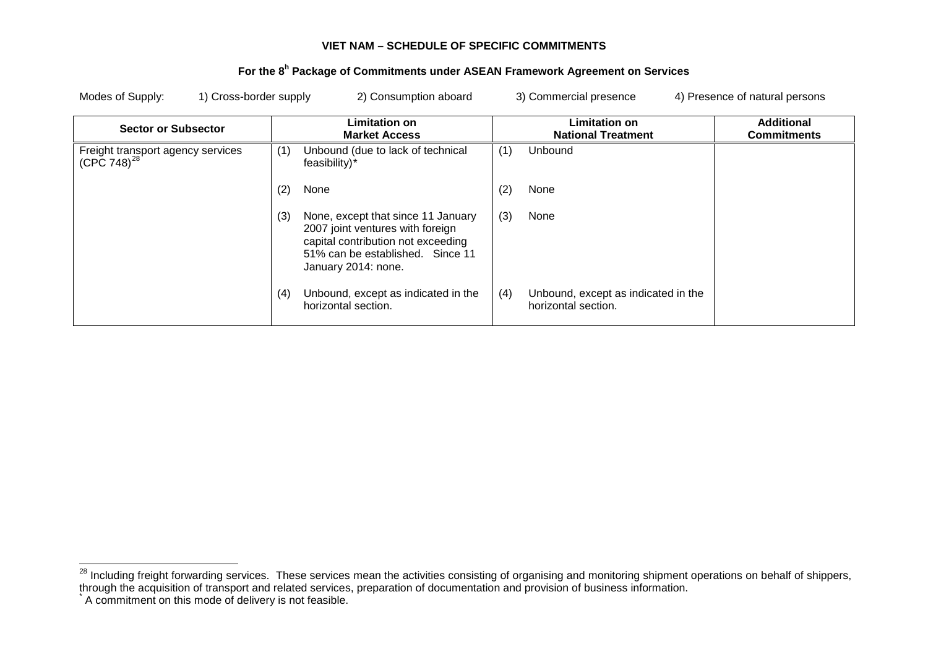<span id="page-54-1"></span><span id="page-54-0"></span>

| Modes of Supply:<br>1) Cross-border supply            | 2) Consumption aboard                                                                                                                                                          | 3) Commercial presence                                            | 4) Presence of natural persons          |
|-------------------------------------------------------|--------------------------------------------------------------------------------------------------------------------------------------------------------------------------------|-------------------------------------------------------------------|-----------------------------------------|
| <b>Sector or Subsector</b>                            | Limitation on<br><b>Market Access</b>                                                                                                                                          | Limitation on<br><b>National Treatment</b>                        | <b>Additional</b><br><b>Commitments</b> |
| Freight transport agency services<br>$(CPC 748)^{28}$ | (1)<br>Unbound (due to lack of technical<br>feasibility)*                                                                                                                      | (1)<br>Unbound                                                    |                                         |
|                                                       | (2)<br>None                                                                                                                                                                    | (2)<br>None                                                       |                                         |
|                                                       | (3)<br>None, except that since 11 January<br>2007 joint ventures with foreign<br>capital contribution not exceeding<br>51% can be established. Since 11<br>January 2014: none. | (3)<br>None                                                       |                                         |
|                                                       | Unbound, except as indicated in the<br>(4)<br>horizontal section.                                                                                                              | (4)<br>Unbound, except as indicated in the<br>horizontal section. |                                         |

<sup>&</sup>lt;sup>28</sup> Including freight forwarding services. These services mean the activities consisting of organising and monitoring shipment operations on behalf of shippers, through the acquisition of transport and related services, preparation of documentation and provision of business information.<br>A commitment on this mode of delivery is not feasible.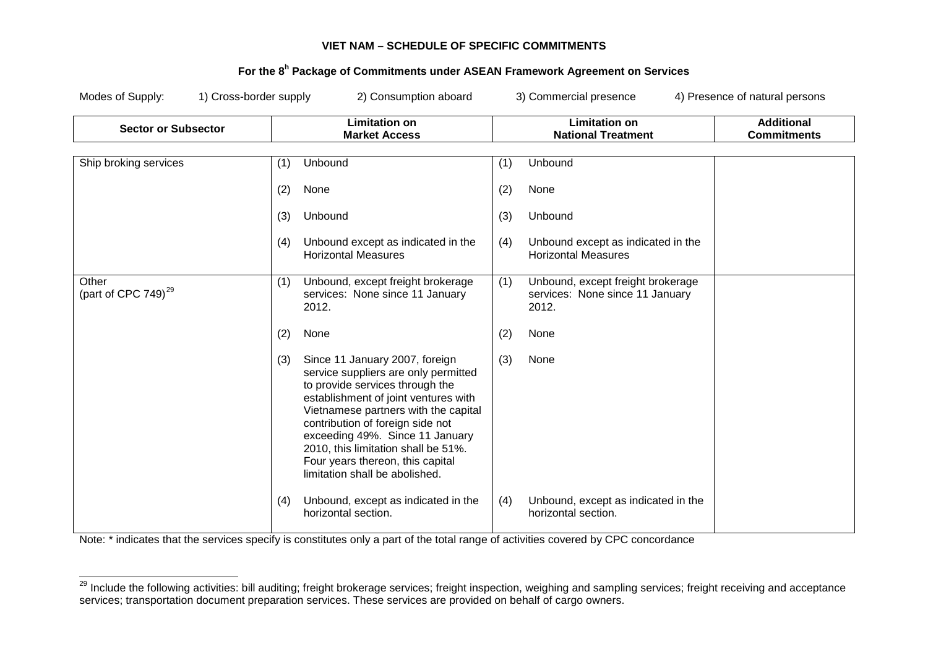## <span id="page-55-0"></span>**For the 8<sup>h</sup> Package of Commitments under ASEAN Framework Agreement on Services**

| <b>Sector or Subsector</b>         | <b>Limitation on</b><br><b>Market Access</b>                                                                                                                                                                                                                                                                                                                                         | <b>Limitation on</b><br><b>National Treatment</b>                                    | <b>Additional</b><br><b>Commitments</b> |
|------------------------------------|--------------------------------------------------------------------------------------------------------------------------------------------------------------------------------------------------------------------------------------------------------------------------------------------------------------------------------------------------------------------------------------|--------------------------------------------------------------------------------------|-----------------------------------------|
| Ship broking services              | Unbound<br>(1)                                                                                                                                                                                                                                                                                                                                                                       | Unbound<br>(1)                                                                       |                                         |
|                                    | None<br>(2)                                                                                                                                                                                                                                                                                                                                                                          | None<br>(2)                                                                          |                                         |
|                                    | (3)<br>Unbound                                                                                                                                                                                                                                                                                                                                                                       | (3)<br>Unbound                                                                       |                                         |
|                                    | Unbound except as indicated in the<br>(4)<br><b>Horizontal Measures</b>                                                                                                                                                                                                                                                                                                              | Unbound except as indicated in the<br>(4)<br><b>Horizontal Measures</b>              |                                         |
| Other<br>(part of CPC 749) $^{29}$ | Unbound, except freight brokerage<br>(1)<br>services: None since 11 January<br>2012.                                                                                                                                                                                                                                                                                                 | Unbound, except freight brokerage<br>(1)<br>services: None since 11 January<br>2012. |                                         |
|                                    | (2)<br>None                                                                                                                                                                                                                                                                                                                                                                          | (2)<br>None                                                                          |                                         |
|                                    | Since 11 January 2007, foreign<br>(3)<br>service suppliers are only permitted<br>to provide services through the<br>establishment of joint ventures with<br>Vietnamese partners with the capital<br>contribution of foreign side not<br>exceeding 49%. Since 11 January<br>2010, this limitation shall be 51%.<br>Four years thereon, this capital<br>limitation shall be abolished. | (3)<br>None                                                                          |                                         |
|                                    | Unbound, except as indicated in the<br>(4)<br>horizontal section.                                                                                                                                                                                                                                                                                                                    | Unbound, except as indicated in the<br>(4)<br>horizontal section.                    |                                         |

Note: \* indicates that the services specify is constitutes only a part of the total range of activities covered by CPC concordance

 <sup>29</sup> Include the following activities: bill auditing; freight brokerage services; freight inspection, weighing and sampling services; freight receiving and acceptance services; transportation document preparation services. These services are provided on behalf of cargo owners.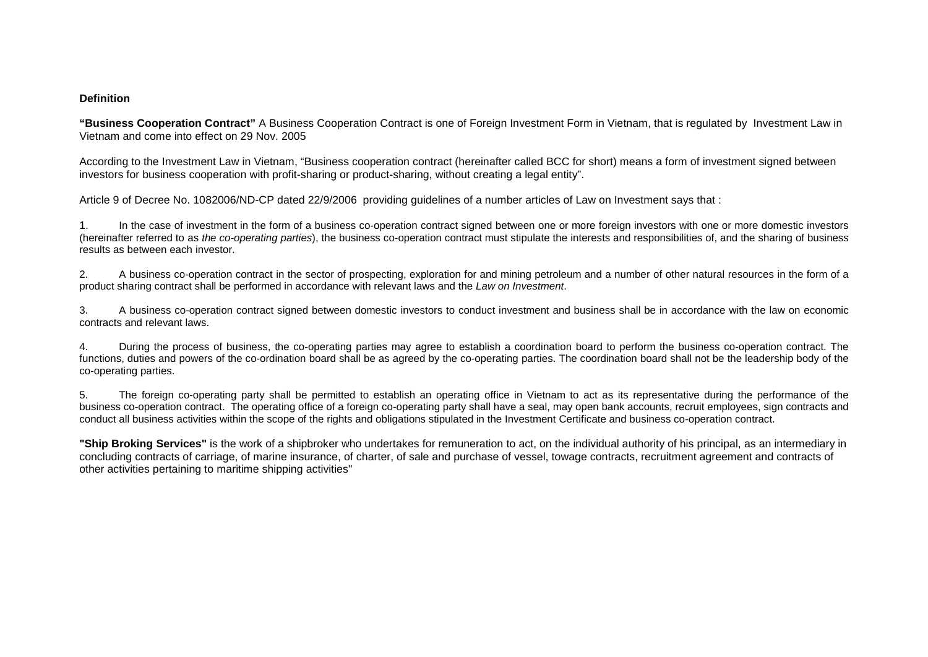#### **Definition**

**"Business Cooperation Contract"** A Business Cooperation Contract is one of Foreign Investment Form in Vietnam, that is regulated by Investment Law in Vietnam and come into effect on 29 Nov. 2005

According to the Investment Law in Vietnam, "Business cooperation contract (hereinafter called BCC for short) means a form of investment signed between investors for business cooperation with profit-sharing or product-sharing, without creating a legal entity".

Article 9 of Decree No. 1082006/ND-CP dated 22/9/2006 providing guidelines of a number articles of Law on Investment says that :

1. In the case of investment in the form of a business co-operation contract signed between one or more foreign investors with one or more domestic investors (hereinafter referred to as *the co-operating parties*), the business co-operation contract must stipulate the interests and responsibilities of, and the sharing of business results as between each investor.

2. A business co-operation contract in the sector of prospecting, exploration for and mining petroleum and a number of other natural resources in the form of a product sharing contract shall be performed in accordance with relevant laws and the *Law on Investment*.

3. A business co-operation contract signed between domestic investors to conduct investment and business shall be in accordance with the law on economic contracts and relevant laws.

4. During the process of business, the co-operating parties may agree to establish a coordination board to perform the business co-operation contract. The functions, duties and powers of the co-ordination board shall be as agreed by the co-operating parties. The coordination board shall not be the leadership body of the co-operating parties.

5. The foreign co-operating party shall be permitted to establish an operating office in Vietnam to act as its representative during the performance of the business co-operation contract. The operating office of a foreign co-operating party shall have a seal, may open bank accounts, recruit employees, sign contracts and conduct all business activities within the scope of the rights and obligations stipulated in the Investment Certificate and business co-operation contract.

**"Ship Broking Services"** is the work of a shipbroker who undertakes for remuneration to act, on the individual authority of his principal, as an intermediary in concluding contracts of carriage, of marine insurance, of charter, of sale and purchase of vessel, towage contracts, recruitment agreement and contracts of other activities pertaining to maritime shipping activities"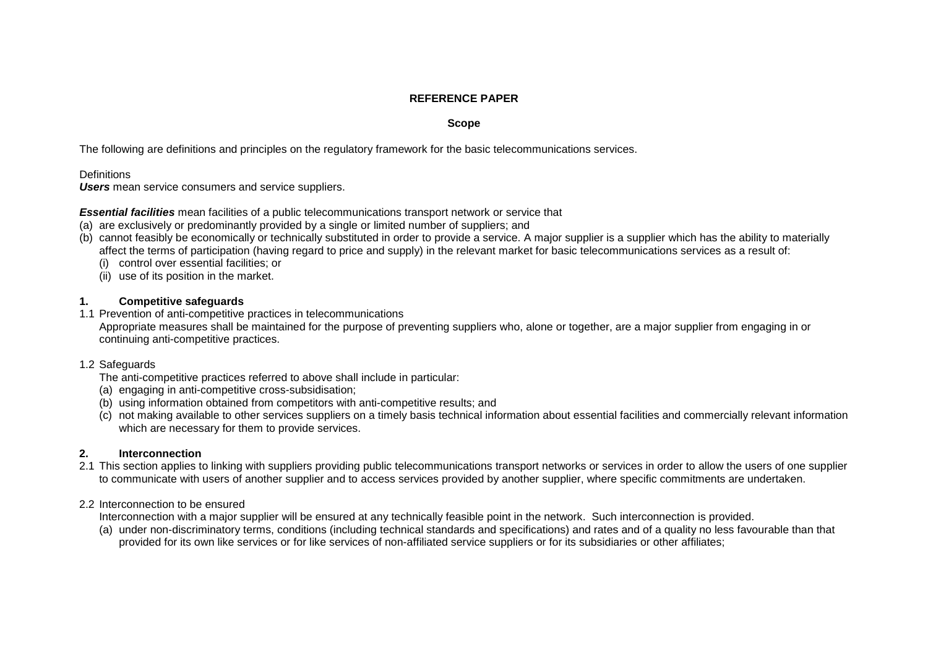### **REFERENCE PAPER**

#### **Scope**

The following are definitions and principles on the regulatory framework for the basic telecommunications services.

#### **Definitions**

*Users* mean service consumers and service suppliers.

#### *Essential facilities* mean facilities of a public telecommunications transport network or service that

- (a) are exclusively or predominantly provided by a single or limited number of suppliers; and
- (b) cannot feasibly be economically or technically substituted in order to provide a service. A major supplier is a supplier which has the ability to materially affect the terms of participation (having regard to price and supply) in the relevant market for basic telecommunications services as a result of:
	- (i) control over essential facilities; or
	- (ii) use of its position in the market.

### **1. Competitive safeguards**

1.1 Prevention of anti-competitive practices in telecommunications

Appropriate measures shall be maintained for the purpose of preventing suppliers who, alone or together, are a major supplier from engaging in or continuing anti-competitive practices.

#### 1.2 Safeguards

The anti-competitive practices referred to above shall include in particular:

- (a) engaging in anti-competitive cross-subsidisation;
- (b) using information obtained from competitors with anti-competitive results; and
- (c) not making available to other services suppliers on a timely basis technical information about essential facilities and commercially relevant information which are necessary for them to provide services.

### **2. Interconnection**

- 2.1 This section applies to linking with suppliers providing public telecommunications transport networks or services in order to allow the users of one supplier to communicate with users of another supplier and to access services provided by another supplier, where specific commitments are undertaken.
- 2.2 Interconnection to be ensured
	- Interconnection with a major supplier will be ensured at any technically feasible point in the network. Such interconnection is provided.
	- (a) under non-discriminatory terms, conditions (including technical standards and specifications) and rates and of a quality no less favourable than that provided for its own like services or for like services of non-affiliated service suppliers or for its subsidiaries or other affiliates;